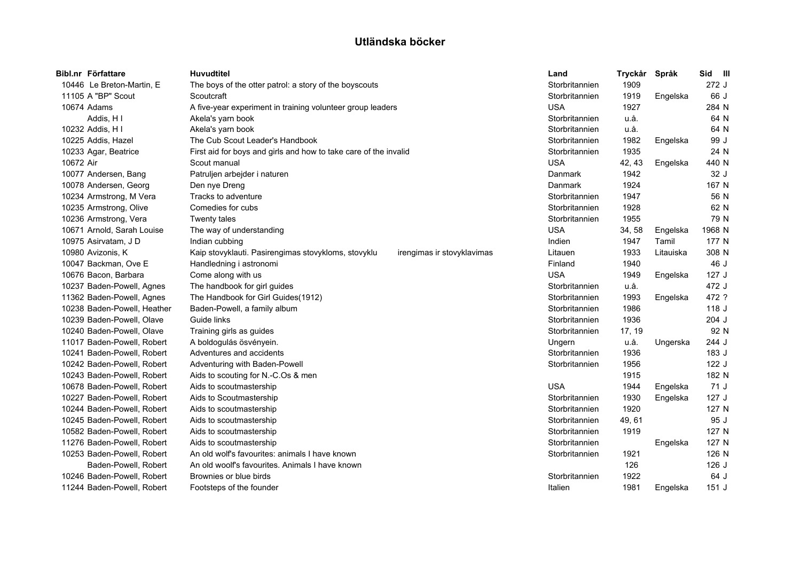|           | Bibl.nr Författare          | Huvudtitel                                                                        | Land           | Tryckår | Språk     | Sid III |  |
|-----------|-----------------------------|-----------------------------------------------------------------------------------|----------------|---------|-----------|---------|--|
|           | 10446 Le Breton-Martin, E   | The boys of the otter patrol: a story of the boyscouts                            | Storbritannien | 1909    |           | 272J    |  |
|           | 11105 A "BP" Scout          | Scoutcraft                                                                        | Storbritannien | 1919    | Engelska  | 66 J    |  |
|           | 10674 Adams                 | A five-year experiment in training volunteer group leaders                        | <b>USA</b>     | 1927    |           | 284 N   |  |
|           | Addis, H I                  | Akela's yarn book                                                                 | Storbritannien | u.å.    |           | 64 N    |  |
|           | 10232 Addis, H I            | Akela's yarn book                                                                 | Storbritannien | u.å.    |           | 64 N    |  |
|           | 10225 Addis, Hazel          | The Cub Scout Leader's Handbook                                                   | Storbritannien | 1982    | Engelska  | 99 J    |  |
|           | 10233 Agar, Beatrice        | First aid for boys and girls and how to take care of the invalid                  | Storbritannien | 1935    |           | 24 N    |  |
| 10672 Air |                             | Scout manual                                                                      | <b>USA</b>     | 42, 43  | Engelska  | 440 N   |  |
|           | 10077 Andersen, Bang        | Patruljen arbejder i naturen                                                      | Danmark        | 1942    |           | 32 J    |  |
|           | 10078 Andersen, Georg       | Den nye Dreng                                                                     | <b>Danmark</b> | 1924    |           | 167 N   |  |
|           | 10234 Armstrong, M Vera     | Tracks to adventure                                                               | Storbritannien | 1947    |           | 56 N    |  |
|           | 10235 Armstrong, Olive      | Comedies for cubs                                                                 | Storbritannien | 1928    |           | 62 N    |  |
|           | 10236 Armstrong, Vera       | Twenty tales                                                                      | Storbritannien | 1955    |           | 79 N    |  |
|           | 10671 Arnold, Sarah Louise  | The way of understanding                                                          | <b>USA</b>     | 34,58   | Engelska  | 1968 N  |  |
|           | 10975 Asirvatam, J D        | Indian cubbing                                                                    | Indien         | 1947    | Tamil     | 177 N   |  |
|           | 10980 Avizonis, K           | Kaip stovyklauti. Pasirengimas stovykloms, stovyklu<br>irengimas ir stovyklavimas | Litauen        | 1933    | Litauiska | 308 N   |  |
|           | 10047 Backman, Ove E        | Handledning i astronomi                                                           | Finland        | 1940    |           | 46 J    |  |
|           | 10676 Bacon, Barbara        | Come along with us                                                                | <b>USA</b>     | 1949    | Engelska  | 127J    |  |
|           | 10237 Baden-Powell, Agnes   | The handbook for girl guides                                                      | Storbritannien | u.å.    |           | 472 J   |  |
|           | 11362 Baden-Powell, Agnes   | The Handbook for Girl Guides(1912)                                                | Storbritannien | 1993    | Engelska  | 472 ?   |  |
|           | 10238 Baden-Powell, Heather | Baden-Powell, a family album                                                      | Storbritannien | 1986    |           | 118 J   |  |
|           | 10239 Baden-Powell, Olave   | Guide links                                                                       | Storbritannien | 1936    |           | $204$ J |  |
|           | 10240 Baden-Powell, Olave   | Training girls as guides                                                          | Storbritannien | 17, 19  |           | 92 N    |  |
|           | 11017 Baden-Powell, Robert  | A boldogulás ösvényein.                                                           | Ungern         | u.å.    | Ungerska  | 244 J   |  |
|           | 10241 Baden-Powell, Robert  | Adventures and accidents                                                          | Storbritannien | 1936    |           | 183 J   |  |
|           | 10242 Baden-Powell, Robert  | Adventuring with Baden-Powell                                                     | Storbritannien | 1956    |           | 122 J   |  |
|           | 10243 Baden-Powell, Robert  | Aids to scouting for N.-C.Os & men                                                |                | 1915    |           | 182 N   |  |
|           | 10678 Baden-Powell, Robert  | Aids to scoutmastership                                                           | <b>USA</b>     | 1944    | Engelska  | 71 J    |  |
|           | 10227 Baden-Powell, Robert  | Aids to Scoutmastership                                                           | Storbritannien | 1930    | Engelska  | 127J    |  |
|           | 10244 Baden-Powell, Robert  | Aids to scoutmastership                                                           | Storbritannien | 1920    |           | 127 N   |  |
|           | 10245 Baden-Powell, Robert  | Aids to scoutmastership                                                           | Storbritannien | 49, 61  |           | 95 J    |  |
|           | 10582 Baden-Powell, Robert  | Aids to scoutmastership                                                           | Storbritannien | 1919    |           | 127 N   |  |
|           | 11276 Baden-Powell, Robert  | Aids to scoutmastership                                                           | Storbritannien |         | Engelska  | 127 N   |  |
|           | 10253 Baden-Powell, Robert  | An old wolf's favourites: animals I have known                                    | Storbritannien | 1921    |           | 126 N   |  |
|           | Baden-Powell, Robert        | An old woolf's favourites. Animals I have known                                   |                | 126     |           | $126$ J |  |
|           | 10246 Baden-Powell, Robert  | Brownies or blue birds                                                            | Storbritannien | 1922    |           | 64 J    |  |
|           | 11244 Baden-Powell, Robert  | Footsteps of the founder                                                          | Italien        | 1981    | Engelska  | 151J    |  |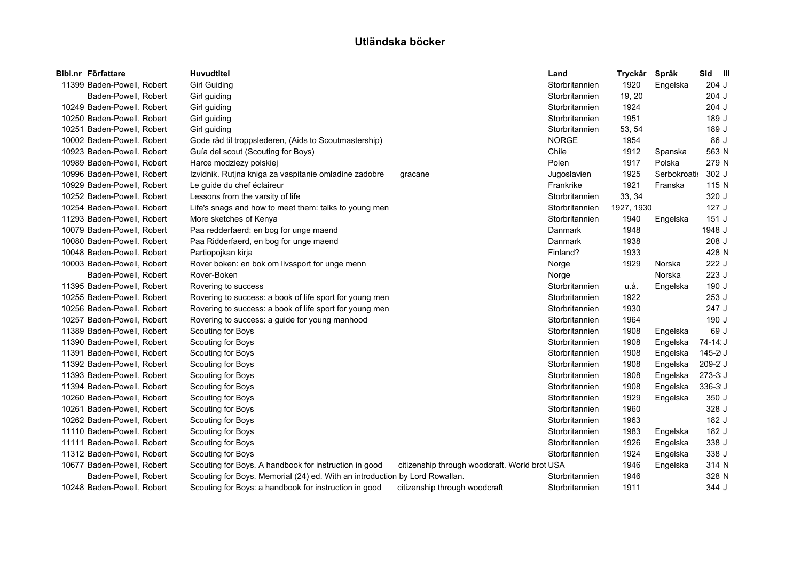| Bibl.nr Författare         | <b>Huvudtitel</b>                                                           |                                               | Land           | Tryckår Språk |             | Sid III    |
|----------------------------|-----------------------------------------------------------------------------|-----------------------------------------------|----------------|---------------|-------------|------------|
| 11399 Baden-Powell, Robert | <b>Girl Guiding</b>                                                         |                                               | Storbritannien | 1920          | Engelska    | 204 J      |
| Baden-Powell, Robert       | Girl guiding                                                                |                                               | Storbritannien | 19, 20        |             | 204 J      |
| 10249 Baden-Powell, Robert | Girl guiding                                                                |                                               | Storbritannien | 1924          |             | 204 J      |
| 10250 Baden-Powell, Robert | Girl guiding                                                                |                                               | Storbritannien | 1951          |             | 189 J      |
| 10251 Baden-Powell, Robert | Girl guiding                                                                |                                               | Storbritannien | 53, 54        |             | 189 J      |
| 10002 Baden-Powell, Robert | Gode råd til troppslederen, (Aids to Scoutmastership)                       |                                               | <b>NORGE</b>   | 1954          |             | 86 J       |
| 10923 Baden-Powell, Robert | Guía del scout (Scouting for Boys)                                          |                                               | Chile          | 1912          | Spanska     | 563 N      |
| 10989 Baden-Powell, Robert | Harce modziezy polskiej                                                     |                                               | Polen          | 1917          | Polska      | 279 N      |
| 10996 Baden-Powell, Robert | Izvidnik. Rutjna kniga za vaspitanie omladine zadobre                       | gracane                                       | Jugoslavien    | 1925          | Serbokroati | 302 J      |
| 10929 Baden-Powell, Robert | Le guide du chef éclaireur                                                  |                                               | Frankrike      | 1921          | Franska     | 115 N      |
| 10252 Baden-Powell, Robert | Lessons from the varsity of life                                            |                                               | Storbritannien | 33, 34        |             | 320 J      |
| 10254 Baden-Powell, Robert | Life's snags and how to meet them: talks to young men                       |                                               | Storbritannien | 1927, 1930    |             | 127J       |
| 11293 Baden-Powell, Robert | More sketches of Kenya                                                      |                                               | Storbritannien | 1940          | Engelska    | 151J       |
| 10079 Baden-Powell, Robert | Paa redderfaerd: en bog for unge maend                                      |                                               | Danmark        | 1948          |             | 1948 J     |
| 10080 Baden-Powell, Robert | Paa Ridderfaerd, en bog for unge maend                                      |                                               | Danmark        | 1938          |             | 208 J      |
| 10048 Baden-Powell, Robert | Partiopojkan kirja                                                          |                                               | Finland?       | 1933          |             | 428 N      |
| 10003 Baden-Powell, Robert | Rover boken: en bok om livssport for unge menn                              |                                               | Norge          | 1929          | Norska      | 222 J      |
| Baden-Powell, Robert       | Rover-Boken                                                                 |                                               | Norge          |               | Norska      | 223 J      |
| 11395 Baden-Powell, Robert | Rovering to success                                                         |                                               | Storbritannien | u.å.          | Engelska    | 190 J      |
| 10255 Baden-Powell, Robert | Rovering to success: a book of life sport for young men                     |                                               | Storbritannien | 1922          |             | 253 J      |
| 10256 Baden-Powell, Robert | Rovering to success: a book of life sport for young men                     |                                               | Storbritannien | 1930          |             | 247 J      |
| 10257 Baden-Powell, Robert | Rovering to success: a guide for young manhood                              |                                               | Storbritannien | 1964          |             | 190 J      |
| 11389 Baden-Powell, Robert | Scouting for Boys                                                           |                                               | Storbritannien | 1908          | Engelska    | 69 J       |
| 11390 Baden-Powell, Robert | Scouting for Boys                                                           |                                               | Storbritannien | 1908          | Engelska    | 74-14.J    |
| 11391 Baden-Powell, Robert | Scouting for Boys                                                           |                                               | Storbritannien | 1908          | Engelska    | $145 - 21$ |
| 11392 Baden-Powell, Robert | Scouting for Boys                                                           |                                               | Storbritannien | 1908          | Engelska    | 209-2 J    |
| 11393 Baden-Powell, Robert | Scouting for Boys                                                           |                                               | Storbritannien | 1908          | Engelska    | $273-3. J$ |
| 11394 Baden-Powell, Robert | Scouting for Boys                                                           |                                               | Storbritannien | 1908          | Engelska    | 336-3!J    |
| 10260 Baden-Powell, Robert | Scouting for Boys                                                           |                                               | Storbritannien | 1929          | Engelska    | 350 J      |
| 10261 Baden-Powell, Robert | Scouting for Boys                                                           |                                               | Storbritannien | 1960          |             | 328 J      |
| 10262 Baden-Powell, Robert | Scouting for Boys                                                           |                                               | Storbritannien | 1963          |             | 182 J      |
| 11110 Baden-Powell, Robert | Scouting for Boys                                                           |                                               | Storbritannien | 1983          | Engelska    | 182 J      |
| 11111 Baden-Powell, Robert | Scouting for Boys                                                           |                                               | Storbritannien | 1926          | Engelska    | 338 J      |
| 11312 Baden-Powell, Robert | Scouting for Boys                                                           |                                               | Storbritannien | 1924          | Engelska    | 338 J      |
| 10677 Baden-Powell, Robert | Scouting for Boys. A handbook for instruction in good                       | citizenship through woodcraft. World brot USA |                | 1946          | Engelska    | 314 N      |
| Baden-Powell, Robert       | Scouting for Boys. Memorial (24) ed. With an introduction by Lord Rowallan. |                                               | Storbritannien | 1946          |             | 328 N      |
| 10248 Baden-Powell, Robert | Scouting for Boys: a handbook for instruction in good                       | citizenship through woodcraft                 | Storbritannien | 1911          |             | 344 J      |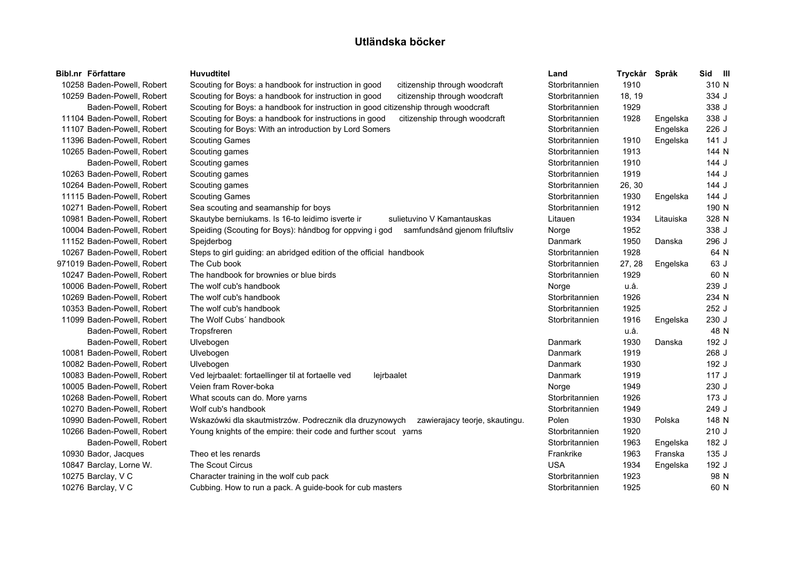| Bibl.nr Författare          | <b>Huvudtitel</b>                                                                         | Land           | Tryckår | Språk     | Sid III |
|-----------------------------|-------------------------------------------------------------------------------------------|----------------|---------|-----------|---------|
| 10258 Baden-Powell, Robert  | Scouting for Boys: a handbook for instruction in good<br>citizenship through woodcraft    | Storbritannien | 1910    |           | 310 N   |
| 10259 Baden-Powell, Robert  | Scouting for Boys: a handbook for instruction in good<br>citizenship through woodcraft    | Storbritannien | 18, 19  |           | 334 J   |
| Baden-Powell, Robert        | Scouting for Boys: a handbook for instruction in good citizenship through woodcraft       | Storbritannien | 1929    |           | 338 J   |
| 11104 Baden-Powell, Robert  | Scouting for Boys: a handbook for instructions in good<br>citizenship through woodcraft   | Storbritannien | 1928    | Engelska  | 338 J   |
| 11107 Baden-Powell, Robert  | Scouting for Boys: With an introduction by Lord Somers                                    | Storbritannien |         | Engelska  | 226 J   |
| 11396 Baden-Powell, Robert  | <b>Scouting Games</b>                                                                     | Storbritannien | 1910    | Engelska  | 141J    |
| 10265 Baden-Powell, Robert  | Scouting games                                                                            | Storbritannien | 1913    |           | 144 N   |
| Baden-Powell, Robert        | Scouting games                                                                            | Storbritannien | 1910    |           | 144 J   |
| 10263 Baden-Powell, Robert  | Scouting games                                                                            | Storbritannien | 1919    |           | 144 J   |
| 10264 Baden-Powell, Robert  | Scouting games                                                                            | Storbritannien | 26, 30  |           | 144 J   |
| 11115 Baden-Powell, Robert  | <b>Scouting Games</b>                                                                     | Storbritannien | 1930    | Engelska  | 144 J   |
| 10271 Baden-Powell, Robert  | Sea scouting and seamanship for boys                                                      | Storbritannien | 1912    |           | 190 N   |
| 10981 Baden-Powell, Robert  | Skautybe berniukams. Is 16-to leidimo isverte ir<br>sulietuvino V Kamantauskas            | Litauen        | 1934    | Litauiska | 328 N   |
| 10004 Baden-Powell, Robert  | Speiding (Scouting for Boys): håndbog for oppving i god<br>samfundsånd gjenom friluftsliv | Norge          | 1952    |           | 338 J   |
| 11152 Baden-Powell, Robert  | Spejderbog                                                                                | Danmark        | 1950    | Danska    | 296 J   |
| 10267 Baden-Powell, Robert  | Steps to girl guiding: an abridged edition of the official handbook                       | Storbritannien | 1928    |           | 64 N    |
| 971019 Baden-Powell, Robert | The Cub book                                                                              | Storbritannien | 27, 28  | Engelska  | 63 J    |
| 10247 Baden-Powell, Robert  | The handbook for brownies or blue birds                                                   | Storbritannien | 1929    |           | 60 N    |
| 10006 Baden-Powell, Robert  | The wolf cub's handbook                                                                   | Norge          | u.å.    |           | 239 J   |
| 10269 Baden-Powell, Robert  | The wolf cub's handbook                                                                   | Storbritannien | 1926    |           | 234 N   |
| 10353 Baden-Powell, Robert  | The wolf cub's handbook                                                                   | Storbritannien | 1925    |           | 252 J   |
| 11099 Baden-Powell, Robert  | The Wolf Cubs' handbook                                                                   | Storbritannien | 1916    | Engelska  | 230 J   |
| Baden-Powell, Robert        | Tropsfreren                                                                               |                | u.å.    |           | 48 N    |
| Baden-Powell, Robert        | Ulvebogen                                                                                 | Danmark        | 1930    | Danska    | 192 J   |
| 10081 Baden-Powell, Robert  | Ulvebogen                                                                                 | Danmark        | 1919    |           | 268 J   |
| 10082 Baden-Powell, Robert  | Ulvebogen                                                                                 | Danmark        | 1930    |           | 192 J   |
| 10083 Baden-Powell, Robert  | Ved lejrbaalet: fortaellinger til at fortaelle ved<br>lejrbaalet                          | Danmark        | 1919    |           | 117J    |
| 10005 Baden-Powell, Robert  | Veien fram Rover-boka                                                                     | Norge          | 1949    |           | 230 J   |
| 10268 Baden-Powell, Robert  | What scouts can do. More yarns                                                            | Storbritannien | 1926    |           | 173 J   |
| 10270 Baden-Powell, Robert  | Wolf cub's handbook                                                                       | Storbritannien | 1949    |           | 249 J   |
| 10990 Baden-Powell, Robert  | Wskazówki dla skautmistrzów. Podrecznik dla druzynowych<br>zawierajacy teorje, skautingu. | Polen          | 1930    | Polska    | 148 N   |
| 10266 Baden-Powell, Robert  | Young knights of the empire: their code and further scout yarns                           | Storbritannien | 1920    |           | 210J    |
| Baden-Powell, Robert        |                                                                                           | Storbritannien | 1963    | Engelska  | 182 J   |
| 10930 Bador, Jacques        | Theo et les renards                                                                       | Frankrike      | 1963    | Franska   | 135 J   |
| 10847 Barclay, Lorne W.     | The Scout Circus                                                                          | <b>USA</b>     | 1934    | Engelska  | 192 J   |
| 10275 Barclay, V C          | Character training in the wolf cub pack                                                   | Storbritannien | 1923    |           | 98 N    |
| 10276 Barclay, V C          | Cubbing. How to run a pack. A guide-book for cub masters                                  | Storbritannien | 1925    |           | 60 N    |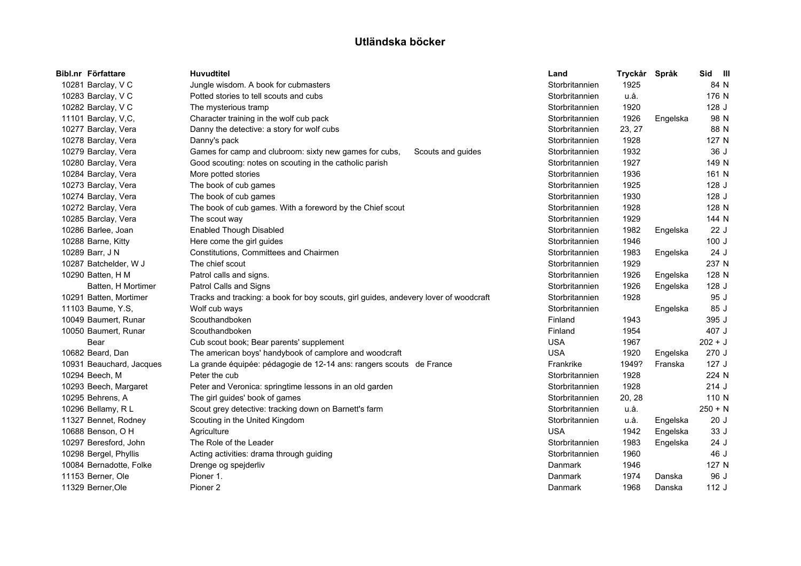| Bibl.nr Författare     |                          | <b>Huvudtitel</b>                                                                    | Land           | Tryckår | Språk    | Sid III   |  |
|------------------------|--------------------------|--------------------------------------------------------------------------------------|----------------|---------|----------|-----------|--|
| 10281 Barclay, V C     |                          | Jungle wisdom. A book for cubmasters                                                 | Storbritannien | 1925    |          | 84 N      |  |
| 10283 Barclay, V C     |                          | Potted stories to tell scouts and cubs                                               | Storbritannien | u.å.    |          | 176 N     |  |
| 10282 Barclay, V C     |                          | The mysterious tramp                                                                 | Storbritannien | 1920    |          | 128 J     |  |
| 11101 Barclay, V,C,    |                          | Character training in the wolf cub pack                                              | Storbritannien | 1926    | Engelska | 98 N      |  |
| 10277 Barclay, Vera    |                          | Danny the detective: a story for wolf cubs                                           | Storbritannien | 23, 27  |          | 88 N      |  |
| 10278 Barclay, Vera    |                          | Danny's pack                                                                         | Storbritannien | 1928    |          | 127 N     |  |
| 10279 Barclay, Vera    |                          | Games for camp and clubroom: sixty new games for cubs,<br>Scouts and guides          | Storbritannien | 1932    |          | 36J       |  |
| 10280 Barclay, Vera    |                          | Good scouting: notes on scouting in the catholic parish                              | Storbritannien | 1927    |          | 149 N     |  |
| 10284 Barclay, Vera    |                          | More potted stories                                                                  | Storbritannien | 1936    |          | 161 N     |  |
| 10273 Barclay, Vera    |                          | The book of cub games                                                                | Storbritannien | 1925    |          | 128 J     |  |
| 10274 Barclay, Vera    |                          | The book of cub games                                                                | Storbritannien | 1930    |          | 128 J     |  |
| 10272 Barclay, Vera    |                          | The book of cub games. With a foreword by the Chief scout                            | Storbritannien | 1928    |          | 128 N     |  |
| 10285 Barclay, Vera    |                          | The scout way                                                                        | Storbritannien | 1929    |          | 144 N     |  |
| 10286 Barlee, Joan     |                          | <b>Enabled Though Disabled</b>                                                       | Storbritannien | 1982    | Engelska | 22 J      |  |
| 10288 Barne, Kitty     |                          | Here come the girl guides                                                            | Storbritannien | 1946    |          | 100J      |  |
| 10289 Barr, J N        |                          | Constitutions, Committees and Chairmen                                               | Storbritannien | 1983    | Engelska | 24 J      |  |
| 10287 Batchelder, W J  |                          | The chief scout                                                                      | Storbritannien | 1929    |          | 237 N     |  |
| 10290 Batten, H M      |                          | Patrol calls and signs.                                                              | Storbritannien | 1926    | Engelska | 128 N     |  |
|                        | Batten, H Mortimer       | Patrol Calls and Signs                                                               | Storbritannien | 1926    | Engelska | 128 J     |  |
| 10291 Batten, Mortimer |                          | Tracks and tracking: a book for boy scouts, girl guides, andevery lover of woodcraft | Storbritannien | 1928    |          | 95 J      |  |
| 11103 Baume, Y.S.      |                          | Wolf cub ways                                                                        | Storbritannien |         | Engelska | 85 J      |  |
| 10049 Baumert, Runar   |                          | Scouthandboken                                                                       | Finland        | 1943    |          | 395 J     |  |
| 10050 Baumert, Runar   |                          | Scouthandboken                                                                       | Finland        | 1954    |          | 407 J     |  |
| Bear                   |                          | Cub scout book; Bear parents' supplement                                             | <b>USA</b>     | 1967    |          | $202 + J$ |  |
| 10682 Beard, Dan       |                          | The american boys' handybook of camplore and woodcraft                               | <b>USA</b>     | 1920    | Engelska | 270J      |  |
|                        | 10931 Beauchard, Jacques | La grande équipée: pédagogie de 12-14 ans: rangers scouts de France                  | Frankrike      | 1949?   | Franska  | 127J      |  |
| 10294 Beech, M         |                          | Peter the cub                                                                        | Storbritannien | 1928    |          | 224 N     |  |
| 10293 Beech, Margaret  |                          | Peter and Veronica: springtime lessons in an old garden                              | Storbritannien | 1928    |          | 214J      |  |
| 10295 Behrens, A       |                          | The girl guides' book of games                                                       | Storbritannien | 20, 28  |          | 110 N     |  |
| 10296 Bellamy, R L     |                          | Scout grey detective: tracking down on Barnett's farm                                | Storbritannien | u.å.    |          | $250 + N$ |  |
| 11327 Bennet, Rodney   |                          | Scouting in the United Kingdom                                                       | Storbritannien | u.å.    | Engelska | 20J       |  |
| 10688 Benson, O H      |                          | Agriculture                                                                          | <b>USA</b>     | 1942    | Engelska | 33 J      |  |
| 10297 Beresford, John  |                          | The Role of the Leader                                                               | Storbritannien | 1983    | Engelska | 24 J      |  |
| 10298 Bergel, Phyllis  |                          | Acting activities: drama through guiding                                             | Storbritannien | 1960    |          | 46 J      |  |
|                        | 10084 Bernadotte, Folke  | Drenge og spejderliv                                                                 | Danmark        | 1946    |          | 127 N     |  |
| 11153 Berner, Ole      |                          | Pioner 1.                                                                            | Danmark        | 1974    | Danska   | 96 J      |  |
| 11329 Berner, Ole      |                          | Pioner <sub>2</sub>                                                                  | Danmark        | 1968    | Danska   | 112J      |  |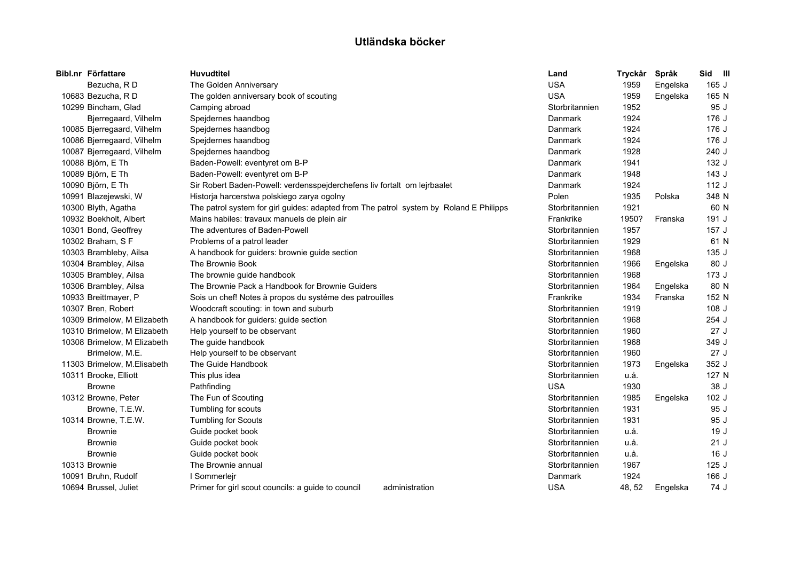| Bibl.nr Författare          | <b>Huvudtitel</b>                                                                      | Land           | Tryckår | Språk    | Sid III |
|-----------------------------|----------------------------------------------------------------------------------------|----------------|---------|----------|---------|
| Bezucha, RD                 | The Golden Anniversary                                                                 | <b>USA</b>     | 1959    | Engelska | 165J    |
| 10683 Bezucha, RD           | The golden anniversary book of scouting                                                | <b>USA</b>     | 1959    | Engelska | 165 N   |
| 10299 Bincham, Glad         | Camping abroad                                                                         | Storbritannien | 1952    |          | 95 J    |
| Bjerregaard, Vilhelm        | Spejdernes haandbog                                                                    | Danmark        | 1924    |          | 176 J   |
| 10085 Bjerregaard, Vilhelm  | Spejdernes haandbog                                                                    | Danmark        | 1924    |          | 176 J   |
| 10086 Bjerregaard, Vilhelm  | Spejdernes haandbog                                                                    | Danmark        | 1924    |          | 176 J   |
| 10087 Bjerregaard, Vilhelm  | Spejdernes haandbog                                                                    | Danmark        | 1928    |          | 240 J   |
| 10088 Björn, E Th           | Baden-Powell: eventyret om B-P                                                         | Danmark        | 1941    |          | 132 J   |
| 10089 Björn, E Th           | Baden-Powell: eventyret om B-P                                                         | Danmark        | 1948    |          | 143J    |
| 10090 Björn, E Th           | Sir Robert Baden-Powell: verdensspejderchefens liv fortalt om lejrbaalet               | <b>Danmark</b> | 1924    |          | 112J    |
| 10991 Blazejewski, W        | Historja harcerstwa polskiego zarya ogolny                                             | Polen          | 1935    | Polska   | 348 N   |
| 10300 Blyth, Agatha         | The patrol system for girl guides: adapted from The patrol system by Roland E Philipps | Storbritannien | 1921    |          | 60 N    |
| 10932 Boekholt, Albert      | Mains habiles: travaux manuels de plein air                                            | Frankrike      | 1950?   | Franska  | 191 J   |
| 10301 Bond, Geoffrey        | The adventures of Baden-Powell                                                         | Storbritannien | 1957    |          | 157 J   |
| 10302 Braham, S F           | Problems of a patrol leader                                                            | Storbritannien | 1929    |          | 61 N    |
| 10303 Brambleby, Ailsa      | A handbook for guiders: brownie guide section                                          | Storbritannien | 1968    |          | 135 J   |
| 10304 Brambley, Ailsa       | The Brownie Book                                                                       | Storbritannien | 1966    | Engelska | 80 J    |
| 10305 Brambley, Ailsa       | The brownie guide handbook                                                             | Storbritannien | 1968    |          | 173 J   |
| 10306 Brambley, Ailsa       | The Brownie Pack a Handbook for Brownie Guiders                                        | Storbritannien | 1964    | Engelska | 80 N    |
| 10933 Breittmayer, P        | Sois un chef! Notes à propos du systéme des patrouilles                                | Frankrike      | 1934    | Franska  | 152 N   |
| 10307 Bren, Robert          | Woodcraft scouting: in town and suburb                                                 | Storbritannien | 1919    |          | 108 J   |
| 10309 Brimelow, M Elizabeth | A handbook for guiders: guide section                                                  | Storbritannien | 1968    |          | $254$ J |
| 10310 Brimelow, M Elizabeth | Help yourself to be observant                                                          | Storbritannien | 1960    |          | 27J     |
| 10308 Brimelow, M Elizabeth | The guide handbook                                                                     | Storbritannien | 1968    |          | 349 J   |
| Brimelow, M.E.              | Help yourself to be observant                                                          | Storbritannien | 1960    |          | 27J     |
| 11303 Brimelow, M.Elisabeth | The Guide Handbook                                                                     | Storbritannien | 1973    | Engelska | 352 J   |
| 10311 Brooke, Elliott       | This plus idea                                                                         | Storbritannien | u.å.    |          | 127 N   |
| <b>Browne</b>               | Pathfinding                                                                            | <b>USA</b>     | 1930    |          | 38 J    |
| 10312 Browne, Peter         | The Fun of Scouting                                                                    | Storbritannien | 1985    | Engelska | $102$ J |
| Browne, T.E.W.              | Tumbling for scouts                                                                    | Storbritannien | 1931    |          | 95 J    |
| 10314 Browne, T.E.W.        | <b>Tumbling for Scouts</b>                                                             | Storbritannien | 1931    |          | 95 J    |
| <b>Brownie</b>              | Guide pocket book                                                                      | Storbritannien | u.å.    |          | 19J     |
| <b>Brownie</b>              | Guide pocket book                                                                      | Storbritannien | u.å.    |          | 21J     |
| <b>Brownie</b>              | Guide pocket book                                                                      | Storbritannien | u.å.    |          | 16J     |
| 10313 Brownie               | The Brownie annual                                                                     | Storbritannien | 1967    |          | 125J    |
| 10091 Bruhn, Rudolf         | I Sommerlejr                                                                           | Danmark        | 1924    |          | 166 J   |
| 10694 Brussel, Juliet       | Primer for girl scout councils: a guide to council<br>administration                   | <b>USA</b>     | 48, 52  | Engelska | 74 J    |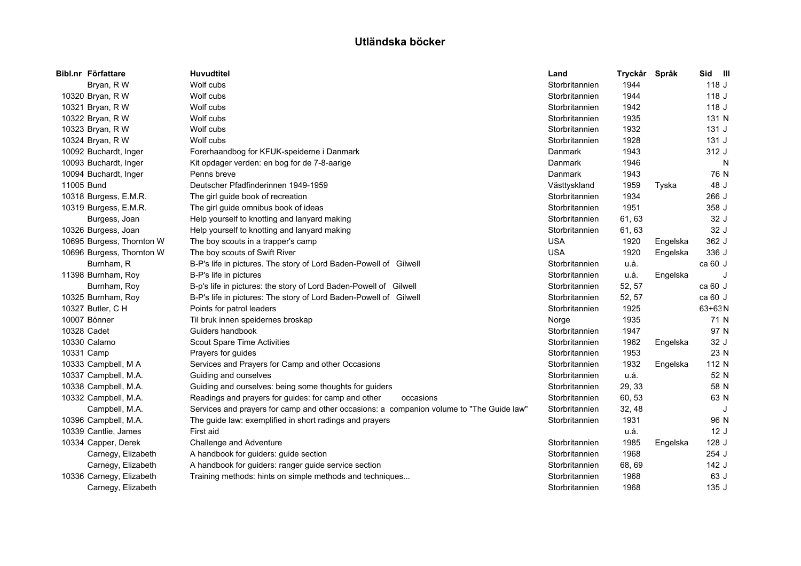|            | Bibl.nr Författare        | <b>Huvudtitel</b>                                                                        | Land           | Tryckår Språk |          | Sid III    |
|------------|---------------------------|------------------------------------------------------------------------------------------|----------------|---------------|----------|------------|
|            | Bryan, R W                | Wolf cubs                                                                                | Storbritannien | 1944          |          | 118J       |
|            | 10320 Bryan, R W          | Wolf cubs                                                                                | Storbritannien | 1944          |          | 118J       |
|            | 10321 Bryan, R W          | Wolf cubs                                                                                | Storbritannien | 1942          |          | 118 J      |
|            | 10322 Bryan, R W          | Wolf cubs                                                                                | Storbritannien | 1935          |          | 131 N      |
|            | 10323 Bryan, R W          | Wolf cubs                                                                                | Storbritannien | 1932          |          | 131J       |
|            | 10324 Bryan, R W          | Wolf cubs                                                                                | Storbritannien | 1928          |          | 131J       |
|            | 10092 Buchardt, Inger     | Forerhaandbog for KFUK-speiderne i Danmark                                               | Danmark        | 1943          |          | 312 J      |
|            | 10093 Buchardt, Inger     | Kit opdager verden: en bog for de 7-8-aarige                                             | Danmark        | 1946          |          | N          |
|            | 10094 Buchardt, Inger     | Penns breve                                                                              | <b>Danmark</b> | 1943          |          | 76 N       |
| 11005 Bund |                           | Deutscher Pfadfinderinnen 1949-1959                                                      | Västtyskland   | 1959          | Tyska    | 48 J       |
|            | 10318 Burgess, E.M.R.     | The girl guide book of recreation                                                        | Storbritannien | 1934          |          | 266 J      |
|            | 10319 Burgess, E.M.R.     | The girl guide omnibus book of ideas                                                     | Storbritannien | 1951          |          | 358 J      |
|            | Burgess, Joan             | Help yourself to knotting and lanyard making                                             | Storbritannien | 61, 63        |          | 32 J       |
|            | 10326 Burgess, Joan       | Help yourself to knotting and lanyard making                                             | Storbritannien | 61, 63        |          | 32 J       |
|            | 10695 Burgess, Thornton W | The boy scouts in a trapper's camp                                                       | <b>USA</b>     | 1920          | Engelska | 362 J      |
|            | 10696 Burgess, Thornton W | The boy scouts of Swift River                                                            | <b>USA</b>     | 1920          | Engelska | 336 J      |
|            | Burnham, R                | B-P's life in pictures. The story of Lord Baden-Powell of Gilwell                        | Storbritannien | u.å.          |          | ca 60 J    |
|            | 11398 Burnham, Roy        | B-P's life in pictures                                                                   | Storbritannien | u.å.          | Engelska | J          |
|            | Burnham, Roy              | B-p's life in pictures: the story of Lord Baden-Powell of Gilwell                        | Storbritannien | 52, 57        |          | ca 60 J    |
|            | 10325 Burnham, Roy        | B-P's life in pictures: The story of Lord Baden-Powell of Gilwell                        | Storbritannien | 52, 57        |          | ca 60 J    |
|            | 10327 Butler, C H         | Points for patrol leaders                                                                | Storbritannien | 1925          |          | $63 + 63N$ |
|            | 10007 Bönner              | Til bruk innen speidernes broskap                                                        | Norge          | 1935          |          | 71 N       |
|            | 10328 Cadet               | Guiders handbook                                                                         | Storbritannien | 1947          |          | 97 N       |
|            | 10330 Calamo              | Scout Spare Time Activities                                                              | Storbritannien | 1962          | Engelska | 32 J       |
|            | 10331 Camp                | Prayers for quides                                                                       | Storbritannien | 1953          |          | 23 N       |
|            | 10333 Campbell, M A       | Services and Prayers for Camp and other Occasions                                        | Storbritannien | 1932          | Engelska | 112 N      |
|            | 10337 Campbell, M.A.      | Guiding and ourselves                                                                    | Storbritannien | u.å.          |          | 52 N       |
|            | 10338 Campbell, M.A.      | Guiding and ourselves: being some thoughts for guiders                                   | Storbritannien | 29, 33        |          | 58 N       |
|            | 10332 Campbell, M.A.      | Readings and prayers for guides: for camp and other<br>occasions                         | Storbritannien | 60, 53        |          | 63 N       |
|            | Campbell, M.A.            | Services and prayers for camp and other occasions: a companion volume to "The Guide law" | Storbritannien | 32, 48        |          | J          |
|            | 10396 Campbell, M.A.      | The guide law: exemplified in short radings and prayers                                  | Storbritannien | 1931          |          | 96 N       |
|            | 10339 Cantlie, James      | First aid                                                                                |                | u.å.          |          | 12J        |
|            | 10334 Capper, Derek       | Challenge and Adventure                                                                  | Storbritannien | 1985          | Engelska | 128 J      |
|            | Carnegy, Elizabeth        | A handbook for guiders: guide section                                                    | Storbritannien | 1968          |          | $254$ J    |
|            | Carnegy, Elizabeth        | A handbook for guiders: ranger guide service section                                     | Storbritannien | 68, 69        |          | 142 J      |
|            | 10336 Carnegy, Elizabeth  | Training methods: hints on simple methods and techniques                                 | Storbritannien | 1968          |          | 63 J       |
|            | Carnegy, Elizabeth        |                                                                                          | Storbritannien | 1968          |          | 135J       |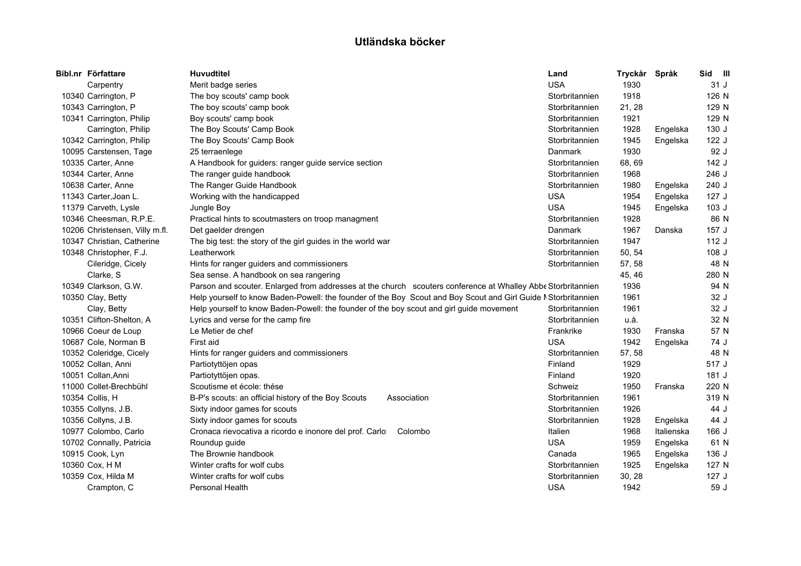| Bibl.nr Författare             | <b>Huvudtitel</b>                                                                                             | Land           | Tryckår | Språk      | Sid III |
|--------------------------------|---------------------------------------------------------------------------------------------------------------|----------------|---------|------------|---------|
| Carpentry                      | Merit badge series                                                                                            | <b>USA</b>     | 1930    |            | 31 J    |
| 10340 Carrington, P            | The boy scouts' camp book                                                                                     | Storbritannien | 1918    |            | 126 N   |
| 10343 Carrington, P            | The boy scouts' camp book                                                                                     | Storbritannien | 21, 28  |            | 129 N   |
| 10341 Carrington, Philip       | Boy scouts' camp book                                                                                         | Storbritannien | 1921    |            | 129 N   |
| Carrington, Philip             | The Boy Scouts' Camp Book                                                                                     | Storbritannien | 1928    | Engelska   | 130 J   |
| 10342 Carrington, Philip       | The Boy Scouts' Camp Book                                                                                     | Storbritannien | 1945    | Engelska   | 122 J   |
| 10095 Carstensen, Tage         | 25 terraenlege                                                                                                | Danmark        | 1930    |            | 92 J    |
| 10335 Carter, Anne             | A Handbook for guiders: ranger guide service section                                                          | Storbritannien | 68,69   |            | 142 J   |
| 10344 Carter, Anne             | The ranger guide handbook                                                                                     | Storbritannien | 1968    |            | 246 J   |
| 10638 Carter, Anne             | The Ranger Guide Handbook                                                                                     | Storbritannien | 1980    | Engelska   | 240 J   |
| 11343 Carter, Joan L.          | Working with the handicapped                                                                                  | <b>USA</b>     | 1954    | Engelska   | 127J    |
| 11379 Carveth, Lysle           | Jungle Boy                                                                                                    | <b>USA</b>     | 1945    | Engelska   | 103J    |
| 10346 Cheesman, R.P.E.         | Practical hints to scoutmasters on troop managment                                                            | Storbritannien | 1928    |            | 86 N    |
| 10206 Christensen, Villy m.fl. | Det gaelder drengen                                                                                           | <b>Danmark</b> | 1967    | Danska     | 157 J   |
| 10347 Christian, Catherine     | The big test: the story of the girl guides in the world war                                                   | Storbritannien | 1947    |            | 112J    |
| 10348 Christopher, F.J.        | Leatherwork                                                                                                   | Storbritannien | 50, 54  |            | 108 J   |
| Cileridge, Cicely              | Hints for ranger guiders and commissioners                                                                    | Storbritannien | 57, 58  |            | 48 N    |
| Clarke, S                      | Sea sense. A handbook on sea rangering                                                                        |                | 45, 46  |            | 280 N   |
| 10349 Clarkson, G.W.           | Parson and scouter. Enlarged from addresses at the church scouters conference at Whalley Abbe Storbritannien  |                | 1936    |            | 94 N    |
| 10350 Clay, Betty              | Help yourself to know Baden-Powell: the founder of the Boy Scout and Boy Scout and Girl Guide NStorbritannien |                | 1961    |            | 32 J    |
| Clay, Betty                    | Help yourself to know Baden-Powell: the founder of the boy scout and girl guide movement                      | Storbritannien | 1961    |            | 32 J    |
| 10351 Clifton-Shelton, A       | Lyrics and verse for the camp fire                                                                            | Storbritannien | u.å.    |            | 32 N    |
| 10966 Coeur de Loup            | Le Metier de chef                                                                                             | Frankrike      | 1930    | Franska    | 57 N    |
| 10687 Cole, Norman B           | First aid                                                                                                     | <b>USA</b>     | 1942    | Engelska   | 74 J    |
| 10352 Coleridge, Cicely        | Hints for ranger guiders and commissioners                                                                    | Storbritannien | 57, 58  |            | 48 N    |
| 10052 Collan, Anni             | Partiotyttöjen opas                                                                                           | Finland        | 1929    |            | 517 J   |
| 10051 Collan, Anni             | Partiotyttöjen opas.                                                                                          | Finland        | 1920    |            | 181 J   |
| 11000 Collet-Brechbühl         | Scoutisme et école: thése                                                                                     | Schweiz        | 1950    | Franska    | 220 N   |
| 10354 Collis, H                | B-P's scouts: an official history of the Boy Scouts<br>Association                                            | Storbritannien | 1961    |            | 319 N   |
| 10355 Collyns, J.B.            | Sixty indoor games for scouts                                                                                 | Storbritannien | 1926    |            | 44 J    |
| 10356 Collyns, J.B.            | Sixty indoor games for scouts                                                                                 | Storbritannien | 1928    | Engelska   | 44 J    |
| 10977 Colombo, Carlo           | Cronaca rievocativa a ricordo e inonore del prof. Carlo<br>Colombo                                            | Italien        | 1968    | Italienska | 166 J   |
| 10702 Connally, Patricia       | Roundup guide                                                                                                 | <b>USA</b>     | 1959    | Engelska   | 61 N    |
| 10915 Cook, Lyn                | The Brownie handbook                                                                                          | Canada         | 1965    | Engelska   | 136 J   |
| 10360 Cox, H M                 | Winter crafts for wolf cubs                                                                                   | Storbritannien | 1925    | Engelska   | 127 N   |
| 10359 Cox, Hilda M             | Winter crafts for wolf cubs                                                                                   | Storbritannien | 30, 28  |            | 127J    |
| Crampton, C                    | Personal Health                                                                                               | <b>USA</b>     | 1942    |            | 59 J    |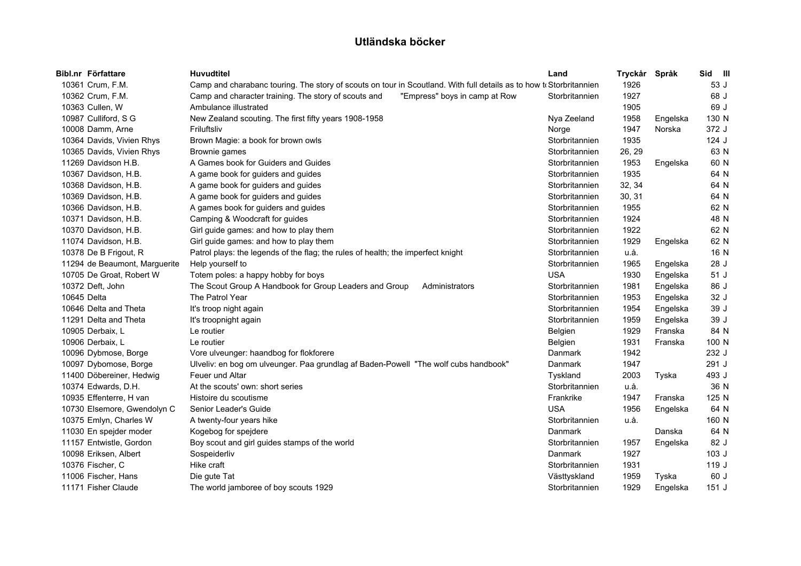|             | Bibl.nr Författare            | <b>Huvudtitel</b>                                                                                                   | Land           | Tryckår Språk |          | Sid III |  |
|-------------|-------------------------------|---------------------------------------------------------------------------------------------------------------------|----------------|---------------|----------|---------|--|
|             | 10361 Crum, F.M.              | Camp and charabanc touring. The story of scouts on tour in Scoutland. With full details as to how to Storbritannien |                | 1926          |          | 53 J    |  |
|             | 10362 Crum, F.M.              | "Empress" boys in camp at Row<br>Camp and character training. The story of scouts and                               | Storbritannien | 1927          |          | 68 J    |  |
|             | 10363 Cullen, W               | Ambulance illustrated                                                                                               |                | 1905          |          | 69 J    |  |
|             | 10987 Culliford, S G          | New Zealand scouting. The first fifty years 1908-1958                                                               | Nya Zeeland    | 1958          | Engelska | 130 N   |  |
|             | 10008 Damm, Arne              | Friluftsliv                                                                                                         | Norge          | 1947          | Norska   | 372 J   |  |
|             | 10364 Davids, Vivien Rhys     | Brown Magie: a book for brown owls                                                                                  | Storbritannien | 1935          |          | $124$ J |  |
|             | 10365 Davids, Vivien Rhys     | Brownie games                                                                                                       | Storbritannien | 26, 29        |          | 63 N    |  |
|             | 11269 Davidson H.B.           | A Games book for Guiders and Guides                                                                                 | Storbritannien | 1953          | Engelska | 60 N    |  |
|             | 10367 Davidson, H.B.          | A game book for guiders and guides                                                                                  | Storbritannien | 1935          |          | 64 N    |  |
|             | 10368 Davidson, H.B.          | A game book for guiders and guides                                                                                  | Storbritannien | 32, 34        |          | 64 N    |  |
|             | 10369 Davidson, H.B.          | A game book for guiders and guides                                                                                  | Storbritannien | 30, 31        |          | 64 N    |  |
|             | 10366 Davidson, H.B.          | A games book for guiders and guides                                                                                 | Storbritannien | 1955          |          | 62 N    |  |
|             | 10371 Davidson, H.B.          | Camping & Woodcraft for guides                                                                                      | Storbritannien | 1924          |          | 48 N    |  |
|             | 10370 Davidson, H.B.          | Girl guide games: and how to play them                                                                              | Storbritannien | 1922          |          | 62 N    |  |
|             | 11074 Davidson, H.B.          | Girl guide games: and how to play them                                                                              | Storbritannien | 1929          | Engelska | 62 N    |  |
|             | 10378 De B Frigout, R         | Patrol plays: the legends of the flag; the rules of health; the imperfect knight                                    | Storbritannien | u.å.          |          | 16 N    |  |
|             | 11294 de Beaumont, Marguerite | Help yourself to                                                                                                    | Storbritannien | 1965          | Engelska | 28 J    |  |
|             | 10705 De Groat, Robert W      | Totem poles: a happy hobby for boys                                                                                 | <b>USA</b>     | 1930          | Engelska | 51 J    |  |
|             | 10372 Deft, John              | The Scout Group A Handbook for Group Leaders and Group<br>Administrators                                            | Storbritannien | 1981          | Engelska | 86 J    |  |
| 10645 Delta |                               | The Patrol Year                                                                                                     | Storbritannien | 1953          | Engelska | 32 J    |  |
|             | 10646 Delta and Theta         | It's troop night again                                                                                              | Storbritannien | 1954          | Engelska | 39 J    |  |
|             | 11291 Delta and Theta         | It's troopnight again                                                                                               | Storbritannien | 1959          | Engelska | 39 J    |  |
|             | 10905 Derbaix, L              | Le routier                                                                                                          | Belgien        | 1929          | Franska  | 84 N    |  |
|             | 10906 Derbaix, L              | Le routier                                                                                                          | Belgien        | 1931          | Franska  | 100 N   |  |
|             | 10096 Dybmose, Borge          | Vore ulveunger: haandbog for flokforere                                                                             | Danmark        | 1942          |          | 232 J   |  |
|             | 10097 Dybomose, Borge         | Ulveliv: en bog om ulveunger. Paa grundlag af Baden-Powell "The wolf cubs handbook"                                 | Danmark        | 1947          |          | 291 J   |  |
|             | 11400 Döbereiner, Hedwig      | Feuer und Altar                                                                                                     | Tyskland       | 2003          | Tyska    | 493 J   |  |
|             | 10374 Edwards, D.H.           | At the scouts' own: short series                                                                                    | Storbritannien | u.å.          |          | 36 N    |  |
|             | 10935 Effenterre, H van       | Histoire du scoutisme                                                                                               | Frankrike      | 1947          | Franska  | 125 N   |  |
|             | 10730 Elsemore, Gwendolyn C   | Senior Leader's Guide                                                                                               | <b>USA</b>     | 1956          | Engelska | 64 N    |  |
|             | 10375 Emlyn, Charles W        | A twenty-four years hike                                                                                            | Storbritannien | u.å.          |          | 160 N   |  |
|             | 11030 En spejder moder        | Kogebog for spejdere                                                                                                | Danmark        |               | Danska   | 64 N    |  |
|             | 11157 Entwistle, Gordon       | Boy scout and girl guides stamps of the world                                                                       | Storbritannien | 1957          | Engelska | 82 J    |  |
|             | 10098 Eriksen, Albert         | Sospeiderliv                                                                                                        | Danmark        | 1927          |          | $103$ J |  |
|             | 10376 Fischer, C              | Hike craft                                                                                                          | Storbritannien | 1931          |          | 119 J   |  |
|             | 11006 Fischer, Hans           | Die gute Tat                                                                                                        | Västtyskland   | 1959          | Tyska    | 60 J    |  |
|             | 11171 Fisher Claude           | The world jamboree of boy scouts 1929                                                                               | Storbritannien | 1929          | Engelska | 151J    |  |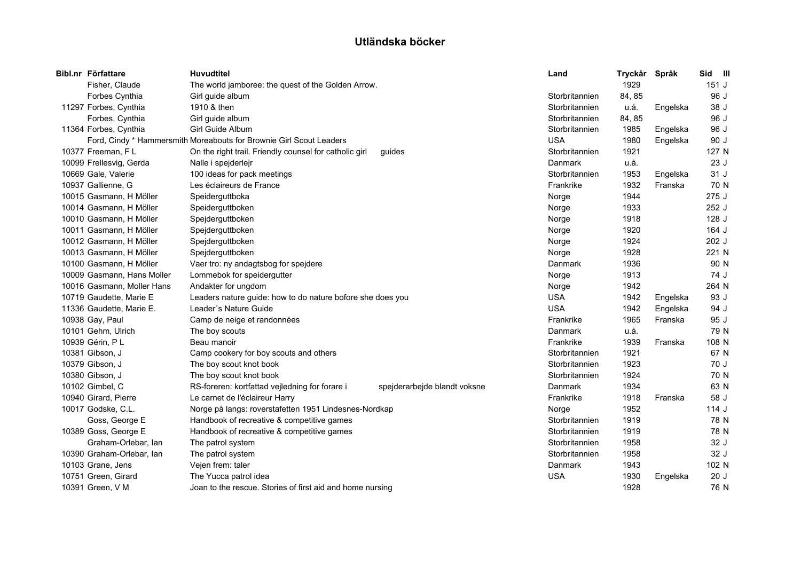| Bibl.nr Författare         | <b>Huvudtitel</b>                                                   |                              | Land           | Tryckår | Språk    | Sid<br>$\blacksquare$ |  |
|----------------------------|---------------------------------------------------------------------|------------------------------|----------------|---------|----------|-----------------------|--|
| Fisher, Claude             | The world jamboree: the quest of the Golden Arrow.                  |                              |                | 1929    |          | 151J                  |  |
| Forbes Cynthia             | Girl guide album                                                    |                              | Storbritannien | 84, 85  |          | 96 J                  |  |
| 11297 Forbes, Cynthia      | 1910 & then                                                         |                              | Storbritannien | u.å.    | Engelska | 38 J                  |  |
| Forbes, Cynthia            | Girl guide album                                                    |                              | Storbritannien | 84, 85  |          | 96 J                  |  |
| 11364 Forbes, Cynthia      | Girl Guide Album                                                    |                              | Storbritannien | 1985    | Engelska | 96 J                  |  |
|                            | Ford, Cindy * Hammersmith Moreabouts for Brownie Girl Scout Leaders |                              | <b>USA</b>     | 1980    | Engelska | 90 J                  |  |
| 10377 Freeman, FL          | On the right trail. Friendly counsel for catholic girl              | guides                       | Storbritannien | 1921    |          | 127 N                 |  |
| 10099 Frellesvig, Gerda    | Nalle i spejderlejr                                                 |                              | Danmark        | u.å.    |          | 23J                   |  |
| 10669 Gale, Valerie        | 100 ideas for pack meetings                                         |                              | Storbritannien | 1953    | Engelska | 31 J                  |  |
| 10937 Gallienne, G         | Les éclaireurs de France                                            |                              | Frankrike      | 1932    | Franska  | 70 N                  |  |
| 10015 Gasmann, H Möller    | Speiderguttboka                                                     |                              | Norge          | 1944    |          | 275J                  |  |
| 10014 Gasmann, H Möller    | Speiderguttboken                                                    |                              | Norge          | 1933    |          | 252 J                 |  |
| 10010 Gasmann, H Möller    | Spejderguttboken                                                    |                              | Norge          | 1918    |          | 128 J                 |  |
| 10011 Gasmann, H Möller    | Spejderguttboken                                                    |                              | Norge          | 1920    |          | 164 J                 |  |
| 10012 Gasmann, H Möller    | Spejderguttboken                                                    |                              | Norge          | 1924    |          | 202 J                 |  |
| 10013 Gasmann, H Möller    | Spejderguttboken                                                    |                              | Norge          | 1928    |          | 221 N                 |  |
| 10100 Gasmann, H Möller    | Vaer tro: ny andagtsbog for spejdere                                |                              | Danmark        | 1936    |          | 90 N                  |  |
| 10009 Gasmann, Hans Moller | Lommebok for speidergutter                                          |                              | Norge          | 1913    |          | 74 J                  |  |
| 10016 Gasmann, Moller Hans | Andakter for ungdom                                                 |                              | Norge          | 1942    |          | 264 N                 |  |
| 10719 Gaudette, Marie E    | Leaders nature guide: how to do nature bofore she does you          |                              | <b>USA</b>     | 1942    | Engelska | 93 J                  |  |
| 11336 Gaudette, Marie E.   | Leader's Nature Guide                                               |                              | <b>USA</b>     | 1942    | Engelska | 94 J                  |  |
| 10938 Gay, Paul            | Camp de neige et randonnées                                         |                              | Frankrike      | 1965    | Franska  | 95 J                  |  |
| 10101 Gehm, Ulrich         | The boy scouts                                                      |                              | Danmark        | u.å.    |          | 79 N                  |  |
| 10939 Gérin, P L           | Beau manoir                                                         |                              | Frankrike      | 1939    | Franska  | 108 N                 |  |
| 10381 Gibson, J            | Camp cookery for boy scouts and others                              |                              | Storbritannien | 1921    |          | 67 N                  |  |
| 10379 Gibson, J            | The boy scout knot book                                             |                              | Storbritannien | 1923    |          | 70 J                  |  |
| 10380 Gibson, J            | The boy scout knot book                                             |                              | Storbritannien | 1924    |          | 70 N                  |  |
| 10102 Gimbel, C            | RS-foreren: kortfattad vejledning for forare i                      | spejderarbejde blandt voksne | Danmark        | 1934    |          | 63 N                  |  |
| 10940 Girard, Pierre       | Le carnet de l'éclaireur Harry                                      |                              | Frankrike      | 1918    | Franska  | 58 J                  |  |
| 10017 Godske, C.L.         | Norge på langs: roverstafetten 1951 Lindesnes-Nordkap               |                              | Norge          | 1952    |          | 114 J                 |  |
| Goss, George E             | Handbook of recreative & competitive games                          |                              | Storbritannien | 1919    |          | 78 N                  |  |
| 10389 Goss, George E       | Handbook of recreative & competitive games                          |                              | Storbritannien | 1919    |          | 78 N                  |  |
| Graham-Orlebar, lan        | The patrol system                                                   |                              | Storbritannien | 1958    |          | 32 J                  |  |
| 10390 Graham-Orlebar, lan  | The patrol system                                                   |                              | Storbritannien | 1958    |          | 32 J                  |  |
| 10103 Grane, Jens          | Vejen frem: taler                                                   |                              | Danmark        | 1943    |          | 102 N                 |  |
| 10751 Green, Girard        | The Yucca patrol idea                                               |                              | <b>USA</b>     | 1930    | Engelska | 20J                   |  |
| 10391 Green, V M           | Joan to the rescue. Stories of first aid and home nursing           |                              |                | 1928    |          | 76 N                  |  |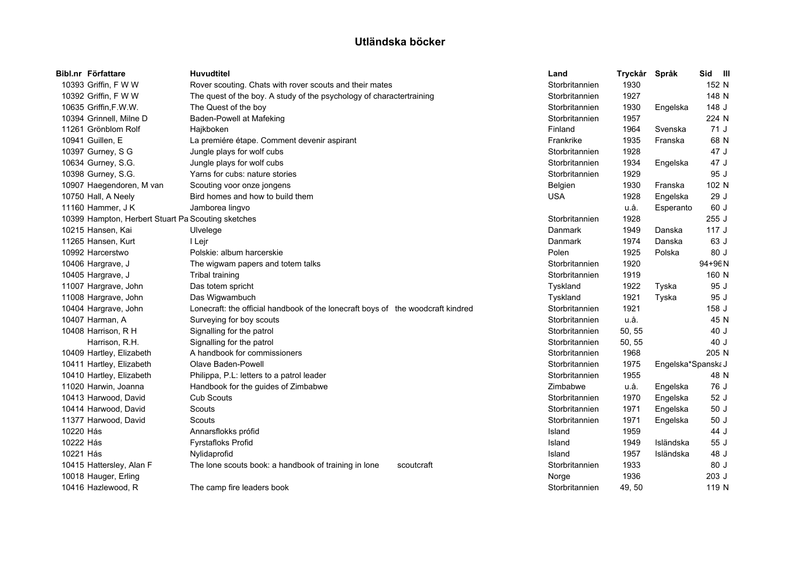|           | Bibl.nr Författare                                 | <b>Huvudtitel</b>                                                               | Land           | Tryckår | Språk              | Sid III     |
|-----------|----------------------------------------------------|---------------------------------------------------------------------------------|----------------|---------|--------------------|-------------|
|           | 10393 Griffin, F W W                               | Rover scouting. Chats with rover scouts and their mates                         | Storbritannien | 1930    |                    | 152 N       |
|           | 10392 Griffin, F W W                               | The quest of the boy. A study of the psychology of charactertraining            | Storbritannien | 1927    |                    | 148 N       |
|           | 10635 Griffin, F.W.W.                              | The Quest of the boy                                                            | Storbritannien | 1930    | Engelska           | 148 J       |
|           | 10394 Grinnell, Milne D                            | Baden-Powell at Mafeking                                                        | Storbritannien | 1957    |                    | 224 N       |
|           | 11261 Grönblom Rolf                                | Hajkboken                                                                       | Finland        | 1964    | Svenska            | 71J         |
|           | 10941 Guillen, E                                   | La premiére étape. Comment devenir aspirant                                     | Frankrike      | 1935    | Franska            | 68 N        |
|           | 10397 Gurney, S G                                  | Jungle plays for wolf cubs                                                      | Storbritannien | 1928    |                    | 47 J        |
|           | 10634 Gurney, S.G.                                 | Jungle plays for wolf cubs                                                      | Storbritannien | 1934    | Engelska           | 47 J        |
|           | 10398 Gurney, S.G.                                 | Yarns for cubs: nature stories                                                  | Storbritannien | 1929    |                    | 95 J        |
|           | 10907 Haegendoren, M van                           | Scouting voor onze jongens                                                      | Belgien        | 1930    | Franska            | 102 N       |
|           | 10750 Hall, A Neely                                | Bird homes and how to build them                                                | <b>USA</b>     | 1928    | Engelska           | 29 J        |
|           | 11160 Hammer, J K                                  | Jamborea lingvo                                                                 |                | u.å.    | Esperanto          | 60 J        |
|           | 10399 Hampton, Herbert Stuart Pa Scouting sketches |                                                                                 | Storbritannien | 1928    |                    | 255 J       |
|           | 10215 Hansen, Kai                                  | Ulvelege                                                                        | Danmark        | 1949    | Danska             | 117J        |
|           | 11265 Hansen, Kurt                                 | I Lejr                                                                          | Danmark        | 1974    | Danska             | 63 J        |
|           | 10992 Harcerstwo                                   | Polskie: album harcerskie                                                       | Polen          | 1925    | Polska             | 80 J        |
|           | 10406 Hargrave, J                                  | The wigwam papers and totem talks                                               | Storbritannien | 1920    |                    | $94 + 96 N$ |
|           | 10405 Hargrave, J                                  | <b>Tribal training</b>                                                          | Storbritannien | 1919    |                    | 160 N       |
|           | 11007 Hargrave, John                               | Das totem spricht                                                               | Tyskland       | 1922    | Tyska              | 95 J        |
|           | 11008 Hargrave, John                               | Das Wigwambuch                                                                  | Tyskland       | 1921    | Tyska              | 95 J        |
|           | 10404 Hargrave, John                               | Lonecraft: the official handbook of the lonecraft boys of the woodcraft kindred | Storbritannien | 1921    |                    | 158 J       |
|           | 10407 Harman, A                                    | Surveying for boy scouts                                                        | Storbritannien | u.å.    |                    | 45 N        |
|           | 10408 Harrison, R H                                | Signalling for the patrol                                                       | Storbritannien | 50, 55  |                    | 40 J        |
|           | Harrison, R.H.                                     | Signalling for the patrol                                                       | Storbritannien | 50, 55  |                    | 40 J        |
|           | 10409 Hartley, Elizabeth                           | A handbook for commissioners                                                    | Storbritannien | 1968    |                    | 205 N       |
|           | 10411 Hartley, Elizabeth                           | Olave Baden-Powell                                                              | Storbritannien | 1975    | Engelska*Spanska J |             |
|           | 10410 Hartley, Elizabeth                           | Philippa, P.L. letters to a patrol leader                                       | Storbritannien | 1955    |                    | 48 N        |
|           | 11020 Harwin, Joanna                               | Handbook for the guides of Zimbabwe                                             | Zimbabwe       | u.å.    | Engelska           | 76 J        |
|           | 10413 Harwood, David                               | <b>Cub Scouts</b>                                                               | Storbritannien | 1970    | Engelska           | 52 J        |
|           | 10414 Harwood, David                               | Scouts                                                                          | Storbritannien | 1971    | Engelska           | 50J         |
|           | 11377 Harwood, David                               | Scouts                                                                          | Storbritannien | 1971    | Engelska           | 50J         |
| 10220 Hás |                                                    | Annarsflokks prófid                                                             | Island         | 1959    |                    | 44 J        |
| 10222 Hás |                                                    | <b>Fyrstafloks Profid</b>                                                       | Island         | 1949    | Isländska          | 55 J        |
| 10221 Hás |                                                    | Nylidaprofid                                                                    | Island         | 1957    | Isländska          | 48 J        |
|           | 10415 Hattersley, Alan F                           | The lone scouts book: a handbook of training in lone<br>scoutcraft              | Storbritannien | 1933    |                    | 80 J        |
|           | 10018 Hauger, Erling                               |                                                                                 | Norge          | 1936    |                    | 203 J       |
|           | 10416 Hazlewood, R                                 | The camp fire leaders book                                                      | Storbritannien | 49, 50  |                    | 119 N       |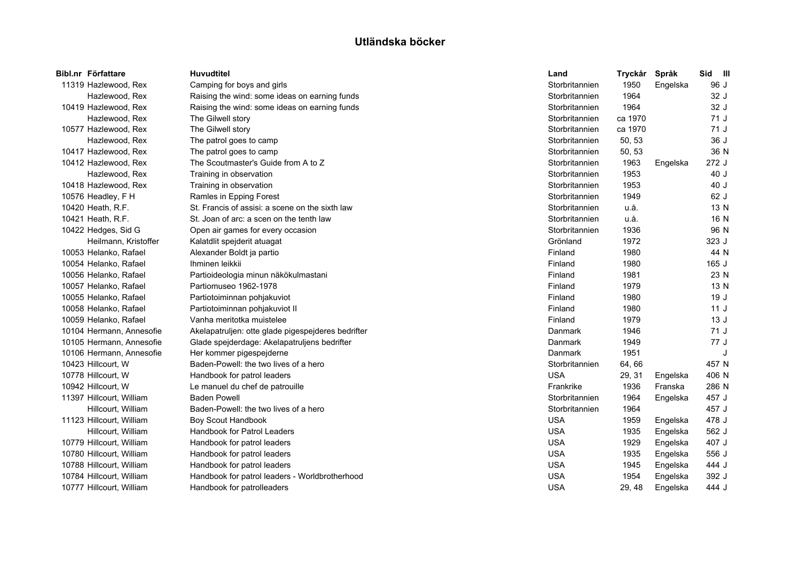| Bibl.nr Författare       | <b>Huvudtitel</b>                                  | Land           | Tryckår | Språk    | Sid III |   |
|--------------------------|----------------------------------------------------|----------------|---------|----------|---------|---|
| 11319 Hazlewood, Rex     | Camping for boys and girls                         | Storbritannien | 1950    | Engelska | 96 J    |   |
| Hazlewood, Rex           | Raising the wind: some ideas on earning funds      | Storbritannien | 1964    |          | 32 J    |   |
| 10419 Hazlewood, Rex     | Raising the wind: some ideas on earning funds      | Storbritannien | 1964    |          | 32 J    |   |
| Hazlewood, Rex           | The Gilwell story                                  | Storbritannien | ca 1970 |          | 71 J    |   |
| 10577 Hazlewood, Rex     | The Gilwell story                                  | Storbritannien | ca 1970 |          | 71 J    |   |
| Hazlewood, Rex           | The patrol goes to camp                            | Storbritannien | 50, 53  |          | 36 J    |   |
| 10417 Hazlewood, Rex     | The patrol goes to camp                            | Storbritannien | 50, 53  |          | 36 N    |   |
| 10412 Hazlewood, Rex     | The Scoutmaster's Guide from A to Z                | Storbritannien | 1963    | Engelska | 272 J   |   |
| Hazlewood, Rex           | Training in observation                            | Storbritannien | 1953    |          | 40 J    |   |
| 10418 Hazlewood, Rex     | Training in observation                            | Storbritannien | 1953    |          | 40 J    |   |
| 10576 Headley, F H       | Ramles in Epping Forest                            | Storbritannien | 1949    |          | 62 J    |   |
| 10420 Heath, R.F.        | St. Francis of assisi: a scene on the sixth law    | Storbritannien | u.å.    |          | 13 N    |   |
| 10421 Heath, R.F.        | St. Joan of arc: a scen on the tenth law           | Storbritannien | u.å.    |          | 16 N    |   |
| 10422 Hedges, Sid G      | Open air games for every occasion                  | Storbritannien | 1936    |          | 96 N    |   |
| Heilmann, Kristoffer     | Kalatdlit spejderit atuagat                        | Grönland       | 1972    |          | 323 J   |   |
| 10053 Helanko, Rafael    | Alexander Boldt ja partio                          | Finland        | 1980    |          | 44 N    |   |
| 10054 Helanko, Rafael    | Ihminen leikkii                                    | Finland        | 1980    |          | 165J    |   |
| 10056 Helanko, Rafael    | Partioideologia minun näkökulmastani               | Finland        | 1981    |          | 23 N    |   |
| 10057 Helanko, Rafael    | Partiomuseo 1962-1978                              | Finland        | 1979    |          | 13 N    |   |
| 10055 Helanko, Rafael    | Partiotoiminnan pohjakuviot                        | Finland        | 1980    |          | 19J     |   |
| 10058 Helanko, Rafael    | Partiotoiminnan pohjakuviot II                     | Finland        | 1980    |          | 11J     |   |
| 10059 Helanko, Rafael    | Vanha meritotka muistelee                          | Finland        | 1979    |          | 13J     |   |
| 10104 Hermann, Annesofie | Akelapatruljen: otte glade pigespejderes bedrifter | Danmark        | 1946    |          | 71J     |   |
| 10105 Hermann, Annesofie | Glade spejderdage: Akelapatruljens bedrifter       | Danmark        | 1949    |          | 77 J    |   |
| 10106 Hermann, Annesofie | Her kommer pigespejderne                           | Danmark        | 1951    |          |         | J |
| 10423 Hillcourt, W       | Baden-Powell: the two lives of a hero              | Storbritannien | 64,66   |          | 457 N   |   |
| 10778 Hillcourt, W       | Handbook for patrol leaders                        | <b>USA</b>     | 29, 31  | Engelska | 406 N   |   |
| 10942 Hillcourt, W       | Le manuel du chef de patrouille                    | Frankrike      | 1936    | Franska  | 286 N   |   |
| 11397 Hillcourt, William | <b>Baden Powell</b>                                | Storbritannien | 1964    | Engelska | 457 J   |   |
| Hillcourt, William       | Baden-Powell: the two lives of a hero              | Storbritannien | 1964    |          | 457 J   |   |
| 11123 Hillcourt, William | Boy Scout Handbook                                 | <b>USA</b>     | 1959    | Engelska | 478 J   |   |
| Hillcourt, William       | <b>Handbook for Patrol Leaders</b>                 | <b>USA</b>     | 1935    | Engelska | 562 J   |   |
| 10779 Hillcourt, William | Handbook for patrol leaders                        | <b>USA</b>     | 1929    | Engelska | 407 J   |   |
| 10780 Hillcourt, William | Handbook for patrol leaders                        | <b>USA</b>     | 1935    | Engelska | 556 J   |   |
| 10788 Hillcourt, William | Handbook for patrol leaders                        | <b>USA</b>     | 1945    | Engelska | 444 J   |   |
| 10784 Hillcourt, William | Handbook for patrol leaders - Worldbrotherhood     | <b>USA</b>     | 1954    | Engelska | 392 J   |   |
| 10777 Hillcourt, William | Handbook for patrolleaders                         | <b>USA</b>     | 29, 48  | Engelska | 444 J   |   |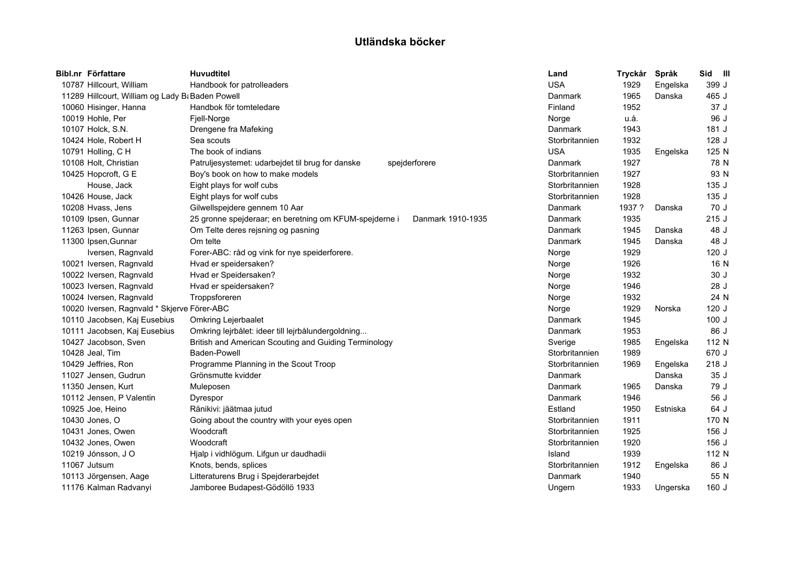| Bibl.nr Författare                               | <b>Huvudtitel</b>                                                           | Land           | Tryckår | Språk    | Sid III |  |
|--------------------------------------------------|-----------------------------------------------------------------------------|----------------|---------|----------|---------|--|
| 10787 Hillcourt, William                         | Handbook for patrolleaders                                                  | <b>USA</b>     | 1929    | Engelska | 399 J   |  |
| 11289 Hillcourt, William og Lady B: Baden Powell |                                                                             | Danmark        | 1965    | Danska   | 465 J   |  |
| 10060 Hisinger, Hanna                            | Handbok för tomteledare                                                     | Finland        | 1952    |          | 37 J    |  |
| 10019 Hohle, Per                                 | Fjell-Norge                                                                 | Norge          | u.å.    |          | 96 J    |  |
| 10107 Holck, S.N.                                | Drengene fra Mafeking                                                       | Danmark        | 1943    |          | 181J    |  |
| 10424 Hole, Robert H                             | Sea scouts                                                                  | Storbritannien | 1932    |          | 128 J   |  |
| 10791 Holling, C H                               | The book of indians                                                         | <b>USA</b>     | 1935    | Engelska | 125 N   |  |
| 10108 Holt, Christian                            | Patruljesystemet: udarbejdet til brug for danske<br>spejderforere           | Danmark        | 1927    |          | 78 N    |  |
| 10425 Hopcroft, G E                              | Boy's book on how to make models                                            | Storbritannien | 1927    |          | 93 N    |  |
| House, Jack                                      | Eight plays for wolf cubs                                                   | Storbritannien | 1928    |          | 135 J   |  |
| 10426 House, Jack                                | Eight plays for wolf cubs                                                   | Storbritannien | 1928    |          | 135 J   |  |
| 10208 Hvass, Jens                                | Gilwellspejdere gennem 10 Aar                                               | Danmark        | 1937 ?  | Danska   | 70 J    |  |
| 10109 Ipsen, Gunnar                              | 25 gronne spejderaar; en beretning om KFUM-spejderne i<br>Danmark 1910-1935 | Danmark        | 1935    |          | 215J    |  |
| 11263 Ipsen, Gunnar                              | Om Telte deres rejsning og pasning                                          | Danmark        | 1945    | Danska   | 48 J    |  |
| 11300 Ipsen, Gunnar                              | Om telte                                                                    | Danmark        | 1945    | Danska   | 48 J    |  |
| Iversen, Ragnvald                                | Forer-ABC: råd og vink for nye speiderforere.                               | Norge          | 1929    |          | 120J    |  |
| 10021 Iversen, Ragnvald                          | Hvad er speidersaken?                                                       | Norge          | 1926    |          | 16 N    |  |
| 10022 Iversen, Ragnvald                          | Hvad er Speidersaken?                                                       | Norge          | 1932    |          | 30 J    |  |
| 10023 Iversen, Ragnvald                          | Hvad er speidersaken?                                                       | Norge          | 1946    |          | 28 J    |  |
| 10024 Iversen, Ragnvald                          | Troppsforeren                                                               | Norge          | 1932    |          | 24 N    |  |
| 10020 Iversen, Ragnvald * Skjerve Förer-ABC      |                                                                             | Norge          | 1929    | Norska   | 120J    |  |
| 10110 Jacobsen, Kaj Eusebius                     | <b>Omkring Lejerbaalet</b>                                                  | Danmark        | 1945    |          | 100J    |  |
| 10111 Jacobsen, Kaj Eusebius                     | Omkring lejrbålet: ideer till lejrbålundergoldning                          | Danmark        | 1953    |          | 86 J    |  |
| 10427 Jacobson, Sven                             | British and American Scouting and Guiding Terminology                       | Sverige        | 1985    | Engelska | 112 N   |  |
| 10428 Jeal, Tim                                  | Baden-Powell                                                                | Storbritannien | 1989    |          | 670 J   |  |
| 10429 Jeffries, Ron                              | Programme Planning in the Scout Troop                                       | Storbritannien | 1969    | Engelska | 218 J   |  |
| 11027 Jensen, Gudrun                             | Grönsmutte kvidder                                                          | Danmark        |         | Danska   | 35J     |  |
| 11350 Jensen, Kurt                               | Muleposen                                                                   | Danmark        | 1965    | Danska   | 79 J    |  |
| 10112 Jensen, P Valentin                         | Dyrespor                                                                    | Danmark        | 1946    |          | 56 J    |  |
| 10925 Joe, Heino                                 | Ränikivi: jäätmaa jutud                                                     | Estland        | 1950    | Estniska | 64 J    |  |
| 10430 Jones, O                                   | Going about the country with your eyes open                                 | Storbritannien | 1911    |          | 170 N   |  |
| 10431 Jones, Owen                                | Woodcraft                                                                   | Storbritannien | 1925    |          | 156 J   |  |
| 10432 Jones, Owen                                | Woodcraft                                                                   | Storbritannien | 1920    |          | 156 J   |  |
| 10219 Jónsson, J O                               | Hjalp i vidhlögum. Lifgun ur daudhadii                                      | Island         | 1939    |          | 112 N   |  |
| 11067 Jutsum                                     | Knots, bends, splices                                                       | Storbritannien | 1912    | Engelska | 86 J    |  |
| 10113 Jörgensen, Aage                            | Litteraturens Brug i Spejderarbejdet                                        | Danmark        | 1940    |          | 55 N    |  |
| 11176 Kalman Radvanyi                            | Jamboree Budapest-Gödöllö 1933                                              | Ungern         | 1933    | Ungerska | 160 J   |  |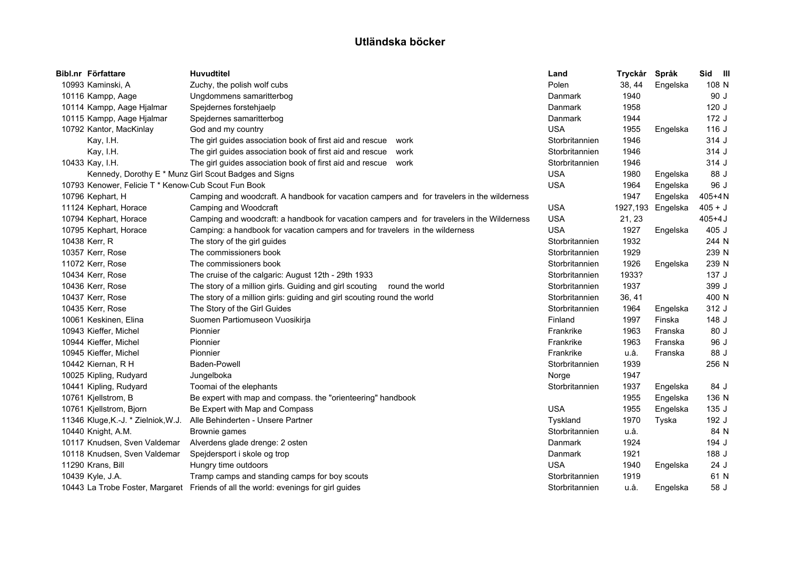| Bibl.nr Författare                                  | <b>Huvudtitel</b>                                                                          | Land           | Tryckår | Språk             | Sid III    |
|-----------------------------------------------------|--------------------------------------------------------------------------------------------|----------------|---------|-------------------|------------|
| 10993 Kaminski, A                                   | Zuchy, the polish wolf cubs                                                                | Polen          | 38, 44  | Engelska          | 108 N      |
| 10116 Kampp, Aage                                   | Ungdommens samaritterbog                                                                   | Danmark        | 1940    |                   | 90 J       |
| 10114 Kampp, Aage Hjalmar                           | Spejdernes forstehjaelp                                                                    | Danmark        | 1958    |                   | 120J       |
| 10115 Kampp, Aage Hjalmar                           | Spejdernes samaritterbog                                                                   | Danmark        | 1944    |                   | 172J       |
| 10792 Kantor, MacKinlay                             | God and my country                                                                         | <b>USA</b>     | 1955    | Engelska          | 116 J      |
| Kay, I.H.                                           | The girl guides association book of first aid and rescue<br>work                           | Storbritannien | 1946    |                   | 314 J      |
| Kay, I.H.                                           | The girl guides association book of first aid and rescue work                              | Storbritannien | 1946    |                   | 314 J      |
| 10433 Kay, I.H.                                     | The girl guides association book of first aid and rescue work                              | Storbritannien | 1946    |                   | 314 J      |
|                                                     | Kennedy, Dorothy E * Munz Girl Scout Badges and Signs                                      | <b>USA</b>     | 1980    | Engelska          | 88 J       |
| 10793 Kenower, Felicie T * Kenow Cub Scout Fun Book |                                                                                            | <b>USA</b>     | 1964    | Engelska          | 96 J       |
| 10796 Kephart, H                                    | Camping and woodcraft. A handbook for vacation campers and for travelers in the wilderness |                | 1947    | Engelska          | $405 + 4N$ |
| 11124 Kephart, Horace                               | Camping and Woodcraft                                                                      | <b>USA</b>     |         | 1927,193 Engelska | $405 + J$  |
| 10794 Kephart, Horace                               | Camping and woodcraft: a handbook for vacation campers and for travelers in the Wilderness | <b>USA</b>     | 21, 23  |                   | $405 + 4J$ |
| 10795 Kephart, Horace                               | Camping: a handbook for vacation campers and for travelers in the wilderness               | <b>USA</b>     | 1927    | Engelska          | 405 J      |
| 10438 Kerr, R                                       | The story of the girl guides                                                               | Storbritannien | 1932    |                   | 244 N      |
| 10357 Kerr, Rose                                    | The commissioners book                                                                     | Storbritannien | 1929    |                   | 239 N      |
| 11072 Kerr, Rose                                    | The commissioners book                                                                     | Storbritannien | 1926    | Engelska          | 239 N      |
| 10434 Kerr, Rose                                    | The cruise of the calgaric: August 12th - 29th 1933                                        | Storbritannien | 1933?   |                   | 137 J      |
| 10436 Kerr, Rose                                    | The story of a million girls. Guiding and girl scouting<br>round the world                 | Storbritannien | 1937    |                   | 399 J      |
| 10437 Kerr, Rose                                    | The story of a million girls: guiding and girl scouting round the world                    | Storbritannien | 36, 41  |                   | 400 N      |
| 10435 Kerr, Rose                                    | The Story of the Girl Guides                                                               | Storbritannien | 1964    | Engelska          | 312 J      |
| 10061 Keskinen, Elina                               | Suomen Partiomuseon Vuosikirja                                                             | Finland        | 1997    | Finska            | 148 J      |
| 10943 Kieffer, Michel                               | Pionnier                                                                                   | Frankrike      | 1963    | Franska           | 80 J       |
| 10944 Kieffer, Michel                               | Pionnier                                                                                   | Frankrike      | 1963    | Franska           | 96 J       |
| 10945 Kieffer, Michel                               | Pionnier                                                                                   | Frankrike      | u.å.    | Franska           | 88 J       |
| 10442 Kiernan, R H                                  | Baden-Powell                                                                               | Storbritannien | 1939    |                   | 256 N      |
| 10025 Kipling, Rudyard                              | Jungelboka                                                                                 | Norge          | 1947    |                   |            |
| 10441 Kipling, Rudyard                              | Toomai of the elephants                                                                    | Storbritannien | 1937    | Engelska          | 84 J       |
| 10761 Kjellstrom, B                                 | Be expert with map and compass. the "orienteering" handbook                                |                | 1955    | Engelska          | 136 N      |
| 10761 Kjellstrom, Bjorn                             | Be Expert with Map and Compass                                                             | <b>USA</b>     | 1955    | Engelska          | 135J       |
| 11346 Kluge, K.-J. * Zielniok, W.J.                 | Alle Behinderten - Unsere Partner                                                          | Tyskland       | 1970    | Tyska             | 192 J      |
| 10440 Knight, A.M.                                  | Brownie games                                                                              | Storbritannien | u.å.    |                   | 84 N       |
| 10117 Knudsen, Sven Valdemar                        | Alverdens glade drenge: 2 osten                                                            | Danmark        | 1924    |                   | 194 J      |
| 10118 Knudsen, Sven Valdemar                        | Spejdersport i skole og trop                                                               | Danmark        | 1921    |                   | 188 J      |
| 11290 Krans, Bill                                   | Hungry time outdoors                                                                       | <b>USA</b>     | 1940    | Engelska          | 24J        |
| 10439 Kyle, J.A.                                    | Tramp camps and standing camps for boy scouts                                              | Storbritannien | 1919    |                   | 61 N       |
|                                                     | 10443 La Trobe Foster, Margaret Friends of all the world: evenings for girl guides         | Storbritannien | u.å.    | Engelska          | 58 J       |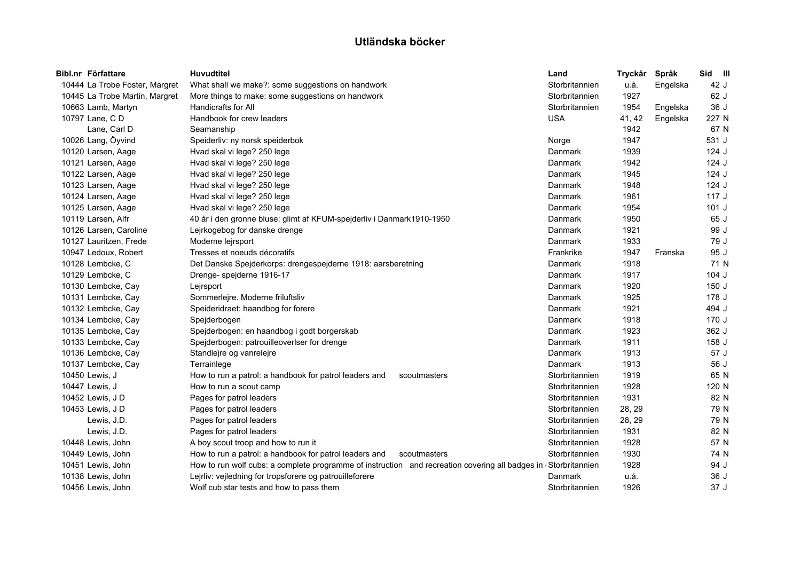| Bibl.nr Författare             | <b>Huvudtitel</b>                                                                                               | Land           | Tryckår | Språk    | Sid III |  |
|--------------------------------|-----------------------------------------------------------------------------------------------------------------|----------------|---------|----------|---------|--|
| 10444 La Trobe Foster, Margret | What shall we make?: some suggestions on handwork                                                               | Storbritannien | u.å.    | Engelska | 42 J    |  |
| 10445 La Trobe Martin, Margret | More things to make: some suggestions on handwork                                                               | Storbritannien | 1927    |          | 62 J    |  |
| 10663 Lamb, Martyn             | <b>Handicrafts for All</b>                                                                                      | Storbritannien | 1954    | Engelska | 36 J    |  |
| 10797 Lane, C D                | Handbook for crew leaders                                                                                       | <b>USA</b>     | 41, 42  | Engelska | 227 N   |  |
| Lane, Carl D                   | Seamanship                                                                                                      |                | 1942    |          | 67 N    |  |
| 10026 Lang, Öyvind             | Speiderliv: ny norsk speiderbok                                                                                 | Norge          | 1947    |          | 531 J   |  |
| 10120 Larsen, Aage             | Hvad skal vi lege? 250 lege                                                                                     | Danmark        | 1939    |          | $124$ J |  |
| 10121 Larsen, Aage             | Hvad skal vi lege? 250 lege                                                                                     | Danmark        | 1942    |          | $124$ J |  |
| 10122 Larsen, Aage             | Hvad skal vi lege? 250 lege                                                                                     | Danmark        | 1945    |          | $124$ J |  |
| 10123 Larsen, Aage             | Hvad skal vi lege? 250 lege                                                                                     | Danmark        | 1948    |          | $124$ J |  |
| 10124 Larsen, Aage             | Hvad skal vi lege? 250 lege                                                                                     | Danmark        | 1961    |          | 117J    |  |
| 10125 Larsen, Aage             | Hvad skal vi lege? 250 lege                                                                                     | Danmark        | 1954    |          | 101J    |  |
| 10119 Larsen, Alfr             | 40 år i den gronne bluse: glimt af KFUM-spejderliv i Danmark1910-1950                                           | Danmark        | 1950    |          | 65 J    |  |
| 10126 Larsen, Caroline         | Lejrkogebog for danske drenge                                                                                   | Danmark        | 1921    |          | 99 J    |  |
| 10127 Lauritzen, Frede         | Moderne lejrsport                                                                                               | Danmark        | 1933    |          | 79 J    |  |
| 10947 Ledoux, Robert           | Tresses et noeuds décoratifs                                                                                    | Frankrike      | 1947    | Franska  | 95 J    |  |
| 10128 Lembcke, C               | Det Danske Spejderkorps: drengespejderne 1918: aarsberetning                                                    | Danmark        | 1918    |          | 71 N    |  |
| 10129 Lembcke, C               | Drenge- spejderne 1916-17                                                                                       | Danmark        | 1917    |          | $104$ J |  |
| 10130 Lembcke, Cay             | Lejrsport                                                                                                       | Danmark        | 1920    |          | 150J    |  |
| 10131 Lembcke, Cav             | Sommerlejre. Moderne friluftsliv                                                                                | Danmark        | 1925    |          | 178 J   |  |
| 10132 Lembcke, Cay             | Speideridraet: haandbog for forere                                                                              | Danmark        | 1921    |          | 494 J   |  |
| 10134 Lembcke, Cay             | Spejderbogen                                                                                                    | Danmark        | 1918    |          | 170J    |  |
| 10135 Lembcke, Cay             | Spejderbogen: en haandbog i godt borgerskab                                                                     | Danmark        | 1923    |          | 362 J   |  |
| 10133 Lembcke, Cay             | Spejderbogen: patrouilleoverlser for drenge                                                                     | Danmark        | 1911    |          | 158 J   |  |
| 10136 Lembcke, Cay             | Standlejre og vanrelejre                                                                                        | Danmark        | 1913    |          | 57 J    |  |
| 10137 Lembcke, Cay             | Terrainlege                                                                                                     | Danmark        | 1913    |          | 56 J    |  |
| 10450 Lewis, J                 | How to run a patrol: a handbook for patrol leaders and<br>scoutmasters                                          | Storbritannien | 1919    |          | 65 N    |  |
| 10447 Lewis, J                 | How to run a scout camp                                                                                         | Storbritannien | 1928    |          | 120 N   |  |
| 10452 Lewis, J D               | Pages for patrol leaders                                                                                        | Storbritannien | 1931    |          | 82 N    |  |
| 10453 Lewis, J D               | Pages for patrol leaders                                                                                        | Storbritannien | 28, 29  |          | 79 N    |  |
| Lewis, J.D.                    | Pages for patrol leaders                                                                                        | Storbritannien | 28, 29  |          | 79 N    |  |
| Lewis, J.D.                    | Pages for patrol leaders                                                                                        | Storbritannien | 1931    |          | 82 N    |  |
| 10448 Lewis, John              | A boy scout troop and how to run it                                                                             | Storbritannien | 1928    |          | 57 N    |  |
| 10449 Lewis, John              | How to run a patrol: a handbook for patrol leaders and<br>scoutmasters                                          | Storbritannien | 1930    |          | 74 N    |  |
| 10451 Lewis, John              | How to run wolf cubs: a complete programme of instruction and recreation covering all badges in (Storbritannien |                | 1928    |          | 94 J    |  |
| 10138 Lewis, John              | Lejrliv: vejledning for tropsforere og patrouilleforere                                                         | Danmark        | u.å.    |          | 36 J    |  |
| 10456 Lewis, John              | Wolf cub star tests and how to pass them                                                                        | Storbritannien | 1926    |          | 37 J    |  |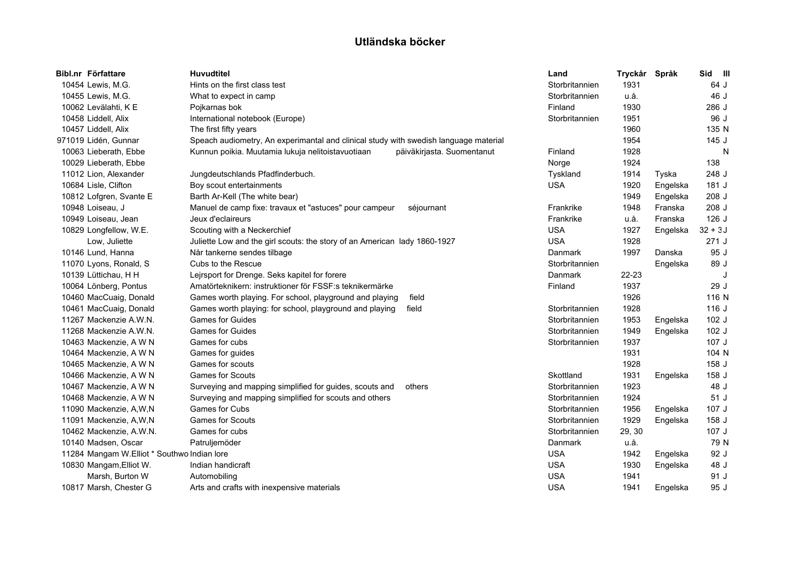| Bibl.nr Författare                          | <b>Huvudtitel</b>                                                                    |                            | Land           | Tryckår | Språk    | Sid III   |
|---------------------------------------------|--------------------------------------------------------------------------------------|----------------------------|----------------|---------|----------|-----------|
| 10454 Lewis, M.G.                           | Hints on the first class test                                                        |                            | Storbritannien | 1931    |          | 64 J      |
| 10455 Lewis, M.G.                           | What to expect in camp                                                               |                            | Storbritannien | u.å.    |          | 46 J      |
| 10062 Levälahti, K E                        | Pojkarnas bok                                                                        |                            | Finland        | 1930    |          | 286 J     |
| 10458 Liddell, Alix                         | International notebook (Europe)                                                      |                            | Storbritannien | 1951    |          | 96 J      |
| 10457 Liddell, Alix                         | The first fifty years                                                                |                            |                | 1960    |          | 135 N     |
| 971019 Lidén, Gunnar                        | Speach audiometry, An experimantal and clinical study with swedish language material |                            |                | 1954    |          | 145 J     |
| 10063 Lieberath, Ebbe                       | Kunnun poikia. Muutamia lukuja nelitoistavuotiaan                                    | päiväkirjasta. Suomentanut | Finland        | 1928    |          | N         |
| 10029 Lieberath, Ebbe                       |                                                                                      |                            | Norge          | 1924    |          | 138       |
| 11012 Lion, Alexander                       | Jungdeutschlands Pfadfinderbuch.                                                     |                            | Tyskland       | 1914    | Tyska    | 248 J     |
| 10684 Lisle, Clifton                        | Boy scout entertainments                                                             |                            | <b>USA</b>     | 1920    | Engelska | 181 J     |
| 10812 Lofgren, Svante E                     | Barth Ar-Kell (The white bear)                                                       |                            |                | 1949    | Engelska | 208 J     |
| 10948 Loiseau, J                            | Manuel de camp fixe: travaux et "astuces" pour campeur                               | séjournant                 | Frankrike      | 1948    | Franska  | 208 J     |
| 10949 Loiseau, Jean                         | Jeux d'eclaireurs                                                                    |                            | Frankrike      | u.å.    | Franska  | $126$ J   |
| 10829 Longfellow, W.E.                      | Scouting with a Neckerchief                                                          |                            | <b>USA</b>     | 1927    | Engelska | $32 + 3J$ |
| Low, Juliette                               | Juliette Low and the girl scouts: the story of an American lady 1860-1927            |                            | <b>USA</b>     | 1928    |          | 271J      |
| 10146 Lund, Hanna                           | Når tankerne sendes tilbage                                                          |                            | Danmark        | 1997    | Danska   | 95 J      |
| 11070 Lyons, Ronald, S                      | Cubs to the Rescue                                                                   |                            | Storbritannien |         | Engelska | 89 J      |
| 10139 Lüttichau, H H                        | Lejrsport for Drenge. Seks kapitel for forere                                        |                            | Danmark        | 22-23   |          | J         |
| 10064 Lönberg, Pontus                       | Amatörteknikern: instruktioner för FSSF:s teknikermärke                              |                            | Finland        | 1937    |          | 29 J      |
| 10460 MacCuaig, Donald                      | Games worth playing. For school, playground and playing                              | field                      |                | 1926    |          | 116 N     |
| 10461 MacCuaig, Donald                      | Games worth playing: for school, playground and playing                              | field                      | Storbritannien | 1928    |          | 116 J     |
| 11267 Mackenzie A.W.N.                      | <b>Games for Guides</b>                                                              |                            | Storbritannien | 1953    | Engelska | 102 J     |
| 11268 Mackenzie A.W.N.                      | <b>Games for Guides</b>                                                              |                            | Storbritannien | 1949    | Engelska | $102$ J   |
| 10463 Mackenzie, A W N                      | Games for cubs                                                                       |                            | Storbritannien | 1937    |          | 107J      |
| 10464 Mackenzie, A W N                      | Games for guides                                                                     |                            |                | 1931    |          | 104 N     |
| 10465 Mackenzie, A W N                      | Games for scouts                                                                     |                            |                | 1928    |          | 158 J     |
| 10466 Mackenzie, A W N                      | <b>Games for Scouts</b>                                                              |                            | Skottland      | 1931    | Engelska | 158 J     |
| 10467 Mackenzie, A W N                      | Surveying and mapping simplified for guides, scouts and                              | others                     | Storbritannien | 1923    |          | 48 J      |
| 10468 Mackenzie, A W N                      | Surveying and mapping simplified for scouts and others                               |                            | Storbritannien | 1924    |          | 51 J      |
| 11090 Mackenzie, A,W,N                      | <b>Games for Cubs</b>                                                                |                            | Storbritannien | 1956    | Engelska | 107 J     |
| 11091 Mackenzie, A, W, N                    | <b>Games for Scouts</b>                                                              |                            | Storbritannien | 1929    | Engelska | 158 J     |
| 10462 Mackenzie, A.W.N.                     | Games for cubs                                                                       |                            | Storbritannien | 29, 30  |          | 107 J     |
| 10140 Madsen, Oscar                         | Patruljemöder                                                                        |                            | Danmark        | u.å.    |          | 79 N      |
| 11284 Mangam W.Elliot * Southwo Indian lore |                                                                                      |                            | <b>USA</b>     | 1942    | Engelska | 92 J      |
| 10830 Mangam, Elliot W.                     | Indian handicraft                                                                    |                            | <b>USA</b>     | 1930    | Engelska | 48 J      |
| Marsh, Burton W                             | Automobiling                                                                         |                            | <b>USA</b>     | 1941    |          | 91 J      |
| 10817 Marsh, Chester G                      | Arts and crafts with inexpensive materials                                           |                            | <b>USA</b>     | 1941    | Engelska | 95 J      |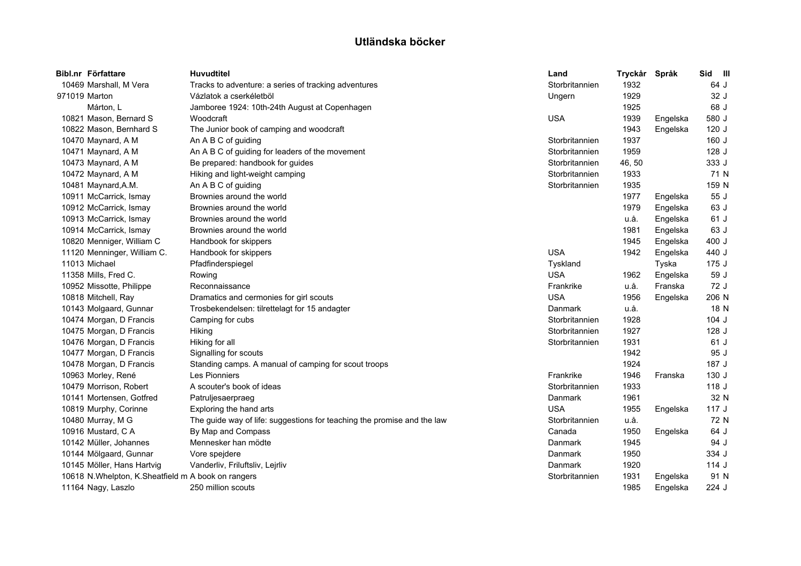|               | Bibl.nr Författare                                   | <b>Huvudtitel</b>                                                       | Land           | Tryckår | Språk    | Sid     | $\blacksquare$ |
|---------------|------------------------------------------------------|-------------------------------------------------------------------------|----------------|---------|----------|---------|----------------|
|               | 10469 Marshall, M Vera                               | Tracks to adventure: a series of tracking adventures                    | Storbritannien | 1932    |          | 64 J    |                |
| 971019 Marton |                                                      | Vázlatok a cserkéletböl                                                 | Ungern         | 1929    |          | 32 J    |                |
|               | Márton, L                                            | Jamboree 1924: 10th-24th August at Copenhagen                           |                | 1925    |          | 68 J    |                |
|               | 10821 Mason, Bernard S                               | Woodcraft                                                               | <b>USA</b>     | 1939    | Engelska | 580 J   |                |
|               | 10822 Mason, Bernhard S                              | The Junior book of camping and woodcraft                                |                | 1943    | Engelska | 120J    |                |
|               | 10470 Maynard, A M                                   | An A B C of guiding                                                     | Storbritannien | 1937    |          | 160 J   |                |
|               | 10471 Maynard, A M                                   | An A B C of guiding for leaders of the movement                         | Storbritannien | 1959    |          | 128 J   |                |
|               | 10473 Maynard, A M                                   | Be prepared: handbook for guides                                        | Storbritannien | 46,50   |          | 333 J   |                |
|               | 10472 Maynard, A M                                   | Hiking and light-weight camping                                         | Storbritannien | 1933    |          | 71 N    |                |
|               | 10481 Maynard, A.M.                                  | An A B C of guiding                                                     | Storbritannien | 1935    |          | 159 N   |                |
|               | 10911 McCarrick, Ismay                               | Brownies around the world                                               |                | 1977    | Engelska | 55 J    |                |
|               | 10912 McCarrick, Ismay                               | Brownies around the world                                               |                | 1979    | Engelska | 63 J    |                |
|               | 10913 McCarrick, Ismay                               | Brownies around the world                                               |                | u.å.    | Engelska | 61 J    |                |
|               | 10914 McCarrick, Ismay                               | Brownies around the world                                               |                | 1981    | Engelska | 63 J    |                |
|               | 10820 Menniger, William C                            | Handbook for skippers                                                   |                | 1945    | Engelska | 400 J   |                |
|               | 11120 Menninger, William C.                          | Handbook for skippers                                                   | <b>USA</b>     | 1942    | Engelska | 440 J   |                |
|               | 11013 Michael                                        | Pfadfinderspiegel                                                       | Tyskland       |         | Tyska    | 175J    |                |
|               | 11358 Mills, Fred C.                                 | Rowing                                                                  | <b>USA</b>     | 1962    | Engelska | 59 J    |                |
|               | 10952 Missotte, Philippe                             | Reconnaissance                                                          | Frankrike      | u.å.    | Franska  | 72 J    |                |
|               | 10818 Mitchell, Ray                                  | Dramatics and cermonies for girl scouts                                 | <b>USA</b>     | 1956    | Engelska | 206 N   |                |
|               | 10143 Molgaard, Gunnar                               | Trosbekendelsen: tilrettelagt for 15 andagter                           | Danmark        | u.å.    |          | 18 N    |                |
|               | 10474 Morgan, D Francis                              | Camping for cubs                                                        | Storbritannien | 1928    |          | $104$ J |                |
|               | 10475 Morgan, D Francis                              | Hiking                                                                  | Storbritannien | 1927    |          | $128$ J |                |
|               | 10476 Morgan, D Francis                              | Hiking for all                                                          | Storbritannien | 1931    |          | 61 J    |                |
|               | 10477 Morgan, D Francis                              | Signalling for scouts                                                   |                | 1942    |          | 95 J    |                |
|               | 10478 Morgan, D Francis                              | Standing camps. A manual of camping for scout troops                    |                | 1924    |          | 187 J   |                |
|               | 10963 Morley, René                                   | <b>Les Pionniers</b>                                                    | Frankrike      | 1946    | Franska  | 130 J   |                |
|               | 10479 Morrison, Robert                               | A scouter's book of ideas                                               | Storbritannien | 1933    |          | 118J    |                |
|               | 10141 Mortensen, Gotfred                             | Patruljesaerpraeg                                                       | Danmark        | 1961    |          | 32 N    |                |
|               | 10819 Murphy, Corinne                                | Exploring the hand arts                                                 | <b>USA</b>     | 1955    | Engelska | 117J    |                |
|               | 10480 Murray, M G                                    | The guide way of life: suggestions for teaching the promise and the law | Storbritannien | u.å.    |          | 72 N    |                |
|               | 10916 Mustard, C A                                   | By Map and Compass                                                      | Canada         | 1950    | Engelska | 64 J    |                |
|               | 10142 Müller, Johannes                               | Mennesker han mödte                                                     | Danmark        | 1945    |          | 94 J    |                |
|               | 10144 Mölgaard, Gunnar                               | Vore spejdere                                                           | Danmark        | 1950    |          | 334 J   |                |
|               | 10145 Möller, Hans Hartvig                           | Vanderliv, Friluftsliv, Leirliv                                         | Danmark        | 1920    |          | 114J    |                |
|               | 10618 N. Whelpton, K. Sheatfield m A book on rangers |                                                                         | Storbritannien | 1931    | Engelska | 91 N    |                |
|               | 11164 Nagy, Laszlo                                   | 250 million scouts                                                      |                | 1985    | Engelska | 224 J   |                |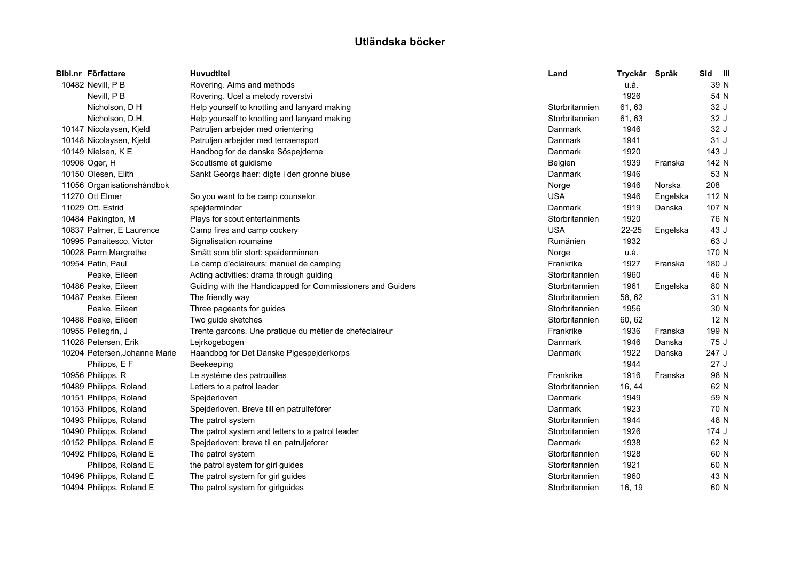| Bibl.nr Författare            | <b>Huvudtitel</b>                                          | Land           | Tryckår Språk |          | Sid III |  |
|-------------------------------|------------------------------------------------------------|----------------|---------------|----------|---------|--|
| 10482 Nevill, P B             | Rovering. Aims and methods                                 |                | u.å.          |          | 39 N    |  |
| Nevill, P B                   | Rovering. Ucel a metody roverstvi                          |                | 1926          |          | 54 N    |  |
| Nicholson, D H                | Help yourself to knotting and lanyard making               | Storbritannien | 61, 63        |          | 32 J    |  |
| Nicholson, D.H.               | Help yourself to knotting and lanyard making               | Storbritannien | 61, 63        |          | 32 J    |  |
| 10147 Nicolaysen, Kjeld       | Patruljen arbejder med orientering                         | Danmark        | 1946          |          | 32 J    |  |
| 10148 Nicolaysen, Kjeld       | Patruljen arbejder med terraensport                        | Danmark        | 1941          |          | 31 J    |  |
| 10149 Nielsen, K E            | Handbog for de danske Söspejderne                          | Danmark        | 1920          |          | 143J    |  |
| 10908 Oger, H                 | Scoutisme et guidisme                                      | Belgien        | 1939          | Franska  | 142 N   |  |
| 10150 Olesen, Elith           | Sankt Georgs haer: digte i den gronne bluse                | Danmark        | 1946          |          | 53 N    |  |
| 11056 Organisationshåndbok    |                                                            | Norge          | 1946          | Norska   | 208     |  |
| 11270 Ott Elmer               | So you want to be camp counselor                           | <b>USA</b>     | 1946          | Engelska | 112 N   |  |
| 11029 Ott. Estrid             | spejderminder                                              | Danmark        | 1919          | Danska   | 107 N   |  |
| 10484 Pakington, M            | Plays for scout entertainments                             | Storbritannien | 1920          |          | 76 N    |  |
| 10837 Palmer, E Laurence      | Camp fires and camp cockery                                | <b>USA</b>     | $22 - 25$     | Engelska | 43 J    |  |
| 10995 Panaitesco, Victor      | Signalisation roumaine                                     | Rumänien       | 1932          |          | 63 J    |  |
| 10028 Parm Margrethe          | Smått som blir stort: speiderminnen                        | Norge          | u.å.          |          | 170 N   |  |
| 10954 Patin, Paul             | Le camp d'eclaireurs: manuel de camping                    | Frankrike      | 1927          | Franska  | 180 J   |  |
| Peake, Eileen                 | Acting activities: drama through guiding                   | Storbritannien | 1960          |          | 46 N    |  |
| 10486 Peake, Eileen           | Guiding with the Handicapped for Commissioners and Guiders | Storbritannien | 1961          | Engelska | 80 N    |  |
| 10487 Peake, Eileen           | The friendly way                                           | Storbritannien | 58, 62        |          | 31 N    |  |
| Peake, Eileen                 | Three pageants for guides                                  | Storbritannien | 1956          |          | 30 N    |  |
| 10488 Peake, Eileen           | Two guide sketches                                         | Storbritannien | 60, 62        |          | 12 N    |  |
| 10955 Pellegrin, J            | Trente garcons. Une pratique du métier de cheféclaireur    | Frankrike      | 1936          | Franska  | 199 N   |  |
| 11028 Petersen, Erik          | Lejrkogebogen                                              | Danmark        | 1946          | Danska   | 75 J    |  |
| 10204 Petersen, Johanne Marie | Haandbog for Det Danske Pigespejderkorps                   | Danmark        | 1922          | Danska   | 247 J   |  |
| Philipps, E F                 | Beekeeping                                                 |                | 1944          |          | 27J     |  |
| 10956 Philipps, R             | Le systéme des patrouilles                                 | Frankrike      | 1916          | Franska  | 98 N    |  |
| 10489 Philipps, Roland        | Letters to a patrol leader                                 | Storbritannien | 16, 44        |          | 62 N    |  |
| 10151 Philipps, Roland        | Spejderloven                                               | Danmark        | 1949          |          | 59 N    |  |
| 10153 Philipps, Roland        | Spejderloven. Breve till en patrulfeförer                  | Danmark        | 1923          |          | 70 N    |  |
| 10493 Philipps, Roland        | The patrol system                                          | Storbritannien | 1944          |          | 48 N    |  |
| 10490 Philipps, Roland        | The patrol system and letters to a patrol leader           | Storbritannien | 1926          |          | 174 J   |  |
| 10152 Philipps, Roland E      | Spejderloven: breve til en patruljeforer                   | Danmark        | 1938          |          | 62 N    |  |
| 10492 Philipps, Roland E      | The patrol system                                          | Storbritannien | 1928          |          | 60 N    |  |
| Philipps, Roland E            | the patrol system for girl guides                          | Storbritannien | 1921          |          | 60 N    |  |
| 10496 Philipps, Roland E      | The patrol system for girl guides                          | Storbritannien | 1960          |          | 43 N    |  |
| 10494 Philipps, Roland E      | The patrol system for girlguides                           | Storbritannien | 16, 19        |          | 60 N    |  |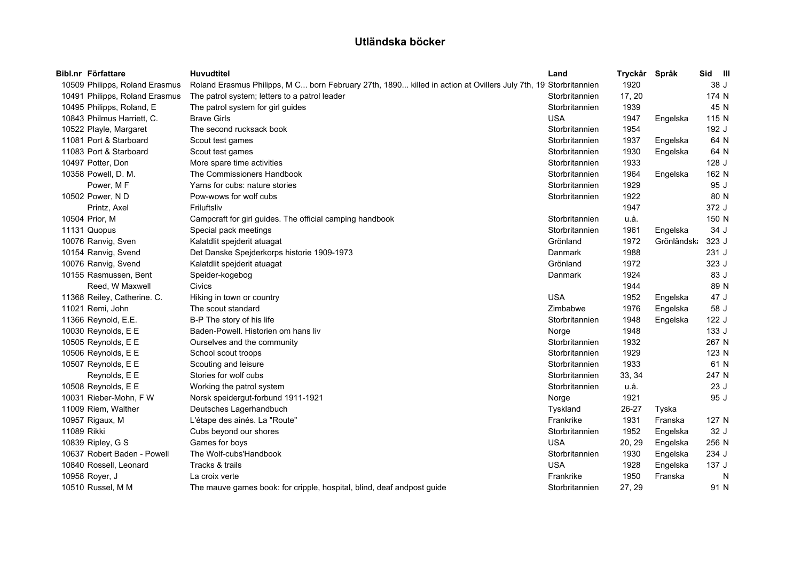|             | Bibl.nr Författare             | Huvudtitel                                                                                                     | Land           | Tryckår | Språk      | Sid III |   |
|-------------|--------------------------------|----------------------------------------------------------------------------------------------------------------|----------------|---------|------------|---------|---|
|             | 10509 Philipps, Roland Erasmus | Roland Erasmus Philipps, M C born February 27th, 1890 killed in action at Ovillers July 7th, 19 Storbritannien |                | 1920    |            | 38 J    |   |
|             | 10491 Philipps, Roland Erasmus | The patrol system; letters to a patrol leader                                                                  | Storbritannien | 17, 20  |            | 174 N   |   |
|             | 10495 Philipps, Roland, E      | The patrol system for girl guides                                                                              | Storbritannien | 1939    |            | 45 N    |   |
|             | 10843 Philmus Harriett, C.     | <b>Brave Girls</b>                                                                                             | <b>USA</b>     | 1947    | Engelska   | 115 N   |   |
|             | 10522 Playle, Margaret         | The second rucksack book                                                                                       | Storbritannien | 1954    |            | 192 J   |   |
|             | 11081 Port & Starboard         | Scout test games                                                                                               | Storbritannien | 1937    | Engelska   | 64 N    |   |
|             | 11083 Port & Starboard         | Scout test games                                                                                               | Storbritannien | 1930    | Engelska   | 64 N    |   |
|             | 10497 Potter, Don              | More spare time activities                                                                                     | Storbritannien | 1933    |            | 128J    |   |
|             | 10358 Powell, D. M.            | The Commissioners Handbook                                                                                     | Storbritannien | 1964    | Engelska   | 162 N   |   |
|             | Power, MF                      | Yarns for cubs: nature stories                                                                                 | Storbritannien | 1929    |            | 95 J    |   |
|             | 10502 Power, N D               | Pow-wows for wolf cubs                                                                                         | Storbritannien | 1922    |            | 80 N    |   |
|             | Printz, Axel                   | Friluftsliv                                                                                                    |                | 1947    |            | 372 J   |   |
|             | 10504 Prior, M                 | Campcraft for girl guides. The official camping handbook                                                       | Storbritannien | u.å.    |            | 150 N   |   |
|             | 11131 Quopus                   | Special pack meetings                                                                                          | Storbritannien | 1961    | Engelska   | 34 J    |   |
|             | 10076 Ranvig, Sven             | Kalatdlit spejderit atuagat                                                                                    | Grönland       | 1972    | Grönländsk | 323 J   |   |
|             | 10154 Ranvig, Svend            | Det Danske Spejderkorps historie 1909-1973                                                                     | Danmark        | 1988    |            | 231 J   |   |
|             | 10076 Ranvig, Svend            | Kalatdlit spejderit atuagat                                                                                    | Grönland       | 1972    |            | 323 J   |   |
|             | 10155 Rasmussen, Bent          | Speider-kogebog                                                                                                | Danmark        | 1924    |            | 83 J    |   |
|             | Reed, W Maxwell                | Civics                                                                                                         |                | 1944    |            | 89 N    |   |
|             | 11368 Reiley, Catherine. C.    | Hiking in town or country                                                                                      | <b>USA</b>     | 1952    | Engelska   | 47 J    |   |
|             | 11021 Remi, John               | The scout standard                                                                                             | Zimbabwe       | 1976    | Engelska   | 58 J    |   |
|             | 11366 Reynold, E.E.            | B-P The story of his life                                                                                      | Storbritannien | 1948    | Engelska   | 122J    |   |
|             | 10030 Reynolds, E E            | Baden-Powell. Historien om hans liv                                                                            | Norge          | 1948    |            | 133 J   |   |
|             | 10505 Reynolds, E E            | Ourselves and the community                                                                                    | Storbritannien | 1932    |            | 267 N   |   |
|             | 10506 Reynolds, E E            | School scout troops                                                                                            | Storbritannien | 1929    |            | 123 N   |   |
|             | 10507 Reynolds, E E            | Scouting and leisure                                                                                           | Storbritannien | 1933    |            | 61 N    |   |
|             | Reynolds, E E                  | Stories for wolf cubs                                                                                          | Storbritannien | 33, 34  |            | 247 N   |   |
|             | 10508 Reynolds, E E            | Working the patrol system                                                                                      | Storbritannien | u.å.    |            | 23J     |   |
|             | 10031 Rieber-Mohn, F W         | Norsk speidergut-forbund 1911-1921                                                                             | Norge          | 1921    |            | 95 J    |   |
|             | 11009 Riem, Walther            | Deutsches Lagerhandbuch                                                                                        | Tyskland       | 26-27   | Tyska      |         |   |
|             | 10957 Rigaux, M                | L'étape des ainés. La "Route"                                                                                  | Frankrike      | 1931    | Franska    | 127 N   |   |
| 11089 Rikki |                                | Cubs beyond our shores                                                                                         | Storbritannien | 1952    | Engelska   | 32 J    |   |
|             | 10839 Ripley, G S              | Games for boys                                                                                                 | <b>USA</b>     | 20, 29  | Engelska   | 256 N   |   |
|             | 10637 Robert Baden - Powell    | The Wolf-cubs'Handbook                                                                                         | Storbritannien | 1930    | Engelska   | 234 J   |   |
|             | 10840 Rossell, Leonard         | Tracks & trails                                                                                                | <b>USA</b>     | 1928    | Engelska   | 137 J   |   |
|             | 10958 Royer, J                 | La croix verte                                                                                                 | Frankrike      | 1950    | Franska    |         | N |
|             | 10510 Russel, M M              | The mauve games book: for cripple, hospital, blind, deaf andpost guide                                         | Storbritannien | 27, 29  |            | 91 N    |   |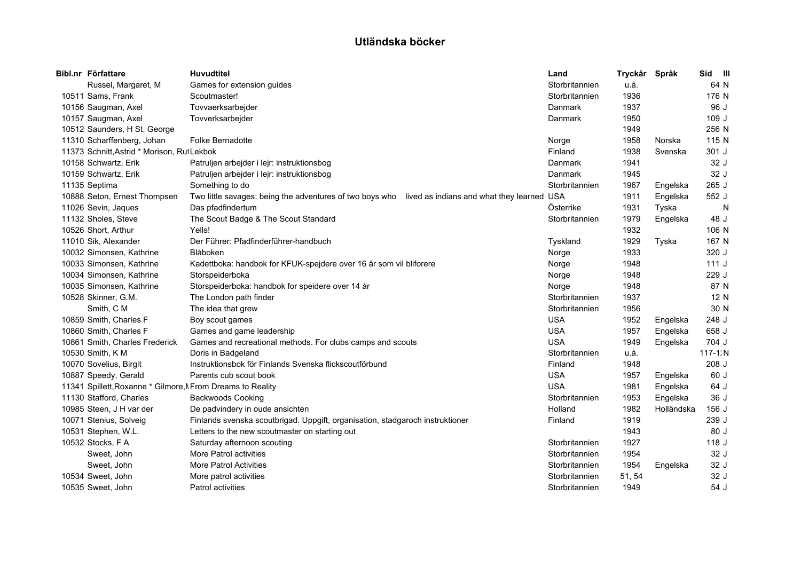| Bibl.nr Författare                                          | <b>Huvudtitel</b>                                                                                  | Land           | Tryckår Språk |            | Sid III     |   |
|-------------------------------------------------------------|----------------------------------------------------------------------------------------------------|----------------|---------------|------------|-------------|---|
| Russel, Margaret, M                                         | Games for extension guides                                                                         | Storbritannien | u.å.          |            | 64 N        |   |
| 10511 Sams, Frank                                           | Scoutmaster!                                                                                       | Storbritannien | 1936          |            | 176 N       |   |
| 10156 Saugman, Axel                                         | Tovvaerksarbejder                                                                                  | Danmark        | 1937          |            | 96 J        |   |
| 10157 Saugman, Axel                                         | Tovverksarbejder                                                                                   | Danmark        | 1950          |            | 109 J       |   |
| 10512 Saunders, H St. George                                |                                                                                                    |                | 1949          |            | 256 N       |   |
| 11310 Scharffenberg, Johan                                  | <b>Folke Bernadotte</b>                                                                            | Norge          | 1958          | Norska     | 115 N       |   |
| 11373 Schnitt, Astrid * Morison, Rul Lekbok                 |                                                                                                    | Finland        | 1938          | Svenska    | 301 J       |   |
| 10158 Schwartz, Erik                                        | Patruljen arbejder i lejr: instruktionsbog                                                         | Danmark        | 1941          |            | 32 J        |   |
| 10159 Schwartz, Erik                                        | Patruljen arbejder i lejr: instruktionsbog                                                         | Danmark        | 1945          |            | 32 J        |   |
| 11135 Septima                                               | Something to do                                                                                    | Storbritannien | 1967          | Engelska   | 265 J       |   |
| 10888 Seton, Ernest Thompsen                                | Two little savages: being the adventures of two boys who<br>lived as indians and what they learned | <b>USA</b>     | 1911          | Engelska   | 552 J       |   |
| 11026 Sevin, Jaques                                         | Das pfadfindertum                                                                                  | Österrike      | 1931          | Tyska      |             | N |
| 11132 Sholes, Steve                                         | The Scout Badge & The Scout Standard                                                               | Storbritannien | 1979          | Engelska   | 48 J        |   |
| 10526 Short, Arthur                                         | Yells!                                                                                             |                | 1932          |            | 106 N       |   |
| 11010 Sik, Alexander                                        | Der Führer: Pfadfinderführer-handbuch                                                              | Tyskland       | 1929          | Tyska      | 167 N       |   |
| 10032 Simonsen, Kathrine                                    | Blåboken                                                                                           | Norge          | 1933          |            | 320 J       |   |
| 10033 Simonsen, Kathrine                                    | Kadettboka: handbok for KFUK-spejdere over 16 år som vil bliforere                                 | Norge          | 1948          |            | 111J        |   |
| 10034 Simonsen, Kathrine                                    | Storspeiderboka                                                                                    | Norge          | 1948          |            | 229 J       |   |
| 10035 Simonsen, Kathrine                                    | Storspeiderboka: handbok for speidere over 14 år                                                   | Norge          | 1948          |            | 87 N        |   |
| 10528 Skinner, G.M.                                         | The London path finder                                                                             | Storbritannien | 1937          |            | 12 N        |   |
| Smith, C M                                                  | The idea that grew                                                                                 | Storbritannien | 1956          |            | 30 N        |   |
| 10859 Smith, Charles F                                      | Boy scout games                                                                                    | <b>USA</b>     | 1952          | Engelska   | 248 J       |   |
| 10860 Smith, Charles F                                      | Games and game leadership                                                                          | <b>USA</b>     | 1957          | Engelska   | 658 J       |   |
| 10861 Smith, Charles Frederick                              | Games and recreational methods. For clubs camps and scouts                                         | <b>USA</b>     | 1949          | Engelska   | 704 J       |   |
| 10530 Smith, K M                                            | Doris in Badgeland                                                                                 | Storbritannien | u.å.          |            | $117 - 1:N$ |   |
| 10070 Sovelius, Birgit                                      | Instruktionsbok för Finlands Svenska flickscoutförbund                                             | Finland        | 1948          |            | 208 J       |   |
| 10887 Speedy, Gerald                                        | Parents cub scout book                                                                             | <b>USA</b>     | 1957          | Engelska   | 60 J        |   |
| 11341 Spillett, Roxanne * Gilmore, N From Dreams to Reality |                                                                                                    | <b>USA</b>     | 1981          | Engelska   | 64 J        |   |
| 11130 Stafford, Charles                                     | <b>Backwoods Cooking</b>                                                                           | Storbritannien | 1953          | Engelska   | 36 J        |   |
| 10985 Steen, J H var der                                    | De padvindery in oude ansichten                                                                    | Holland        | 1982          | Holländska | 156J        |   |
| 10071 Stenius, Solveig                                      | Finlands svenska scoutbrigad. Uppgift, organisation, stadgaroch instruktioner                      | Finland        | 1919          |            | 239 J       |   |
| 10531 Stephen, W.L.                                         | Letters to the new scoutmaster on starting out                                                     |                | 1943          |            | 80 J        |   |
| 10532 Stocks, F A                                           | Saturday afternoon scouting                                                                        | Storbritannien | 1927          |            | 118 J       |   |
| Sweet, John                                                 | More Patrol activities                                                                             | Storbritannien | 1954          |            | 32 J        |   |
| Sweet, John                                                 | <b>More Patrol Activities</b>                                                                      | Storbritannien | 1954          | Engelska   | 32 J        |   |
| 10534 Sweet, John                                           | More patrol activities                                                                             | Storbritannien | 51, 54        |            | 32 J        |   |
| 10535 Sweet, John                                           | Patrol activities                                                                                  | Storbritannien | 1949          |            | 54 J        |   |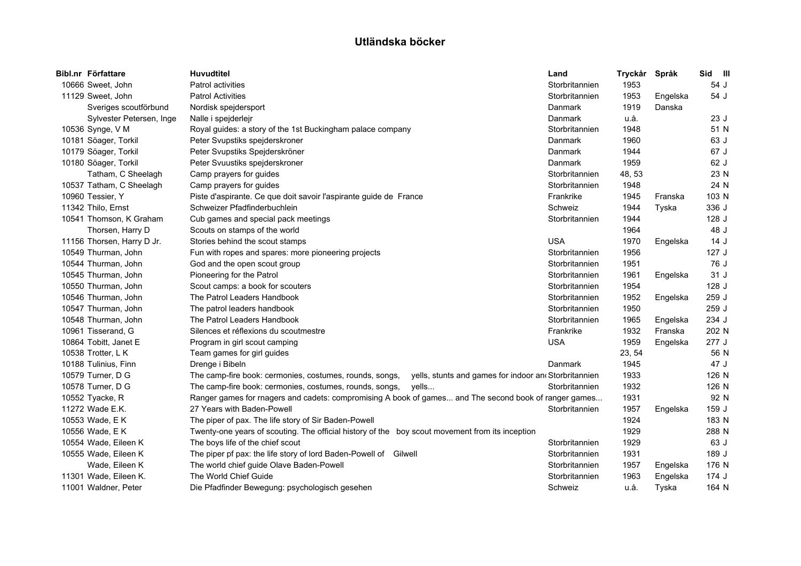| Bibl.nr Författare         | <b>Huvudtitel</b>                                                                                                | Land           | Tryckår | Språk    | Sid III |
|----------------------------|------------------------------------------------------------------------------------------------------------------|----------------|---------|----------|---------|
| 10666 Sweet, John          | <b>Patrol activities</b>                                                                                         | Storbritannien | 1953    |          | 54 J    |
| 11129 Sweet, John          | <b>Patrol Activities</b>                                                                                         | Storbritannien | 1953    | Engelska | 54 J    |
| Sveriges scoutförbund      | Nordisk spejdersport                                                                                             | Danmark        | 1919    | Danska   |         |
| Sylvester Petersen, Inge   | Nalle i spejderlejr                                                                                              | Danmark        | u.å.    |          | 23J     |
| 10536 Synge, V M           | Royal guides: a story of the 1st Buckingham palace company                                                       | Storbritannien | 1948    |          | 51 N    |
| 10181 Söager, Torkil       | Peter Svupstiks spejderskroner                                                                                   | Danmark        | 1960    |          | 63 J    |
| 10179 Söager, Torkil       | Peter Svupstiks Spejderskröner                                                                                   | Danmark        | 1944    |          | 67 J    |
| 10180 Söager, Torkil       | Peter Svuustiks spejderskroner                                                                                   | Danmark        | 1959    |          | 62 J    |
| Tatham, C Sheelagh         | Camp prayers for guides                                                                                          | Storbritannien | 48, 53  |          | 23 N    |
| 10537 Tatham, C Sheelagh   | Camp prayers for guides                                                                                          | Storbritannien | 1948    |          | 24 N    |
| 10960 Tessier, Y           | Piste d'aspirante. Ce que doit savoir l'aspirante guide de France                                                | Frankrike      | 1945    | Franska  | 103 N   |
| 11342 Thilo, Ernst         | Schweizer Pfadfinderbuchlein                                                                                     | Schweiz        | 1944    | Tyska    | 336 J   |
| 10541 Thomson, K Graham    | Cub games and special pack meetings                                                                              | Storbritannien | 1944    |          | 128J    |
| Thorsen, Harry D           | Scouts on stamps of the world                                                                                    |                | 1964    |          | 48 J    |
| 11156 Thorsen, Harry D Jr. | Stories behind the scout stamps                                                                                  | <b>USA</b>     | 1970    | Engelska | 14J     |
| 10549 Thurman, John        | Fun with ropes and spares: more pioneering projects                                                              | Storbritannien | 1956    |          | 127J    |
| 10544 Thurman, John        | God and the open scout group                                                                                     | Storbritannien | 1951    |          | 76 J    |
| 10545 Thurman, John        | Pioneering for the Patrol                                                                                        | Storbritannien | 1961    | Engelska | 31 J    |
| 10550 Thurman, John        | Scout camps: a book for scouters                                                                                 | Storbritannien | 1954    |          | 128 J   |
| 10546 Thurman, John        | The Patrol Leaders Handbook                                                                                      | Storbritannien | 1952    | Engelska | 259 J   |
| 10547 Thurman, John        | The patrol leaders handbook                                                                                      | Storbritannien | 1950    |          | 259 J   |
| 10548 Thurman, John        | The Patrol Leaders Handbook                                                                                      | Storbritannien | 1965    | Engelska | 234 J   |
| 10961 Tisserand, G         | Silences et réflexions du scoutmestre                                                                            | Frankrike      | 1932    | Franska  | 202 N   |
| 10864 Tobitt, Janet E      | Program in girl scout camping                                                                                    | <b>USA</b>     | 1959    | Engelska | 277J    |
| 10538 Trotter, L K         | Team games for girl guides                                                                                       |                | 23, 54  |          | 56 N    |
| 10188 Tulinius, Finn       | Drenge i Bibeln                                                                                                  | Danmark        | 1945    |          | 47 J    |
| 10579 Turner, D G          | The camp-fire book: cermonies, costumes, rounds, songs,<br>yells, stunts and games for indoor and Storbritannien |                | 1933    |          | 126 N   |
| 10578 Turner, D G          | The camp-fire book: cermonies, costumes, rounds, songs,<br>yells                                                 | Storbritannien | 1932    |          | 126 N   |
| 10552 Tyacke, R            | Ranger games for rnagers and cadets: compromising A book of games and The second book of ranger games            |                | 1931    |          | 92 N    |
| 11272 Wade E.K.            | 27 Years with Baden-Powell                                                                                       | Storbritannien | 1957    | Engelska | 159 J   |
| 10553 Wade, E K            | The piper of pax. The life story of Sir Baden-Powell                                                             |                | 1924    |          | 183 N   |
| 10556 Wade, E K            | Twenty-one years of scouting. The official history of the boy scout movement from its inception                  |                | 1929    |          | 288 N   |
| 10554 Wade, Eileen K       | The boys life of the chief scout                                                                                 | Storbritannien | 1929    |          | 63 J    |
| 10555 Wade, Eileen K       | The piper pf pax: the life story of lord Baden-Powell of Gilwell                                                 | Storbritannien | 1931    |          | 189 J   |
| Wade, Eileen K             | The world chief guide Olave Baden-Powell                                                                         | Storbritannien | 1957    | Engelska | 176 N   |
| 11301 Wade, Eileen K.      | The World Chief Guide                                                                                            | Storbritannien | 1963    | Engelska | 174 J   |
| 11001 Waldner, Peter       | Die Pfadfinder Bewegung: psychologisch gesehen                                                                   | Schweiz        | u.å.    | Tyska    | 164 N   |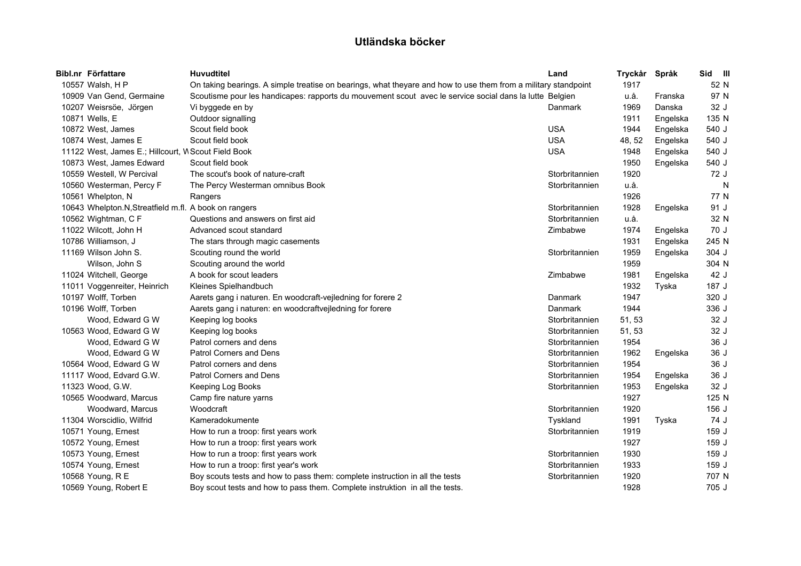| Bibl.nr Författare                                   | <b>Huvudtitel</b>                                                                                              | Land           | Tryckår | Språk    | Sid III |
|------------------------------------------------------|----------------------------------------------------------------------------------------------------------------|----------------|---------|----------|---------|
| 10557 Walsh, H P                                     | On taking bearings. A simple treatise on bearings, what theyare and how to use them from a military standpoint |                | 1917    |          | 52 N    |
| 10909 Van Gend, Germaine                             | Scoutisme pour les handicapes: rapports du mouvement scout avec le service social dans la lutte Belgien        |                | u.å.    | Franska  | 97 N    |
| 10207 Weisrsöe, Jörgen                               | Vi byggede en by                                                                                               | Danmark        | 1969    | Danska   | 32 J    |
| 10871 Wells, E                                       | Outdoor signalling                                                                                             |                | 1911    | Engelska | 135 N   |
| 10872 West, James                                    | Scout field book                                                                                               | <b>USA</b>     | 1944    | Engelska | 540 J   |
| 10874 West, James E                                  | Scout field book                                                                                               | <b>USA</b>     | 48, 52  | Engelska | 540 J   |
| 11122 West, James E.; Hillcourt, W Scout Field Book  |                                                                                                                | <b>USA</b>     | 1948    | Engelska | 540 J   |
| 10873 West, James Edward                             | Scout field book                                                                                               |                | 1950    | Engelska | 540 J   |
| 10559 Westell, W Percival                            | The scout's book of nature-craft                                                                               | Storbritannien | 1920    |          | 72 J    |
| 10560 Westerman, Percy F                             | The Percy Westerman omnibus Book                                                                               | Storbritannien | u.å.    |          | N       |
| 10561 Whelpton, N                                    | Rangers                                                                                                        |                | 1926    |          | 77 N    |
| 10643 Whelpton.N.Streatfield m.fl. A book on rangers |                                                                                                                | Storbritannien | 1928    | Engelska | 91 J    |
| 10562 Wightman, C F                                  | Questions and answers on first aid                                                                             | Storbritannien | u.å.    |          | 32 N    |
| 11022 Wilcott, John H                                | Advanced scout standard                                                                                        | Zimbabwe       | 1974    | Engelska | 70 J    |
| 10786 Williamson, J                                  | The stars through magic casements                                                                              |                | 1931    | Engelska | 245 N   |
| 11169 Wilson John S.                                 | Scouting round the world                                                                                       | Storbritannien | 1959    | Engelska | 304 J   |
| Wilson, John S                                       | Scouting around the world                                                                                      |                | 1959    |          | 304 N   |
| 11024 Witchell, George                               | A book for scout leaders                                                                                       | Zimbabwe       | 1981    | Engelska | 42 J    |
| 11011 Voggenreiter, Heinrich                         | Kleines Spielhandbuch                                                                                          |                | 1932    | Tyska    | 187 J   |
| 10197 Wolff, Torben                                  | Aarets gang i naturen. En woodcraft-vejledning for forere 2                                                    | Danmark        | 1947    |          | 320 J   |
| 10196 Wolff, Torben                                  | Aarets gang i naturen: en woodcraftvejledning for forere                                                       | Danmark        | 1944    |          | 336 J   |
| Wood, Edward G W                                     | Keeping log books                                                                                              | Storbritannien | 51, 53  |          | 32 J    |
| 10563 Wood, Edward G W                               | Keeping log books                                                                                              | Storbritannien | 51, 53  |          | 32 J    |
| Wood, Edward G W                                     | Patrol corners and dens                                                                                        | Storbritannien | 1954    |          | 36 J    |
| Wood, Edward G W                                     | Patrol Corners and Dens                                                                                        | Storbritannien | 1962    | Engelska | 36 J    |
| 10564 Wood, Edward G W                               | Patrol corners and dens                                                                                        | Storbritannien | 1954    |          | 36 J    |
| 11117 Wood, Edvard G.W.                              | Patrol Corners and Dens                                                                                        | Storbritannien | 1954    | Engelska | 36 J    |
| 11323 Wood, G.W.                                     | Keeping Log Books                                                                                              | Storbritannien | 1953    | Engelska | 32 J    |
| 10565 Woodward, Marcus                               | Camp fire nature yarns                                                                                         |                | 1927    |          | 125 N   |
| Woodward, Marcus                                     | Woodcraft                                                                                                      | Storbritannien | 1920    |          | 156 J   |
| 11304 Worscidlio, Wilfrid                            | Kameradokumente                                                                                                | Tyskland       | 1991    | Tyska    | 74 J    |
| 10571 Young, Ernest                                  | How to run a troop: first years work                                                                           | Storbritannien | 1919    |          | 159 J   |
| 10572 Young, Ernest                                  | How to run a troop: first years work                                                                           |                | 1927    |          | 159 J   |
| 10573 Young, Ernest                                  | How to run a troop: first years work                                                                           | Storbritannien | 1930    |          | 159 J   |
| 10574 Young, Ernest                                  | How to run a troop: first year's work                                                                          | Storbritannien | 1933    |          | 159 J   |
| 10568 Young, R E                                     | Boy scouts tests and how to pass them: complete instruction in all the tests                                   | Storbritannien | 1920    |          | 707 N   |
| 10569 Young, Robert E                                | Boy scout tests and how to pass them. Complete instruktion in all the tests.                                   |                | 1928    |          | 705 J   |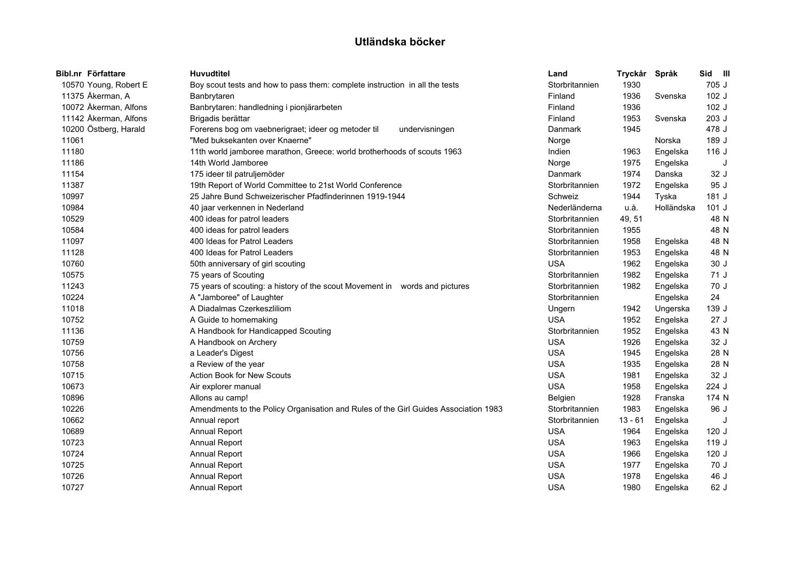|       | Bibl.nr Författare    | <b>Huvudtitel</b>                                                                   | Land           | Tryckår | Språk      | Sid III |   |
|-------|-----------------------|-------------------------------------------------------------------------------------|----------------|---------|------------|---------|---|
|       | 10570 Young, Robert E | Boy scout tests and how to pass them: complete instruction in all the tests         | Storbritannien | 1930    |            | 705 J   |   |
|       | 11375 Åkerman, A      | Banbrytaren                                                                         | Finland        | 1936    | Svenska    | 102 J   |   |
|       | 10072 Åkerman, Alfons | Banbrytaren: handledning i pionjärarbeten                                           | Finland        | 1936    |            | 102 J   |   |
|       | 11142 Åkerman, Alfons | Brigadis berättar                                                                   | Finland        | 1953    | Svenska    | 203 J   |   |
|       | 10200 Östberg, Harald | Forerens bog om vaebnerigraet; ideer og metoder til<br>undervisningen               | Danmark        | 1945    |            | 478 J   |   |
| 11061 |                       | "Med buksekanten over Knaerne"                                                      | Norge          |         | Norska     | 189 J   |   |
| 11180 |                       | 11th world jamboree marathon, Greece: world brotherhoods of scouts 1963             | Indien         | 1963    | Engelska   | 116 J   |   |
| 11186 |                       | 14th World Jamboree                                                                 | Norge          | 1975    | Engelska   |         | J |
| 11154 |                       | 175 ideer til patruljemöder                                                         | Danmark        | 1974    | Danska     | 32 J    |   |
| 11387 |                       | 19th Report of World Committee to 21st World Conference                             | Storbritannien | 1972    | Engelska   | 95 J    |   |
| 10997 |                       | 25 Jahre Bund Schweizerischer Pfadfinderinnen 1919-1944                             | Schweiz        | 1944    | Tyska      | 181 J   |   |
| 10984 |                       | 40 jaar verkennen in Nederland                                                      | Nederländerna  | u.å.    | Holländska | $101$ J |   |
| 10529 |                       | 400 ideas for patrol leaders                                                        | Storbritannien | 49, 51  |            | 48 N    |   |
| 10584 |                       | 400 ideas for patrol leaders                                                        | Storbritannien | 1955    |            | 48 N    |   |
| 11097 |                       | 400 Ideas for Patrol Leaders                                                        | Storbritannien | 1958    | Engelska   | 48 N    |   |
| 11128 |                       | 400 Ideas for Patrol Leaders                                                        | Storbritannien | 1953    | Engelska   | 48 N    |   |
| 10760 |                       | 50th anniversary of girl scouting                                                   | <b>USA</b>     | 1962    | Engelska   | 30J     |   |
| 10575 |                       | 75 years of Scouting                                                                | Storbritannien | 1982    | Engelska   | 71 J    |   |
| 11243 |                       | 75 years of scouting: a history of the scout Movement in words and pictures         | Storbritannien | 1982    | Engelska   | 70 J    |   |
| 10224 |                       | A "Jamboree" of Laughter                                                            | Storbritannien |         | Engelska   | 24      |   |
| 11018 |                       | A Diadalmas Czerkeszliliom                                                          | Ungern         | 1942    | Ungerska   | 139 J   |   |
| 10752 |                       | A Guide to homemaking                                                               | <b>USA</b>     | 1952    | Engelska   | 27J     |   |
| 11136 |                       | A Handbook for Handicapped Scouting                                                 | Storbritannien | 1952    | Engelska   | 43 N    |   |
| 10759 |                       | A Handbook on Archery                                                               | <b>USA</b>     | 1926    | Engelska   | 32 J    |   |
| 10756 |                       | a Leader's Digest                                                                   | <b>USA</b>     | 1945    | Engelska   | 28 N    |   |
| 10758 |                       | a Review of the year                                                                | <b>USA</b>     | 1935    | Engelska   | 28 N    |   |
| 10715 |                       | <b>Action Book for New Scouts</b>                                                   | <b>USA</b>     | 1981    | Engelska   | 32 J    |   |
| 10673 |                       | Air explorer manual                                                                 | <b>USA</b>     | 1958    | Engelska   | 224 J   |   |
| 10896 |                       | Allons au camp!                                                                     | Belgien        | 1928    | Franska    | 174 N   |   |
| 10226 |                       | Amendments to the Policy Organisation and Rules of the Girl Guides Association 1983 | Storbritannien | 1983    | Engelska   | 96 J    |   |
| 10662 |                       | Annual report                                                                       | Storbritannien | 13 - 61 | Engelska   |         | J |
| 10689 |                       | Annual Report                                                                       | <b>USA</b>     | 1964    | Engelska   | 120J    |   |
| 10723 |                       | Annual Report                                                                       | <b>USA</b>     | 1963    | Engelska   | 119 J   |   |
| 10724 |                       | Annual Report                                                                       | <b>USA</b>     | 1966    | Engelska   | 120J    |   |
| 10725 |                       | Annual Report                                                                       | <b>USA</b>     | 1977    | Engelska   | 70 J    |   |
| 10726 |                       | Annual Report                                                                       | <b>USA</b>     | 1978    | Engelska   | 46 J    |   |
| 10727 |                       | Annual Report                                                                       | <b>USA</b>     | 1980    | Engelska   | 62 J    |   |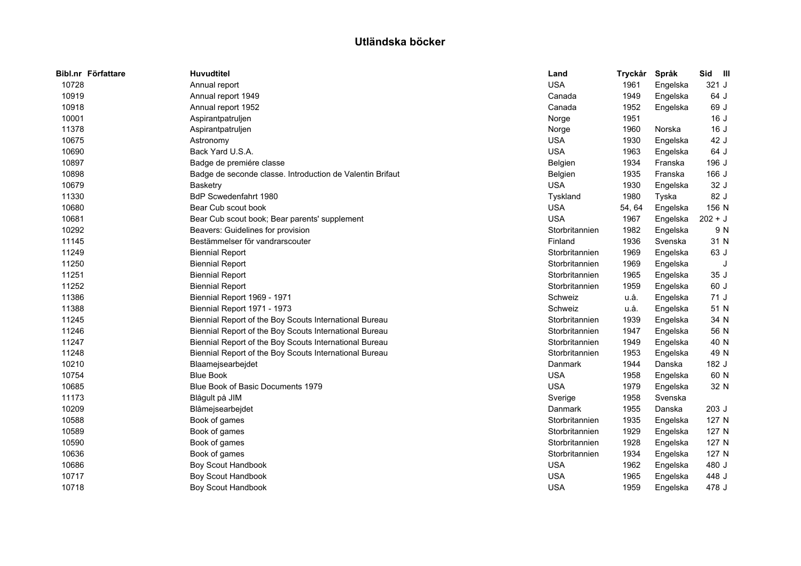| Bibl.nr Författare | <b>Huvudtitel</b>                                         | Land           | Tryckår | Språk    | Sid<br>$\blacksquare$ |  |
|--------------------|-----------------------------------------------------------|----------------|---------|----------|-----------------------|--|
| 10728              | Annual report                                             | <b>USA</b>     | 1961    | Engelska | 321 J                 |  |
| 10919              | Annual report 1949                                        | Canada         | 1949    | Engelska | 64 J                  |  |
| 10918              | Annual report 1952                                        | Canada         | 1952    | Engelska | 69 J                  |  |
| 10001              | Aspirantpatruljen                                         | Norge          | 1951    |          | 16J                   |  |
| 11378              | Aspirantpatruljen                                         | Norge          | 1960    | Norska   | 16J                   |  |
| 10675              | Astronomy                                                 | <b>USA</b>     | 1930    | Engelska | 42 J                  |  |
| 10690              | Back Yard U.S.A.                                          | <b>USA</b>     | 1963    | Engelska | 64 J                  |  |
| 10897              | Badge de premiére classe                                  | Belgien        | 1934    | Franska  | 196 J                 |  |
| 10898              | Badge de seconde classe. Introduction de Valentin Brifaut | Belgien        | 1935    | Franska  | 166 J                 |  |
| 10679              | <b>Basketry</b>                                           | <b>USA</b>     | 1930    | Engelska | 32 J                  |  |
| 11330              | <b>BdP Scwedenfahrt 1980</b>                              | Tyskland       | 1980    | Tyska    | 82 J                  |  |
| 10680              | Bear Cub scout book                                       | <b>USA</b>     | 54, 64  | Engelska | 156 N                 |  |
| 10681              | Bear Cub scout book; Bear parents' supplement             | <b>USA</b>     | 1967    | Engelska | $202 + J$             |  |
| 10292              | Beavers: Guidelines for provision                         | Storbritannien | 1982    | Engelska | 9 N                   |  |
| 11145              | Bestämmelser för vandrarscouter                           | Finland        | 1936    | Svenska  | 31 N                  |  |
| 11249              | <b>Biennial Report</b>                                    | Storbritannien | 1969    | Engelska | 63 J                  |  |
| 11250              | <b>Biennial Report</b>                                    | Storbritannien | 1969    | Engelska | J                     |  |
| 11251              | <b>Biennial Report</b>                                    | Storbritannien | 1965    | Engelska | 35 J                  |  |
| 11252              | <b>Biennial Report</b>                                    | Storbritannien | 1959    | Engelska | 60 J                  |  |
| 11386              | Biennial Report 1969 - 1971                               | Schweiz        | u.å.    | Engelska | 71 J                  |  |
| 11388              | Biennial Report 1971 - 1973                               | Schweiz        | u.å.    | Engelska | 51 N                  |  |
| 11245              | Biennial Report of the Boy Scouts International Bureau    | Storbritannien | 1939    | Engelska | 34 N                  |  |
| 11246              | Biennial Report of the Boy Scouts International Bureau    | Storbritannien | 1947    | Engelska | 56 N                  |  |
| 11247              | Biennial Report of the Boy Scouts International Bureau    | Storbritannien | 1949    | Engelska | 40 N                  |  |
| 11248              | Biennial Report of the Boy Scouts International Bureau    | Storbritannien | 1953    | Engelska | 49 N                  |  |
| 10210              | Blaamejsearbejdet                                         | Danmark        | 1944    | Danska   | 182 J                 |  |
| 10754              | <b>Blue Book</b>                                          | <b>USA</b>     | 1958    | Engelska | 60 N                  |  |
| 10685              | Blue Book of Basic Documents 1979                         | <b>USA</b>     | 1979    | Engelska | 32 N                  |  |
| 11173              | Blågult på JIM                                            | Sverige        | 1958    | Svenska  |                       |  |
| 10209              | Blåmejsearbejdet                                          | Danmark        | 1955    | Danska   | 203 J                 |  |
| 10588              | Book of games                                             | Storbritannien | 1935    | Engelska | 127 N                 |  |
| 10589              | Book of games                                             | Storbritannien | 1929    | Engelska | 127 N                 |  |
| 10590              | Book of games                                             | Storbritannien | 1928    | Engelska | 127 N                 |  |
| 10636              | Book of games                                             | Storbritannien | 1934    | Engelska | 127 N                 |  |
| 10686              | Boy Scout Handbook                                        | <b>USA</b>     | 1962    | Engelska | 480 J                 |  |
| 10717              | <b>Boy Scout Handbook</b>                                 | <b>USA</b>     | 1965    | Engelska | 448 J                 |  |
| 10718              | Boy Scout Handbook                                        | <b>USA</b>     | 1959    | Engelska | 478 J                 |  |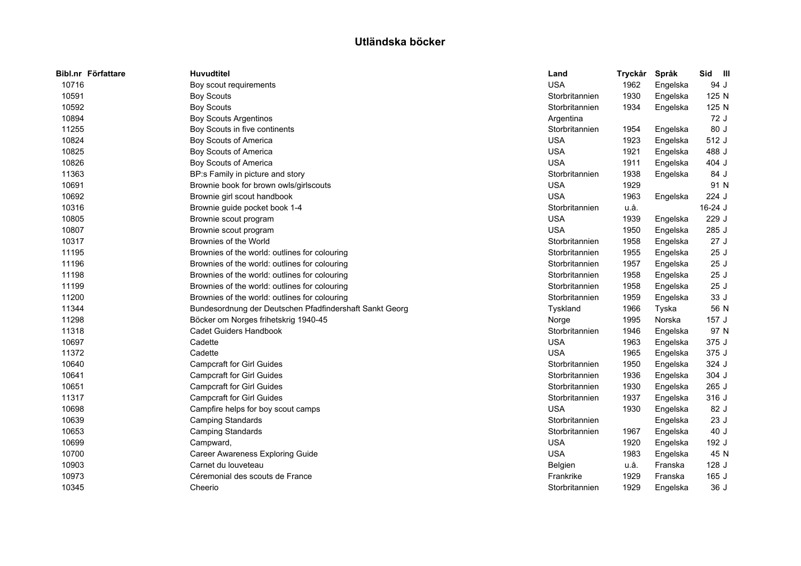| Bibl.nr Författare | <b>Huvudtitel</b>                                       | Land           | Tryckår | Språk    | Sid<br>$\blacksquare$ |
|--------------------|---------------------------------------------------------|----------------|---------|----------|-----------------------|
| 10716              | Boy scout requirements                                  | <b>USA</b>     | 1962    | Engelska | 94 J                  |
| 10591              | <b>Boy Scouts</b>                                       | Storbritannien | 1930    | Engelska | 125 N                 |
| 10592              | <b>Boy Scouts</b>                                       | Storbritannien | 1934    | Engelska | 125 N                 |
| 10894              | <b>Boy Scouts Argentinos</b>                            | Argentina      |         |          | 72 J                  |
| 11255              | Boy Scouts in five continents                           | Storbritannien | 1954    | Engelska | 80 J                  |
| 10824              | Boy Scouts of America                                   | <b>USA</b>     | 1923    | Engelska | 512 J                 |
| 10825              | Boy Scouts of America                                   | <b>USA</b>     | 1921    | Engelska | 488 J                 |
| 10826              | Boy Scouts of America                                   | <b>USA</b>     | 1911    | Engelska | 404 J                 |
| 11363              | BP:s Family in picture and story                        | Storbritannien | 1938    | Engelska | 84 J                  |
| 10691              | Brownie book for brown owls/girlscouts                  | <b>USA</b>     | 1929    |          | 91 N                  |
| 10692              | Brownie girl scout handbook                             | <b>USA</b>     | 1963    | Engelska | 224 J                 |
| 10316              | Brownie guide pocket book 1-4                           | Storbritannien | u.å.    |          | 16-24 J               |
| 10805              | Brownie scout program                                   | <b>USA</b>     | 1939    | Engelska | 229 J                 |
| 10807              | Brownie scout program                                   | <b>USA</b>     | 1950    | Engelska | 285 J                 |
| 10317              | Brownies of the World                                   | Storbritannien | 1958    | Engelska | 27J                   |
| 11195              | Brownies of the world: outlines for colouring           | Storbritannien | 1955    | Engelska | 25 J                  |
| 11196              | Brownies of the world: outlines for colouring           | Storbritannien | 1957    | Engelska | 25 J                  |
| 11198              | Brownies of the world: outlines for colouring           | Storbritannien | 1958    | Engelska | 25J                   |
| 11199              | Brownies of the world: outlines for colouring           | Storbritannien | 1958    | Engelska | 25J                   |
| 11200              | Brownies of the world: outlines for colouring           | Storbritannien | 1959    | Engelska | 33 J                  |
| 11344              | Bundesordnung der Deutschen Pfadfindershaft Sankt Georg | Tyskland       | 1966    | Tyska    | 56 N                  |
| 11298              | Böcker om Norges frihetskrig 1940-45                    | Norge          | 1995    | Norska   | 157 J                 |
| 11318              | <b>Cadet Guiders Handbook</b>                           | Storbritannien | 1946    | Engelska | 97 N                  |
| 10697              | Cadette                                                 | <b>USA</b>     | 1963    | Engelska | 375 J                 |
| 11372              | Cadette                                                 | <b>USA</b>     | 1965    | Engelska | 375 J                 |
| 10640              | <b>Campcraft for Girl Guides</b>                        | Storbritannien | 1950    | Engelska | 324 J                 |
| 10641              | <b>Campcraft for Girl Guides</b>                        | Storbritannien | 1936    | Engelska | 304 J                 |
| 10651              | <b>Campcraft for Girl Guides</b>                        | Storbritannien | 1930    | Engelska | 265 J                 |
| 11317              | <b>Campcraft for Girl Guides</b>                        | Storbritannien | 1937    | Engelska | 316 J                 |
| 10698              | Campfire helps for boy scout camps                      | <b>USA</b>     | 1930    | Engelska | 82 J                  |
| 10639              | <b>Camping Standards</b>                                | Storbritannien |         | Engelska | 23J                   |
| 10653              | <b>Camping Standards</b>                                | Storbritannien | 1967    | Engelska | 40 J                  |
| 10699              | Campward,                                               | <b>USA</b>     | 1920    | Engelska | 192 J                 |
| 10700              | Career Awareness Exploring Guide                        | <b>USA</b>     | 1983    | Engelska | 45 N                  |
| 10903              | Carnet du louveteau                                     | Belgien        | u.å.    | Franska  | 128J                  |
| 10973              | Céremonial des scouts de France                         | Frankrike      | 1929    | Franska  | 165 J                 |
| 10345              | Cheerio                                                 | Storbritannien | 1929    | Engelska | 36 J                  |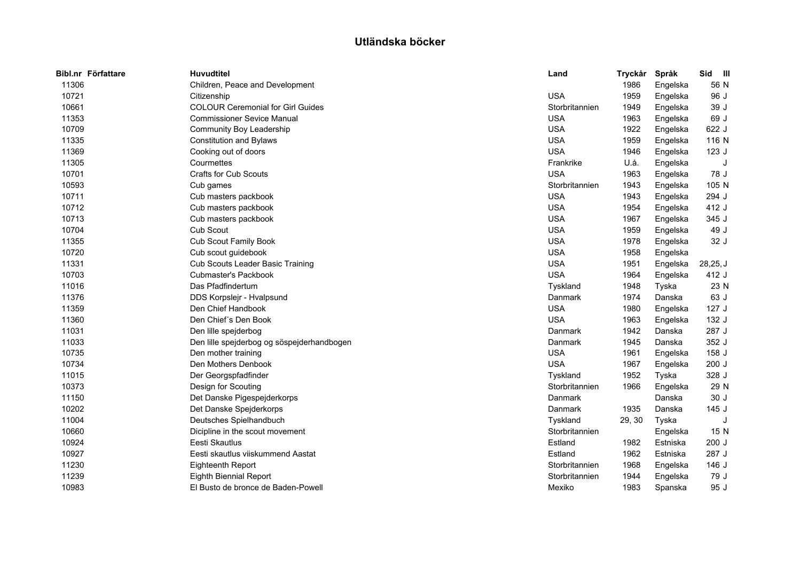| <b>Huvudtitel</b>                          | Land           | Tryckår | Språk    | Sid<br>$\blacksquare$ |
|--------------------------------------------|----------------|---------|----------|-----------------------|
| Children, Peace and Development            |                | 1986    | Engelska | 56 N                  |
| Citizenship                                | <b>USA</b>     | 1959    | Engelska | 96 J                  |
| <b>COLOUR Ceremonial for Girl Guides</b>   | Storbritannien | 1949    | Engelska | 39 J                  |
| <b>Commissioner Sevice Manual</b>          | <b>USA</b>     | 1963    | Engelska | 69 J                  |
| Community Boy Leadership                   | <b>USA</b>     | 1922    | Engelska | 622 J                 |
| <b>Constitution and Bylaws</b>             | <b>USA</b>     | 1959    | Engelska | 116 N                 |
| Cooking out of doors                       | <b>USA</b>     | 1946    | Engelska | 123J                  |
| Courmettes                                 | Frankrike      | U.å.    | Engelska | J                     |
| <b>Crafts for Cub Scouts</b>               | <b>USA</b>     | 1963    | Engelska | 78 J                  |
| Cub games                                  | Storbritannien | 1943    | Engelska | 105 N                 |
| Cub masters packbook                       | <b>USA</b>     | 1943    | Engelska | 294 J                 |
| Cub masters packbook                       | <b>USA</b>     | 1954    | Engelska | 412 J                 |
| Cub masters packbook                       | <b>USA</b>     | 1967    | Engelska | 345 J                 |
| Cub Scout                                  | <b>USA</b>     | 1959    | Engelska | 49 J                  |
| Cub Scout Family Book                      | <b>USA</b>     | 1978    | Engelska | 32 J                  |
| Cub scout guidebook                        | <b>USA</b>     | 1958    | Engelska |                       |
| Cub Scouts Leader Basic Training           | <b>USA</b>     | 1951    | Engelska | 28,25, J              |
| <b>Cubmaster's Packbook</b>                | <b>USA</b>     | 1964    | Engelska | 412 J                 |
| Das Pfadfindertum                          | Tyskland       | 1948    | Tyska    | 23 N                  |
| DDS Korpslejr - Hvalpsund                  | Danmark        | 1974    | Danska   | 63 J                  |
| Den Chief Handbook                         | <b>USA</b>     | 1980    | Engelska | 127J                  |
| Den Chief's Den Book                       | <b>USA</b>     | 1963    | Engelska | 132 J                 |
| Den lille spejderbog                       | Danmark        | 1942    | Danska   | 287 J                 |
| Den lille spejderbog og söspejderhandbogen | Danmark        | 1945    | Danska   | 352 J                 |
| Den mother training                        | <b>USA</b>     | 1961    | Engelska | 158 J                 |
| Den Mothers Denbook                        | <b>USA</b>     | 1967    | Engelska | 200 J                 |
| Der Georgspfadfinder                       | Tyskland       | 1952    | Tyska    | 328 J                 |
| Design for Scouting                        | Storbritannien | 1966    | Engelska | 29 N                  |
| Det Danske Pigespejderkorps                | Danmark        |         | Danska   | 30 J                  |
| Det Danske Spejderkorps                    | Danmark        | 1935    | Danska   | 145J                  |
| Deutsches Spielhandbuch                    | Tyskland       | 29, 30  | Tyska    |                       |
| Dicipline in the scout movement            | Storbritannien |         | Engelska | 15 N                  |
| Eesti Skautlus                             | Estland        | 1982    | Estniska | 200 J                 |
| Eesti skautlus viiskummend Aastat          | Estland        | 1962    | Estniska | 287 J                 |
| <b>Eighteenth Report</b>                   | Storbritannien | 1968    | Engelska | 146 J                 |
| Eighth Biennial Report                     | Storbritannien | 1944    | Engelska | 79 J                  |
| El Busto de bronce de Baden-Powell         | Mexiko         | 1983    | Spanska  | 95 J                  |
|                                            |                |         |          |                       |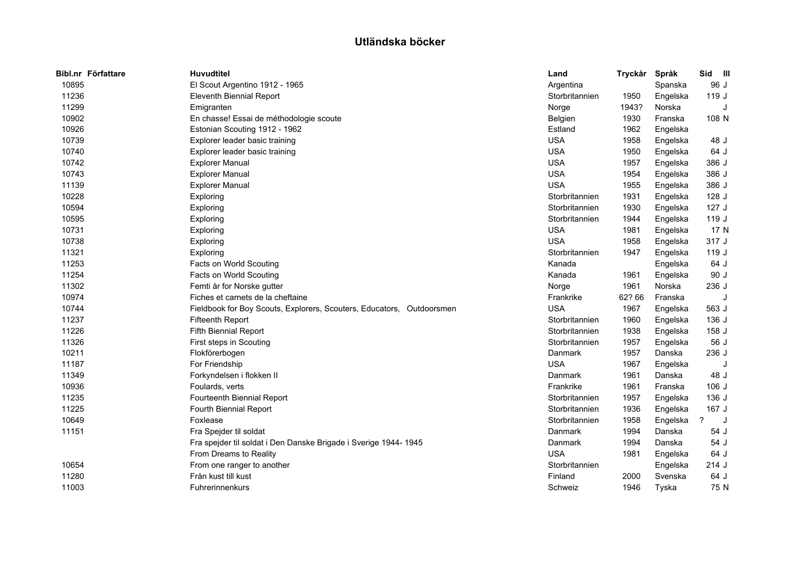| Bibl.nr Författare | <b>Huvudtitel</b>                                                     | Land           | Tryckår | Språk    | Sid III |
|--------------------|-----------------------------------------------------------------------|----------------|---------|----------|---------|
| 10895              | El Scout Argentino 1912 - 1965                                        | Argentina      |         | Spanska  | 96 J    |
| 11236              | <b>Eleventh Biennial Report</b>                                       | Storbritannien | 1950    | Engelska | 119 J   |
| 11299              | Emigranten                                                            | Norge          | 1943?   | Norska   | J       |
| 10902              | En chasse! Essai de méthodologie scoute                               | Belgien        | 1930    | Franska  | 108 N   |
| 10926              | Estonian Scouting 1912 - 1962                                         | Estland        | 1962    | Engelska |         |
| 10739              | Explorer leader basic training                                        | <b>USA</b>     | 1958    | Engelska | 48 J    |
| 10740              | Explorer leader basic training                                        | <b>USA</b>     | 1950    | Engelska | 64 J    |
| 10742              | <b>Explorer Manual</b>                                                | <b>USA</b>     | 1957    | Engelska | 386 J   |
| 10743              | <b>Explorer Manual</b>                                                | <b>USA</b>     | 1954    | Engelska | 386 J   |
| 11139              | <b>Explorer Manual</b>                                                | <b>USA</b>     | 1955    | Engelska | 386 J   |
| 10228              | Exploring                                                             | Storbritannien | 1931    | Engelska | 128 J   |
| 10594              | Exploring                                                             | Storbritannien | 1930    | Engelska | 127J    |
| 10595              | Exploring                                                             | Storbritannien | 1944    | Engelska | 119 J   |
| 10731              | Exploring                                                             | <b>USA</b>     | 1981    | Engelska | 17 N    |
| 10738              | Exploring                                                             | <b>USA</b>     | 1958    | Engelska | 317 J   |
| 11321              | Exploring                                                             | Storbritannien | 1947    | Engelska | 119 J   |
| 11253              | Facts on World Scouting                                               | Kanada         |         | Engelska | 64 J    |
| 11254              | Facts on World Scouting                                               | Kanada         | 1961    | Engelska | 90 J    |
| 11302              | Femti år for Norske gutter                                            | Norge          | 1961    | Norska   | 236 J   |
| 10974              | Fiches et carnets de la cheftaine                                     | Frankrike      | 62? 66  | Franska  |         |
| 10744              | Fieldbook for Boy Scouts, Explorers, Scouters, Educators, Outdoorsmen | <b>USA</b>     | 1967    | Engelska | 563 J   |
| 11237              | <b>Fifteenth Report</b>                                               | Storbritannien | 1960    | Engelska | 136 J   |
| 11226              | <b>Fifth Biennial Report</b>                                          | Storbritannien | 1938    | Engelska | 158 J   |
| 11326              | First steps in Scouting                                               | Storbritannien | 1957    | Engelska | 56 J    |
| 10211              | Flokförerbogen                                                        | Danmark        | 1957    | Danska   | 236 J   |
| 11187              | For Friendship                                                        | <b>USA</b>     | 1967    | Engelska |         |
| 11349              | Forkyndelsen i flokken II                                             | Danmark        | 1961    | Danska   | 48 J    |
| 10936              | Foulards, verts                                                       | Frankrike      | 1961    | Franska  | $106$ J |
| 11235              | Fourteenth Biennial Report                                            | Storbritannien | 1957    | Engelska | 136 J   |
| 11225              | Fourth Biennial Report                                                | Storbritannien | 1936    | Engelska | 167 J   |
| 10649              | Foxlease                                                              | Storbritannien | 1958    | Engelska | ?<br>J  |
| 11151              | Fra Spejder til soldat                                                | Danmark        | 1994    | Danska   | 54 J    |
|                    | Fra spejder til soldat i Den Danske Brigade i Sverige 1944-1945       | Danmark        | 1994    | Danska   | 54 J    |
|                    | From Dreams to Reality                                                | <b>USA</b>     | 1981    | Engelska | 64 J    |
| 10654              | From one ranger to another                                            | Storbritannien |         | Engelska | 214 J   |
| 11280              | Från kust till kust                                                   | Finland        | 2000    | Svenska  | 64 J    |
| 11003              | Fuhrerinnenkurs                                                       | Schweiz        | 1946    | Tyska    | 75 N    |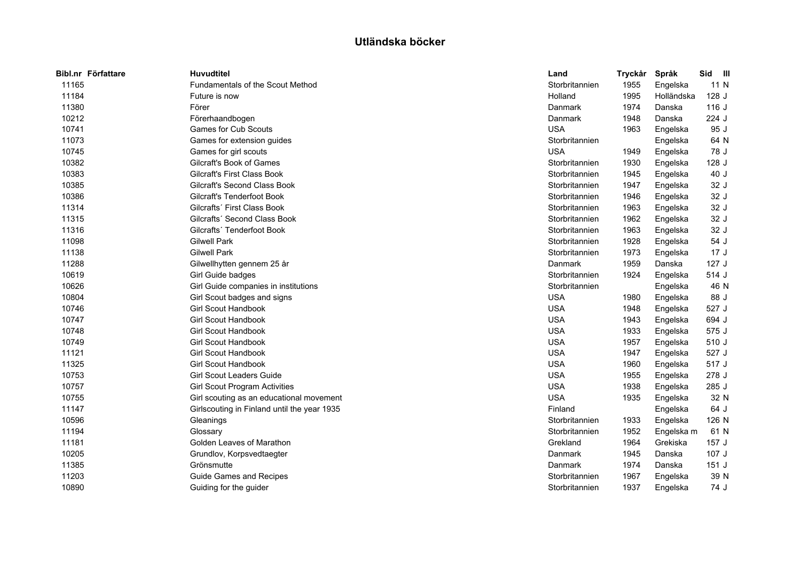| Bibl.nr Författare | <b>Huvudtitel</b>                           | Land           | Tryckår | Språk      | Sid III |  |
|--------------------|---------------------------------------------|----------------|---------|------------|---------|--|
| 11165              | Fundamentals of the Scout Method            | Storbritannien | 1955    | Engelska   | 11 N    |  |
| 11184              | Future is now                               | Holland        | 1995    | Holländska | 128 J   |  |
| 11380              | Förer                                       | Danmark        | 1974    | Danska     | 116 J   |  |
| 10212              | Förerhaandbogen                             | Danmark        | 1948    | Danska     | 224 J   |  |
| 10741              | <b>Games for Cub Scouts</b>                 | <b>USA</b>     | 1963    | Engelska   | 95 J    |  |
| 11073              | Games for extension guides                  | Storbritannien |         | Engelska   | 64 N    |  |
| 10745              | Games for girl scouts                       | <b>USA</b>     | 1949    | Engelska   | 78 J    |  |
| 10382              | Gilcraft's Book of Games                    | Storbritannien | 1930    | Engelska   | 128 J   |  |
| 10383              | <b>Gilcraft's First Class Book</b>          | Storbritannien | 1945    | Engelska   | 40 J    |  |
| 10385              | <b>Gilcraft's Second Class Book</b>         | Storbritannien | 1947    | Engelska   | 32 J    |  |
| 10386              | <b>Gilcraft's Tenderfoot Book</b>           | Storbritannien | 1946    | Engelska   | 32 J    |  |
| 11314              | Gilcrafts' First Class Book                 | Storbritannien | 1963    | Engelska   | 32 J    |  |
| 11315              | Gilcrafts' Second Class Book                | Storbritannien | 1962    | Engelska   | 32 J    |  |
| 11316              | Gilcrafts' Tenderfoot Book                  | Storbritannien | 1963    | Engelska   | 32 J    |  |
| 11098              | <b>Gilwell Park</b>                         | Storbritannien | 1928    | Engelska   | 54 J    |  |
| 11138              | <b>Gilwell Park</b>                         | Storbritannien | 1973    | Engelska   | 17J     |  |
| 11288              | Gilwellhytten gennem 25 år                  | Danmark        | 1959    | Danska     | 127J    |  |
| 10619              | Girl Guide badges                           | Storbritannien | 1924    | Engelska   | 514 J   |  |
| 10626              | Girl Guide companies in institutions        | Storbritannien |         | Engelska   | 46 N    |  |
| 10804              | Girl Scout badges and signs                 | <b>USA</b>     | 1980    | Engelska   | 88 J    |  |
| 10746              | <b>Girl Scout Handbook</b>                  | <b>USA</b>     | 1948    | Engelska   | 527 J   |  |
| 10747              | <b>Girl Scout Handbook</b>                  | <b>USA</b>     | 1943    | Engelska   | 694 J   |  |
| 10748              | <b>Girl Scout Handbook</b>                  | <b>USA</b>     | 1933    | Engelska   | 575 J   |  |
| 10749              | <b>Girl Scout Handbook</b>                  | <b>USA</b>     | 1957    | Engelska   | 510 J   |  |
| 11121              | <b>Girl Scout Handbook</b>                  | <b>USA</b>     | 1947    | Engelska   | 527 J   |  |
| 11325              | <b>Girl Scout Handbook</b>                  | <b>USA</b>     | 1960    | Engelska   | 517 J   |  |
| 10753              | Girl Scout Leaders Guide                    | <b>USA</b>     | 1955    | Engelska   | 278 J   |  |
| 10757              | <b>Girl Scout Program Activities</b>        | <b>USA</b>     | 1938    | Engelska   | 285 J   |  |
| 10755              | Girl scouting as an educational movement    | <b>USA</b>     | 1935    | Engelska   | 32 N    |  |
| 11147              | Girlscouting in Finland until the year 1935 | Finland        |         | Engelska   | 64 J    |  |
| 10596              | Gleanings                                   | Storbritannien | 1933    | Engelska   | 126 N   |  |
| 11194              | Glossary                                    | Storbritannien | 1952    | Engelska m | 61 N    |  |
| 11181              | Golden Leaves of Marathon                   | Grekland       | 1964    | Grekiska   | 157J    |  |
| 10205              | Grundlov, Korpsvedtaegter                   | Danmark        | 1945    | Danska     | 107J    |  |
| 11385              | Grönsmutte                                  | Danmark        | 1974    | Danska     | 151J    |  |
| 11203              | Guide Games and Recipes                     | Storbritannien | 1967    | Engelska   | 39 N    |  |
| 10890              | Guiding for the guider                      | Storbritannien | 1937    | Engelska   | 74 J    |  |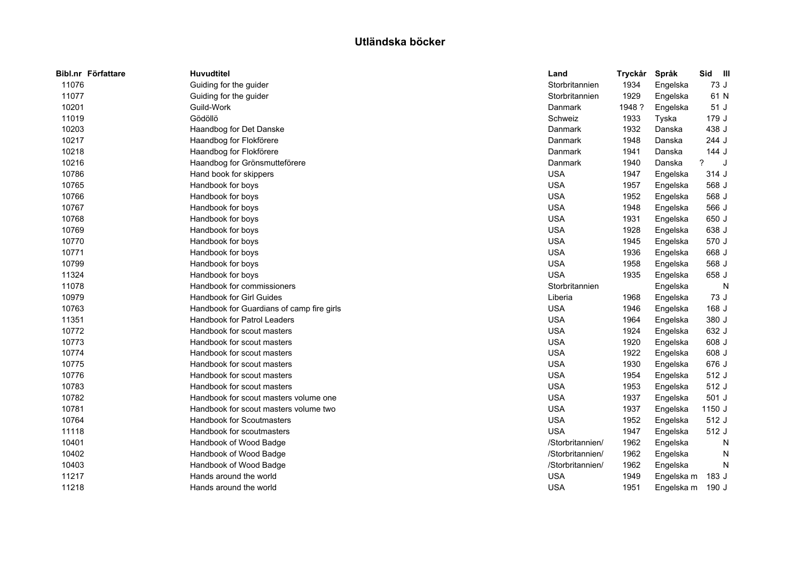| Bibl.nr Författare | <b>Huvudtitel</b>                         | Land             | <b>Tryckår</b> | Språk      | Sid<br>$\blacksquare$ |  |
|--------------------|-------------------------------------------|------------------|----------------|------------|-----------------------|--|
| 11076              | Guiding for the guider                    | Storbritannien   | 1934           | Engelska   | 73 J                  |  |
| 11077              | Guiding for the guider                    | Storbritannien   | 1929           | Engelska   | 61 N                  |  |
| 10201              | Guild-Work                                | Danmark          | 1948 ?         | Engelska   | 51 J                  |  |
| 11019              | Gödöllö                                   | Schweiz          | 1933           | Tyska      | 179 J                 |  |
| 10203              | Haandbog for Det Danske                   | Danmark          | 1932           | Danska     | 438 J                 |  |
| 10217              | Haandbog for Flokförere                   | Danmark          | 1948           | Danska     | 244 J                 |  |
| 10218              | Haandbog for Flokförere                   | Danmark          | 1941           | Danska     | 144 J                 |  |
| 10216              | Haandbog for Grönsmutteförere             | Danmark          | 1940           | Danska     | ?<br>J                |  |
| 10786              | Hand book for skippers                    | <b>USA</b>       | 1947           | Engelska   | 314 J                 |  |
| 10765              | Handbook for boys                         | <b>USA</b>       | 1957           | Engelska   | 568 J                 |  |
| 10766              | Handbook for boys                         | <b>USA</b>       | 1952           | Engelska   | 568 J                 |  |
| 10767              | Handbook for boys                         | <b>USA</b>       | 1948           | Engelska   | 566 J                 |  |
| 10768              | Handbook for boys                         | <b>USA</b>       | 1931           | Engelska   | 650 J                 |  |
| 10769              | Handbook for boys                         | <b>USA</b>       | 1928           | Engelska   | 638 J                 |  |
| 10770              | Handbook for boys                         | <b>USA</b>       | 1945           | Engelska   | 570 J                 |  |
| 10771              | Handbook for boys                         | <b>USA</b>       | 1936           | Engelska   | 668 J                 |  |
| 10799              | Handbook for boys                         | <b>USA</b>       | 1958           | Engelska   | 568 J                 |  |
| 11324              | Handbook for boys                         | <b>USA</b>       | 1935           | Engelska   | 658 J                 |  |
| 11078              | Handbook for commissioners                | Storbritannien   |                | Engelska   | N                     |  |
| 10979              | <b>Handbook for Girl Guides</b>           | Liberia          | 1968           | Engelska   | 73 J                  |  |
| 10763              | Handbook for Guardians of camp fire girls | <b>USA</b>       | 1946           | Engelska   | 168 J                 |  |
| 11351              | <b>Handbook for Patrol Leaders</b>        | <b>USA</b>       | 1964           | Engelska   | 380 J                 |  |
| 10772              | Handbook for scout masters                | <b>USA</b>       | 1924           | Engelska   | 632 J                 |  |
| 10773              | Handbook for scout masters                | <b>USA</b>       | 1920           | Engelska   | 608 J                 |  |
| 10774              | Handbook for scout masters                | <b>USA</b>       | 1922           | Engelska   | 608 J                 |  |
| 10775              | Handbook for scout masters                | <b>USA</b>       | 1930           | Engelska   | 676 J                 |  |
| 10776              | Handbook for scout masters                | <b>USA</b>       | 1954           | Engelska   | 512 J                 |  |
| 10783              | Handbook for scout masters                | <b>USA</b>       | 1953           | Engelska   | 512 J                 |  |
| 10782              | Handbook for scout masters volume one     | <b>USA</b>       | 1937           | Engelska   | 501 J                 |  |
| 10781              | Handbook for scout masters volume two     | <b>USA</b>       | 1937           | Engelska   | 1150 J                |  |
| 10764              | <b>Handbook for Scoutmasters</b>          | <b>USA</b>       | 1952           | Engelska   | 512 J                 |  |
| 11118              | Handbook for scoutmasters                 | <b>USA</b>       | 1947           | Engelska   | 512 J                 |  |
| 10401              | Handbook of Wood Badge                    | /Storbritannien/ | 1962           | Engelska   | N                     |  |
| 10402              | Handbook of Wood Badge                    | /Storbritannien/ | 1962           | Engelska   | N                     |  |
| 10403              | Handbook of Wood Badge                    | /Storbritannien/ | 1962           | Engelska   | N                     |  |
| 11217              | Hands around the world                    | <b>USA</b>       | 1949           | Engelska m | 183 J                 |  |
| 11218              | Hands around the world                    | <b>USA</b>       | 1951           | Engelska m | 190 J                 |  |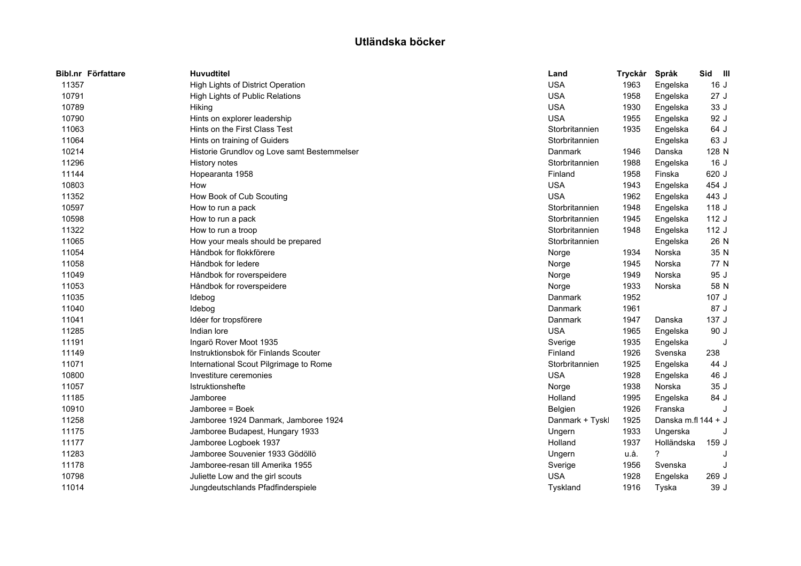| Bibl.nr Författare | <b>Huvudtitel</b>                           | Land            | Tryckår | Språk               | Sid<br>– III |  |
|--------------------|---------------------------------------------|-----------------|---------|---------------------|--------------|--|
| 11357              | High Lights of District Operation           | <b>USA</b>      | 1963    | Engelska            | 16J          |  |
| 10791              | High Lights of Public Relations             | <b>USA</b>      | 1958    | Engelska            | 27J          |  |
| 10789              | Hiking                                      | <b>USA</b>      | 1930    | Engelska            | 33 J         |  |
| 10790              | Hints on explorer leadership                | <b>USA</b>      | 1955    | Engelska            | 92 J         |  |
| 11063              | Hints on the First Class Test               | Storbritannien  | 1935    | Engelska            | 64 J         |  |
| 11064              | Hints on training of Guiders                | Storbritannien  |         | Engelska            | 63 J         |  |
| 10214              | Historie Grundlov og Love samt Bestemmelser | Danmark         | 1946    | Danska              | 128 N        |  |
| 11296              | History notes                               | Storbritannien  | 1988    | Engelska            | 16J          |  |
| 11144              | Hopearanta 1958                             | Finland         | 1958    | Finska              | 620 J        |  |
| 10803              | How                                         | <b>USA</b>      | 1943    | Engelska            | 454 J        |  |
| 11352              | How Book of Cub Scouting                    | <b>USA</b>      | 1962    | Engelska            | 443 J        |  |
| 10597              | How to run a pack                           | Storbritannien  | 1948    | Engelska            | 118 J        |  |
| 10598              | How to run a pack                           | Storbritannien  | 1945    | Engelska            | 112J         |  |
| 11322              | How to run a troop                          | Storbritannien  | 1948    | Engelska            | 112 J        |  |
| 11065              | How your meals should be prepared           | Storbritannien  |         | Engelska            | 26 N         |  |
| 11054              | Håndbok for flokkförere                     | Norge           | 1934    | Norska              | 35 N         |  |
| 11058              | Håndbok for ledere                          | Norge           | 1945    | Norska              | 77 N         |  |
| 11049              | Håndbok for roverspeidere                   | Norge           | 1949    | Norska              | 95 J         |  |
| 11053              | Håndbok for roverspeidere                   | Norge           | 1933    | Norska              | 58 N         |  |
| 11035              | Idebog                                      | Danmark         | 1952    |                     | 107J         |  |
| 11040              | Idebog                                      | Danmark         | 1961    |                     | 87 J         |  |
| 11041              | Idéer for tropsförere                       | Danmark         | 1947    | Danska              | 137J         |  |
| 11285              | Indian lore                                 | <b>USA</b>      | 1965    | Engelska            | 90 J         |  |
| 11191              | Ingarö Rover Moot 1935                      | Sverige         | 1935    | Engelska            | J            |  |
| 11149              | Instruktionsbok för Finlands Scouter        | Finland         | 1926    | Svenska             | 238          |  |
| 11071              | International Scout Pilgrimage to Rome      | Storbritannien  | 1925    | Engelska            | 44 J         |  |
| 10800              | Investiture ceremonies                      | <b>USA</b>      | 1928    | Engelska            | 46 J         |  |
| 11057              | <b>Istruktionshefte</b>                     | Norge           | 1938    | Norska              | 35J          |  |
| 11185              | Jamboree                                    | Holland         | 1995    | Engelska            | 84 J         |  |
| 10910              | Jamboree = Boek                             | Belgien         | 1926    | Franska             |              |  |
| 11258              | Jamboree 1924 Danmark, Jamboree 1924        | Danmark + Tyskl | 1925    | Danska m.fl 144 + J |              |  |
| 11175              | Jamboree Budapest, Hungary 1933             | Ungern          | 1933    | Ungerska            |              |  |
| 11177              | Jamboree Logboek 1937                       | Holland         | 1937    | Holländska          | 159 J        |  |
| 11283              | Jamboree Souvenier 1933 Gödöllö             | Ungern          | u.å.    | ?                   |              |  |
| 11178              | Jamboree-resan till Amerika 1955            | Sverige         | 1956    | Svenska             |              |  |
| 10798              | Juliette Low and the girl scouts            | <b>USA</b>      | 1928    | Engelska            | 269 J        |  |
| 11014              | Jungdeutschlands Pfadfinderspiele           | Tyskland        | 1916    | Tyska               | 39 J         |  |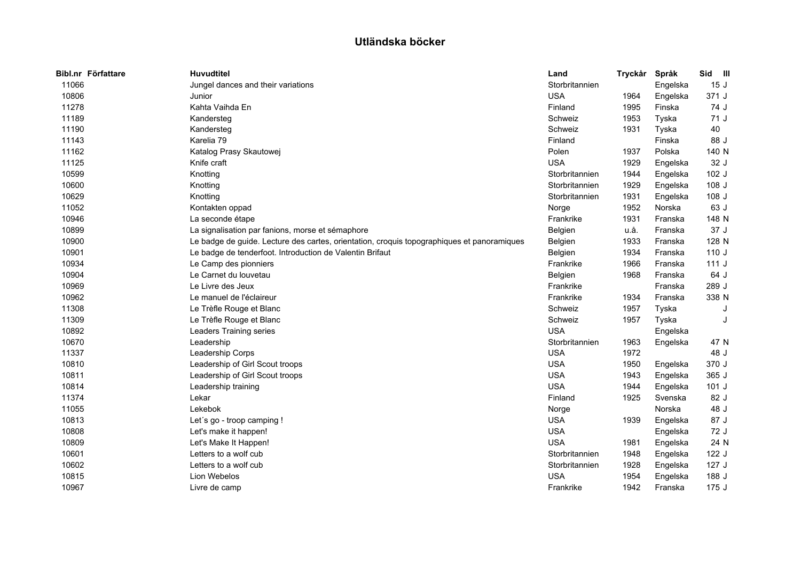| Bibl.nr Författare | <b>Huvudtitel</b>                                                                          | Land           | Tryckår | Språk    | Sid III |  |
|--------------------|--------------------------------------------------------------------------------------------|----------------|---------|----------|---------|--|
| 11066              | Jungel dances and their variations                                                         | Storbritannien |         | Engelska | 15J     |  |
| 10806              | Junior                                                                                     | <b>USA</b>     | 1964    | Engelska | 371 J   |  |
| 11278              | Kahta Vaihda En                                                                            | Finland        | 1995    | Finska   | 74 J    |  |
| 11189              | Kandersteg                                                                                 | Schweiz        | 1953    | Tyska    | 71 J    |  |
| 11190              | Kandersteg                                                                                 | Schweiz        | 1931    | Tyska    | 40      |  |
| 11143              | Karelia 79                                                                                 | Finland        |         | Finska   | 88 J    |  |
| 11162              | Katalog Prasy Skautowej                                                                    | Polen          | 1937    | Polska   | 140 N   |  |
| 11125              | Knife craft                                                                                | <b>USA</b>     | 1929    | Engelska | 32 J    |  |
| 10599              | Knotting                                                                                   | Storbritannien | 1944    | Engelska | 102 J   |  |
| 10600              | Knotting                                                                                   | Storbritannien | 1929    | Engelska | 108 J   |  |
| 10629              | Knotting                                                                                   | Storbritannien | 1931    | Engelska | 108 J   |  |
| 11052              | Kontakten oppad                                                                            | Norge          | 1952    | Norska   | 63 J    |  |
| 10946              | La seconde étape                                                                           | Frankrike      | 1931    | Franska  | 148 N   |  |
| 10899              | La signalisation par fanions, morse et sémaphore                                           | Belgien        | u.å.    | Franska  | 37 J    |  |
| 10900              | Le badge de guide. Lecture des cartes, orientation, croquis topographiques et panoramiques | Belgien        | 1933    | Franska  | 128 N   |  |
| 10901              | Le badge de tenderfoot. Introduction de Valentin Brifaut                                   | Belgien        | 1934    | Franska  | 110J    |  |
| 10934              | Le Camp des pionniers                                                                      | Frankrike      | 1966    | Franska  | 111J    |  |
| 10904              | Le Carnet du louvetau                                                                      | Belgien        | 1968    | Franska  | 64 J    |  |
| 10969              | Le Livre des Jeux                                                                          | Frankrike      |         | Franska  | 289 J   |  |
| 10962              | Le manuel de l'éclaireur                                                                   | Frankrike      | 1934    | Franska  | 338 N   |  |
| 11308              | Le Trèfle Rouge et Blanc                                                                   | Schweiz        | 1957    | Tyska    |         |  |
| 11309              | Le Trèfle Rouge et Blanc                                                                   | Schweiz        | 1957    | Tyska    |         |  |
| 10892              | <b>Leaders Training series</b>                                                             | <b>USA</b>     |         | Engelska |         |  |
| 10670              | Leadership                                                                                 | Storbritannien | 1963    | Engelska | 47 N    |  |
| 11337              | Leadership Corps                                                                           | <b>USA</b>     | 1972    |          | 48 J    |  |
| 10810              | Leadership of Girl Scout troops                                                            | <b>USA</b>     | 1950    | Engelska | 370 J   |  |
| 10811              | Leadership of Girl Scout troops                                                            | <b>USA</b>     | 1943    | Engelska | 365 J   |  |
| 10814              | Leadership training                                                                        | <b>USA</b>     | 1944    | Engelska | $101$ J |  |
| 11374              | Lekar                                                                                      | Finland        | 1925    | Svenska  | 82 J    |  |
| 11055              | Lekebok                                                                                    | Norge          |         | Norska   | 48 J    |  |
| 10813              | Let's go - troop camping !                                                                 | <b>USA</b>     | 1939    | Engelska | 87 J    |  |
| 10808              | Let's make it happen!                                                                      | <b>USA</b>     |         | Engelska | 72 J    |  |
| 10809              | Let's Make It Happen!                                                                      | <b>USA</b>     | 1981    | Engelska | 24 N    |  |
| 10601              | Letters to a wolf cub                                                                      | Storbritannien | 1948    | Engelska | 122J    |  |
| 10602              | Letters to a wolf cub                                                                      | Storbritannien | 1928    | Engelska | 127 J   |  |
| 10815              | Lion Webelos                                                                               | <b>USA</b>     | 1954    | Engelska | 188 J   |  |
| 10967              | Livre de camp                                                                              | Frankrike      | 1942    | Franska  | 175J    |  |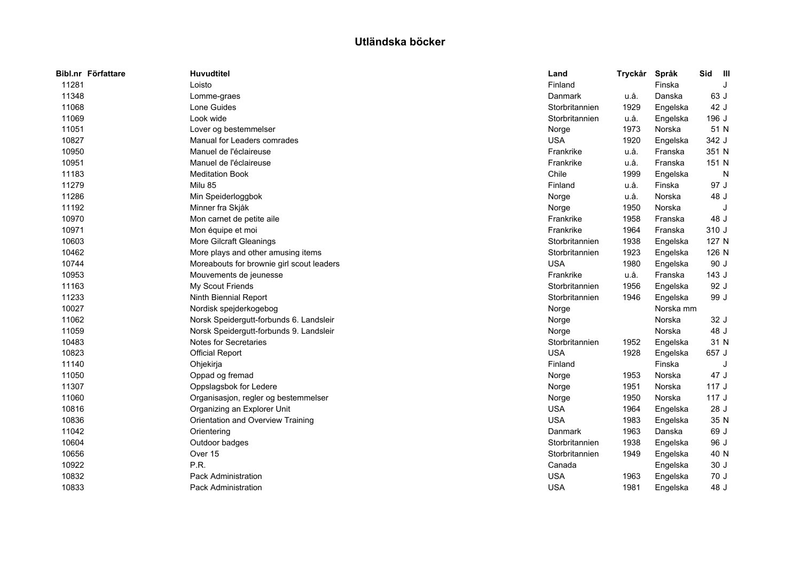| Bibl.nr Författare | <b>Huvudtitel</b>                         | Land           | Tryckår | Språk     | Sid   | $\blacksquare$ |
|--------------------|-------------------------------------------|----------------|---------|-----------|-------|----------------|
| 11281              | Loisto                                    | Finland        |         | Finska    |       |                |
| 11348              | Lomme-graes                               | Danmark        | u.å.    | Danska    | 63 J  |                |
| 11068              | Lone Guides                               | Storbritannien | 1929    | Engelska  | 42 J  |                |
| 11069              | Look wide                                 | Storbritannien | u.å.    | Engelska  | 196 J |                |
| 11051              | Lover og bestemmelser                     | Norge          | 1973    | Norska    | 51 N  |                |
| 10827              | Manual for Leaders comrades               | <b>USA</b>     | 1920    | Engelska  | 342 J |                |
| 10950              | Manuel de l'éclaireuse                    | Frankrike      | u.å.    | Franska   | 351 N |                |
| 10951              | Manuel de l'éclaireuse                    | Frankrike      | u.å.    | Franska   | 151 N |                |
| 11183              | <b>Meditation Book</b>                    | Chile          | 1999    | Engelska  |       | N              |
| 11279              | Milu 85                                   | Finland        | u.å.    | Finska    | 97 J  |                |
| 11286              | Min Speiderloggbok                        | Norge          | u.å.    | Norska    | 48 J  |                |
| 11192              | Minner fra Skjåk                          | Norge          | 1950    | Norska    |       | J              |
| 10970              | Mon carnet de petite aile                 | Frankrike      | 1958    | Franska   | 48 J  |                |
| 10971              | Mon équipe et moi                         | Frankrike      | 1964    | Franska   | 310 J |                |
| 10603              | More Gilcraft Gleanings                   | Storbritannien | 1938    | Engelska  | 127 N |                |
| 10462              | More plays and other amusing items        | Storbritannien | 1923    | Engelska  | 126 N |                |
| 10744              | Moreabouts for brownie girl scout leaders | <b>USA</b>     | 1980    | Engelska  | 90 J  |                |
| 10953              | Mouvements de jeunesse                    | Frankrike      | u.å.    | Franska   | 143 J |                |
| 11163              | My Scout Friends                          | Storbritannien | 1956    | Engelska  | 92 J  |                |
| 11233              | Ninth Biennial Report                     | Storbritannien | 1946    | Engelska  | 99 J  |                |
| 10027              | Nordisk spejderkogebog                    | Norge          |         | Norska mm |       |                |
| 11062              | Norsk Speidergutt-forbunds 6. Landsleir   | Norge          |         | Norska    | 32 J  |                |
| 11059              | Norsk Speidergutt-forbunds 9. Landsleir   | Norge          |         | Norska    | 48 J  |                |
| 10483              | <b>Notes for Secretaries</b>              | Storbritannien | 1952    | Engelska  | 31 N  |                |
| 10823              | <b>Official Report</b>                    | <b>USA</b>     | 1928    | Engelska  | 657 J |                |
| 11140              | Ohjekirja                                 | Finland        |         | Finska    |       |                |
| 11050              | Oppad og fremad                           | Norge          | 1953    | Norska    | 47 J  |                |
| 11307              | Oppslagsbok for Ledere                    | Norge          | 1951    | Norska    | 117J  |                |
| 11060              | Organisasjon, regler og bestemmelser      | Norge          | 1950    | Norska    | 117J  |                |
| 10816              | Organizing an Explorer Unit               | <b>USA</b>     | 1964    | Engelska  | 28 J  |                |
| 10836              | Orientation and Overview Training         | <b>USA</b>     | 1983    | Engelska  | 35 N  |                |
| 11042              | Orientering                               | Danmark        | 1963    | Danska    | 69 J  |                |
| 10604              | Outdoor badges                            | Storbritannien | 1938    | Engelska  | 96 J  |                |
| 10656              | Over 15                                   | Storbritannien | 1949    | Engelska  | 40 N  |                |
| 10922              | P.R.                                      | Canada         |         | Engelska  | 30 J  |                |
| 10832              | <b>Pack Administration</b>                | <b>USA</b>     | 1963    | Engelska  | 70 J  |                |
| 10833              | Pack Administration                       | <b>USA</b>     | 1981    | Engelska  | 48 J  |                |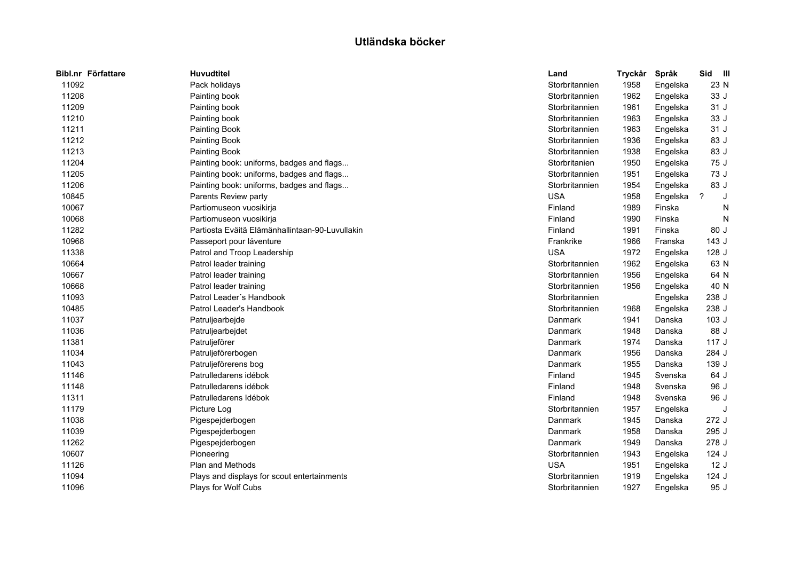| <b>Huvudtitel</b>                                                                                                                                                                                                                                                                                                                                               | Land           | Tryckår                      | Språk    | Sid<br>$\blacksquare$ |
|-----------------------------------------------------------------------------------------------------------------------------------------------------------------------------------------------------------------------------------------------------------------------------------------------------------------------------------------------------------------|----------------|------------------------------|----------|-----------------------|
| Pack holidays                                                                                                                                                                                                                                                                                                                                                   | Storbritannien | 1958                         | Engelska | 23 N                  |
| Painting book                                                                                                                                                                                                                                                                                                                                                   | Storbritannien | 1962                         | Engelska | 33 J                  |
| Painting book                                                                                                                                                                                                                                                                                                                                                   | Storbritannien | 1961                         | Engelska | 31 J                  |
| Painting book                                                                                                                                                                                                                                                                                                                                                   | Storbritannien | 1963                         | Engelska | 33 J                  |
| Painting Book                                                                                                                                                                                                                                                                                                                                                   | Storbritannien | 1963                         | Engelska | 31 J                  |
| Painting Book                                                                                                                                                                                                                                                                                                                                                   | Storbritannien | 1936                         | Engelska | 83 J                  |
| Painting Book                                                                                                                                                                                                                                                                                                                                                   | Storbritannien | 1938                         | Engelska | 83 J                  |
| Painting book: uniforms, badges and flags                                                                                                                                                                                                                                                                                                                       | Storbritanien  | 1950                         | Engelska | 75 J                  |
| Painting book: uniforms, badges and flags                                                                                                                                                                                                                                                                                                                       | Storbritannien | 1951                         | Engelska | 73 J                  |
| Painting book: uniforms, badges and flags                                                                                                                                                                                                                                                                                                                       | Storbritannien | 1954                         | Engelska | 83 J                  |
| Parents Review party                                                                                                                                                                                                                                                                                                                                            | <b>USA</b>     | 1958                         | Engelska | ?                     |
| Partiomuseon vuosikirja                                                                                                                                                                                                                                                                                                                                         | Finland        | 1989                         | Finska   | N                     |
| Partiomuseon vuosikirja                                                                                                                                                                                                                                                                                                                                         | Finland        | 1990                         | Finska   | N                     |
| Partiosta Eväitä Elämänhallintaan-90-Luvullakin                                                                                                                                                                                                                                                                                                                 | Finland        | 1991                         | Finska   | 80 J                  |
| Passeport pour láventure                                                                                                                                                                                                                                                                                                                                        | Frankrike      | 1966                         | Franska  | 143J                  |
| Patrol and Troop Leadership                                                                                                                                                                                                                                                                                                                                     | <b>USA</b>     | 1972                         | Engelska | 128 J                 |
| Patrol leader training                                                                                                                                                                                                                                                                                                                                          | Storbritannien | 1962                         | Engelska | 63 N                  |
| Patrol leader training                                                                                                                                                                                                                                                                                                                                          | Storbritannien | 1956                         | Engelska | 64 N                  |
| Patrol leader training                                                                                                                                                                                                                                                                                                                                          | Storbritannien | 1956                         | Engelska | 40 N                  |
| Patrol Leader's Handbook                                                                                                                                                                                                                                                                                                                                        | Storbritannien |                              | Engelska | 238 J                 |
| Patrol Leader's Handbook                                                                                                                                                                                                                                                                                                                                        | Storbritannien | 1968                         | Engelska | 238 J                 |
| Patruljearbejde                                                                                                                                                                                                                                                                                                                                                 | Danmark        | 1941                         | Danska   | 103J                  |
| Patruljearbejdet                                                                                                                                                                                                                                                                                                                                                | Danmark        | 1948                         | Danska   | 88 J                  |
| Patruljeförer                                                                                                                                                                                                                                                                                                                                                   | Danmark        | 1974                         | Danska   | 117J                  |
| Patruljeförerbogen                                                                                                                                                                                                                                                                                                                                              | Danmark        | 1956                         | Danska   | 284 J                 |
| Patruljeförerens bog                                                                                                                                                                                                                                                                                                                                            | Danmark        | 1955                         | Danska   | 139 J                 |
| Patrulledarens idébok                                                                                                                                                                                                                                                                                                                                           | Finland        | 1945                         | Svenska  | 64 J                  |
| Patrulledarens idébok                                                                                                                                                                                                                                                                                                                                           | Finland        | 1948                         | Svenska  | 96 J                  |
| Patrulledarens Idébok                                                                                                                                                                                                                                                                                                                                           | Finland        | 1948                         | Svenska  | 96 J                  |
| Picture Log                                                                                                                                                                                                                                                                                                                                                     |                | 1957                         | Engelska | J                     |
| Pigespejderbogen                                                                                                                                                                                                                                                                                                                                                | Danmark        | 1945                         | Danska   | 272 J                 |
| Pigespejderbogen                                                                                                                                                                                                                                                                                                                                                | Danmark        | 1958                         | Danska   | 295 J                 |
| Pigespejderbogen                                                                                                                                                                                                                                                                                                                                                | Danmark        | 1949                         | Danska   | 278 J                 |
| Pioneering                                                                                                                                                                                                                                                                                                                                                      | Storbritannien | 1943                         | Engelska | 124 J                 |
| <b>Plan and Methods</b>                                                                                                                                                                                                                                                                                                                                         |                | 1951                         | Engelska | 12J                   |
| Plays and displays for scout entertainments                                                                                                                                                                                                                                                                                                                     | Storbritannien | 1919                         | Engelska | 124 J                 |
| Plays for Wolf Cubs                                                                                                                                                                                                                                                                                                                                             | Storbritannien | 1927                         | Engelska | 95 J                  |
| Bibl.nr Författare<br>11092<br>11208<br>11209<br>11210<br>11211<br>11212<br>11213<br>11204<br>11205<br>11206<br>10845<br>10067<br>10068<br>11282<br>10968<br>11338<br>10664<br>10667<br>10668<br>11093<br>10485<br>11037<br>11036<br>11381<br>11034<br>11043<br>11146<br>11148<br>11311<br>11179<br>11038<br>11039<br>11262<br>10607<br>11126<br>11094<br>11096 |                | Storbritannien<br><b>USA</b> |          |                       |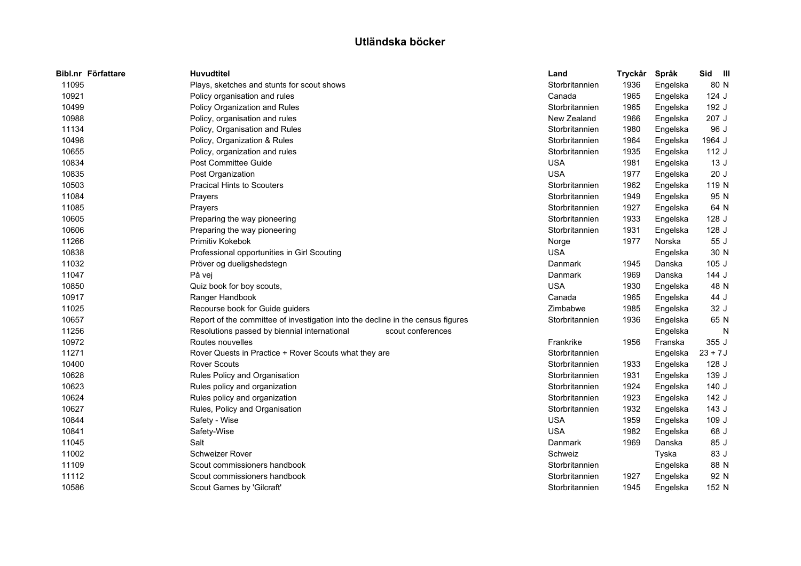| Bibl.nr Författare | <b>Huvudtitel</b>                                                               | Land           | Tryckår | Språk    | Sid<br>$\blacksquare$ |
|--------------------|---------------------------------------------------------------------------------|----------------|---------|----------|-----------------------|
| 11095              | Plays, sketches and stunts for scout shows                                      | Storbritannien | 1936    | Engelska | 80 N                  |
| 10921              | Policy organisation and rules                                                   | Canada         | 1965    | Engelska | $124$ J               |
| 10499              | Policy Organization and Rules                                                   | Storbritannien | 1965    | Engelska | 192 J                 |
| 10988              | Policy, organisation and rules                                                  | New Zealand    | 1966    | Engelska | 207 J                 |
| 11134              | Policy, Organisation and Rules                                                  | Storbritannien | 1980    | Engelska | 96 J                  |
| 10498              | Policy, Organization & Rules                                                    | Storbritannien | 1964    | Engelska | 1964 J                |
| 10655              | Policy, organization and rules                                                  | Storbritannien | 1935    | Engelska | 112 J                 |
| 10834              | Post Committee Guide                                                            | <b>USA</b>     | 1981    | Engelska | 13J                   |
| 10835              | Post Organization                                                               | <b>USA</b>     | 1977    | Engelska | 20J                   |
| 10503              | <b>Pracical Hints to Scouters</b>                                               | Storbritannien | 1962    | Engelska | 119 N                 |
| 11084              | Prayers                                                                         | Storbritannien | 1949    | Engelska | 95 N                  |
| 11085              | Prayers                                                                         | Storbritannien | 1927    | Engelska | 64 N                  |
| 10605              | Preparing the way pioneering                                                    | Storbritannien | 1933    | Engelska | 128 J                 |
| 10606              | Preparing the way pioneering                                                    | Storbritannien | 1931    | Engelska | 128 J                 |
| 11266              | Primitiv Kokebok                                                                | Norge          | 1977    | Norska   | 55 J                  |
| 10838              | Professional opportunities in Girl Scouting                                     | <b>USA</b>     |         | Engelska | 30 N                  |
| 11032              | Pröver og dueligshedstegn                                                       | Danmark        | 1945    | Danska   | 105J                  |
| 11047              | På vej                                                                          | Danmark        | 1969    | Danska   | 144 J                 |
| 10850              | Quiz book for boy scouts,                                                       | <b>USA</b>     | 1930    | Engelska | 48 N                  |
| 10917              | Ranger Handbook                                                                 | Canada         | 1965    | Engelska | 44 J                  |
| 11025              | Recourse book for Guide guiders                                                 | Zimbabwe       | 1985    | Engelska | 32 J                  |
| 10657              | Report of the committee of investigation into the decline in the census figures | Storbritannien | 1936    | Engelska | 65 N                  |
| 11256              | Resolutions passed by biennial international<br>scout conferences               |                |         | Engelska | N                     |
| 10972              | Routes nouvelles                                                                | Frankrike      | 1956    | Franska  | 355 J                 |
| 11271              | Rover Quests in Practice + Rover Scouts what they are                           | Storbritannien |         | Engelska | $23 + 7J$             |
| 10400              | <b>Rover Scouts</b>                                                             | Storbritannien | 1933    | Engelska | 128J                  |
| 10628              | Rules Policy and Organisation                                                   | Storbritannien | 1931    | Engelska | 139 J                 |
| 10623              | Rules policy and organization                                                   | Storbritannien | 1924    | Engelska | 140J                  |
| 10624              | Rules policy and organization                                                   | Storbritannien | 1923    | Engelska | 142 J                 |
| 10627              | Rules, Policy and Organisation                                                  | Storbritannien | 1932    | Engelska | 143 J                 |
| 10844              | Safety - Wise                                                                   | <b>USA</b>     | 1959    | Engelska | 109J                  |
| 10841              | Safety-Wise                                                                     | <b>USA</b>     | 1982    | Engelska | 68 J                  |
| 11045              | Salt                                                                            | Danmark        | 1969    | Danska   | 85 J                  |
| 11002              | Schweizer Rover                                                                 | Schweiz        |         | Tyska    | 83 J                  |
| 11109              | Scout commissioners handbook                                                    | Storbritannien |         | Engelska | 88 N                  |
| 11112              | Scout commissioners handbook                                                    | Storbritannien | 1927    | Engelska | 92 N                  |
| 10586              | Scout Games by 'Gilcraft'                                                       | Storbritannien | 1945    | Engelska | 152 N                 |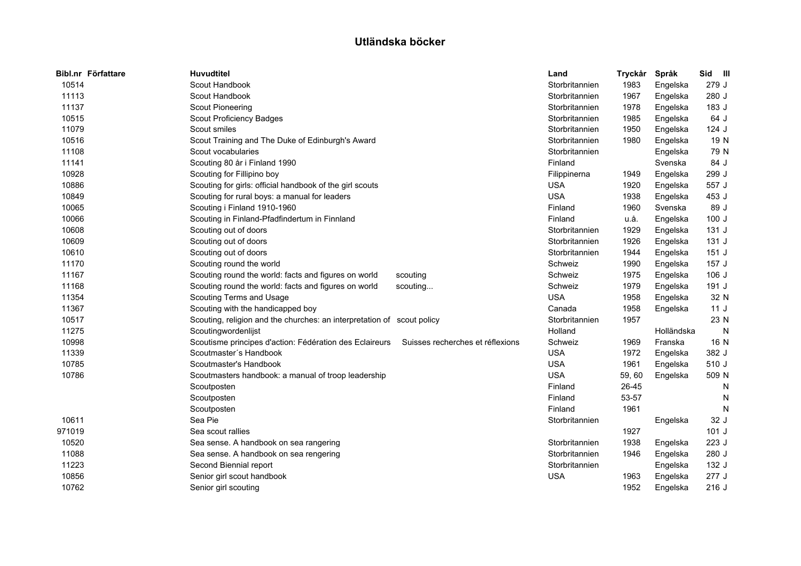|        | Bibl.nr Författare | <b>Huvudtitel</b>                                                      |                                  | Land           | Tryckår | Språk      | Sid III |   |
|--------|--------------------|------------------------------------------------------------------------|----------------------------------|----------------|---------|------------|---------|---|
| 10514  |                    | Scout Handbook                                                         |                                  | Storbritannien | 1983    | Engelska   | 279 J   |   |
| 11113  |                    | Scout Handbook                                                         |                                  | Storbritannien | 1967    | Engelska   | 280 J   |   |
| 11137  |                    | <b>Scout Pioneering</b>                                                |                                  | Storbritannien | 1978    | Engelska   | 183 J   |   |
| 10515  |                    | Scout Proficiency Badges                                               |                                  | Storbritannien | 1985    | Engelska   | 64 J    |   |
| 11079  |                    | Scout smiles                                                           |                                  | Storbritannien | 1950    | Engelska   | 124 J   |   |
| 10516  |                    | Scout Training and The Duke of Edinburgh's Award                       |                                  | Storbritannien | 1980    | Engelska   | 19 N    |   |
| 11108  |                    | Scout vocabularies                                                     |                                  | Storbritannien |         | Engelska   | 79 N    |   |
| 11141  |                    | Scouting 80 år i Finland 1990                                          |                                  | Finland        |         | Svenska    | 84 J    |   |
| 10928  |                    | Scouting for Fillipino boy                                             |                                  | Filippinerna   | 1949    | Engelska   | 299 J   |   |
| 10886  |                    | Scouting for girls: official handbook of the girl scouts               |                                  | <b>USA</b>     | 1920    | Engelska   | 557 J   |   |
| 10849  |                    | Scouting for rural boys: a manual for leaders                          |                                  | <b>USA</b>     | 1938    | Engelska   | 453 J   |   |
| 10065  |                    | Scouting i Finland 1910-1960                                           |                                  | Finland        | 1960    | Svenska    | 89 J    |   |
| 10066  |                    | Scouting in Finland-Pfadfindertum in Finnland                          |                                  | Finland        | u.å.    | Engelska   | 100J    |   |
| 10608  |                    | Scouting out of doors                                                  |                                  | Storbritannien | 1929    | Engelska   | 131 J   |   |
| 10609  |                    | Scouting out of doors                                                  |                                  | Storbritannien | 1926    | Engelska   | 131 J   |   |
| 10610  |                    | Scouting out of doors                                                  |                                  | Storbritannien | 1944    | Engelska   | 151J    |   |
| 11170  |                    | Scouting round the world                                               |                                  | Schweiz        | 1990    | Engelska   | 157 J   |   |
| 11167  |                    | Scouting round the world: facts and figures on world                   | scouting                         | Schweiz        | 1975    | Engelska   | 106 J   |   |
| 11168  |                    | Scouting round the world: facts and figures on world                   | scouting                         | Schweiz        | 1979    | Engelska   | 191 J   |   |
| 11354  |                    | Scouting Terms and Usage                                               |                                  | <b>USA</b>     | 1958    | Engelska   | 32 N    |   |
| 11367  |                    | Scouting with the handicapped boy                                      |                                  | Canada         | 1958    | Engelska   | 11J     |   |
| 10517  |                    | Scouting, religion and the churches: an interpretation of scout policy |                                  | Storbritannien | 1957    |            | 23 N    |   |
| 11275  |                    | Scoutingwordenlijst                                                    |                                  | Holland        |         | Holländska |         | N |
| 10998  |                    | Scoutisme principes d'action: Fédération des Eclaireurs                | Suisses recherches et réflexions | Schweiz        | 1969    | Franska    | 16 N    |   |
| 11339  |                    | Scoutmaster's Handbook                                                 |                                  | <b>USA</b>     | 1972    | Engelska   | 382 J   |   |
| 10785  |                    | Scoutmaster's Handbook                                                 |                                  | <b>USA</b>     | 1961    | Engelska   | 510 J   |   |
| 10786  |                    | Scoutmasters handbook: a manual of troop leadership                    |                                  | <b>USA</b>     | 59, 60  | Engelska   | 509 N   |   |
|        |                    | Scoutposten                                                            |                                  | Finland        | 26-45   |            |         | N |
|        |                    | Scoutposten                                                            |                                  | Finland        | 53-57   |            |         | N |
|        |                    | Scoutposten                                                            |                                  | Finland        | 1961    |            |         | N |
| 10611  |                    | Sea Pie                                                                |                                  | Storbritannien |         | Engelska   | 32 J    |   |
| 971019 |                    | Sea scout rallies                                                      |                                  |                | 1927    |            | 101J    |   |
| 10520  |                    | Sea sense. A handbook on sea rangering                                 |                                  | Storbritannien | 1938    | Engelska   | 223 J   |   |
| 11088  |                    | Sea sense. A handbook on sea rengering                                 |                                  | Storbritannien | 1946    | Engelska   | 280 J   |   |
| 11223  |                    | Second Biennial report                                                 |                                  | Storbritannien |         | Engelska   | 132 J   |   |
| 10856  |                    | Senior girl scout handbook                                             |                                  | <b>USA</b>     | 1963    | Engelska   | 277 J   |   |
| 10762  |                    | Senior girl scouting                                                   |                                  |                | 1952    | Engelska   | 216 J   |   |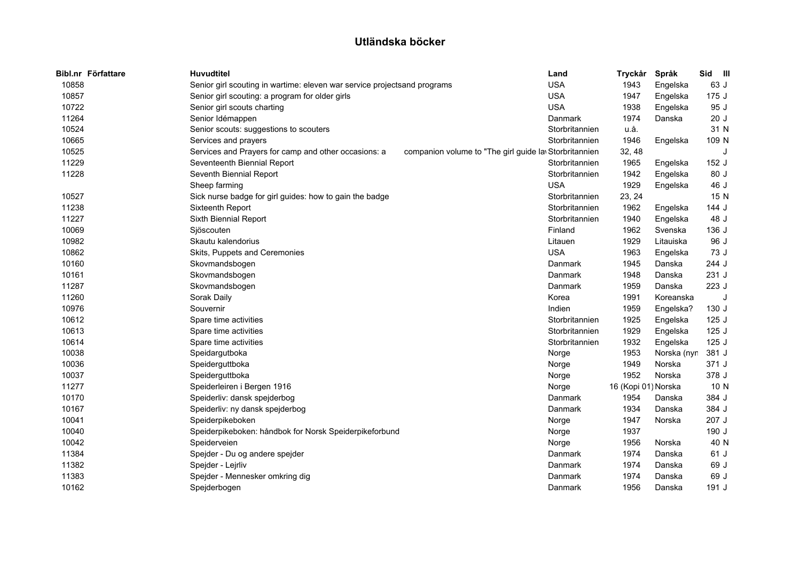| Bibl.nr Författare | <b>Huvudtitel</b>                                                        |                                                       | Land           | Tryckår             | Språk       | Sid III |   |
|--------------------|--------------------------------------------------------------------------|-------------------------------------------------------|----------------|---------------------|-------------|---------|---|
| 10858              | Senior girl scouting in wartime: eleven war service projectsand programs |                                                       | <b>USA</b>     | 1943                | Engelska    | 63 J    |   |
| 10857              | Senior girl scouting: a program for older girls                          |                                                       | <b>USA</b>     | 1947                | Engelska    | 175 J   |   |
| 10722              | Senior girl scouts charting                                              |                                                       | <b>USA</b>     | 1938                | Engelska    | 95 J    |   |
| 11264              | Senior Idémappen                                                         |                                                       | Danmark        | 1974                | Danska      | 20J     |   |
| 10524              | Senior scouts: suggestions to scouters                                   |                                                       | Storbritannien | u.å.                |             | 31 N    |   |
| 10665              | Services and prayers                                                     |                                                       | Storbritannien | 1946                | Engelska    | 109 N   |   |
| 10525              | Services and Prayers for camp and other occasions: a                     | companion volume to "The girl guide la Storbritannien |                | 32, 48              |             |         | J |
| 11229              | Seventeenth Biennial Report                                              |                                                       | Storbritannien | 1965                | Engelska    | 152 J   |   |
| 11228              | Seventh Biennial Report                                                  |                                                       | Storbritannien | 1942                | Engelska    | 80 J    |   |
|                    | Sheep farming                                                            |                                                       | <b>USA</b>     | 1929                | Engelska    | 46 J    |   |
| 10527              | Sick nurse badge for girl guides: how to gain the badge                  |                                                       | Storbritannien | 23, 24              |             | 15 N    |   |
| 11238              | Sixteenth Report                                                         |                                                       | Storbritannien | 1962                | Engelska    | 144 J   |   |
| 11227              | Sixth Biennial Report                                                    |                                                       | Storbritannien | 1940                | Engelska    | 48 J    |   |
| 10069              | Sjöscouten                                                               |                                                       | Finland        | 1962                | Svenska     | 136 J   |   |
| 10982              | Skautu kalendorius                                                       |                                                       | Litauen        | 1929                | Litauiska   | 96 J    |   |
| 10862              | Skits, Puppets and Ceremonies                                            |                                                       | <b>USA</b>     | 1963                | Engelska    | 73 J    |   |
| 10160              | Skovmandsbogen                                                           |                                                       | Danmark        | 1945                | Danska      | 244 J   |   |
| 10161              | Skovmandsbogen                                                           |                                                       | Danmark        | 1948                | Danska      | 231 J   |   |
| 11287              | Skovmandsbogen                                                           |                                                       | Danmark        | 1959                | Danska      | 223 J   |   |
| 11260              | Sorak Daily                                                              |                                                       | Korea          | 1991                | Koreanska   |         |   |
| 10976              | Souvernir                                                                |                                                       | Indien         | 1959                | Engelska?   | 130 J   |   |
| 10612              | Spare time activities                                                    |                                                       | Storbritannien | 1925                | Engelska    | 125J    |   |
| 10613              | Spare time activities                                                    |                                                       | Storbritannien | 1929                | Engelska    | 125J    |   |
| 10614              | Spare time activities                                                    |                                                       | Storbritannien | 1932                | Engelska    | 125J    |   |
| 10038              | Speidargutboka                                                           |                                                       | Norge          | 1953                | Norska (nyr | 381 J   |   |
| 10036              | Speiderguttboka                                                          |                                                       | Norge          | 1949                | Norska      | 371 J   |   |
| 10037              | Speiderguttboka                                                          |                                                       | Norge          | 1952                | Norska      | 378 J   |   |
| 11277              | Speiderleiren i Bergen 1916                                              |                                                       | Norge          | 16 (Kopi 01) Norska |             | 10 N    |   |
| 10170              | Speiderliv: dansk spejderbog                                             |                                                       | Danmark        | 1954                | Danska      | 384 J   |   |
| 10167              | Speiderliv: ny dansk spejderbog                                          |                                                       | Danmark        | 1934                | Danska      | 384 J   |   |
| 10041              | Speiderpikeboken                                                         |                                                       | Norge          | 1947                | Norska      | 207 J   |   |
| 10040              | Speiderpikeboken: håndbok for Norsk Speiderpikeforbund                   |                                                       | Norge          | 1937                |             | 190 J   |   |
| 10042              | Speiderveien                                                             |                                                       | Norge          | 1956                | Norska      | 40 N    |   |
| 11384              | Spejder - Du og andere spejder                                           |                                                       | Danmark        | 1974                | Danska      | 61 J    |   |
| 11382              | Spejder - Lejrliv                                                        |                                                       | Danmark        | 1974                | Danska      | 69 J    |   |
| 11383              | Spejder - Mennesker omkring dig                                          |                                                       | Danmark        | 1974                | Danska      | 69 J    |   |
| 10162              | Spejderbogen                                                             |                                                       | Danmark        | 1956                | Danska      | 191 J   |   |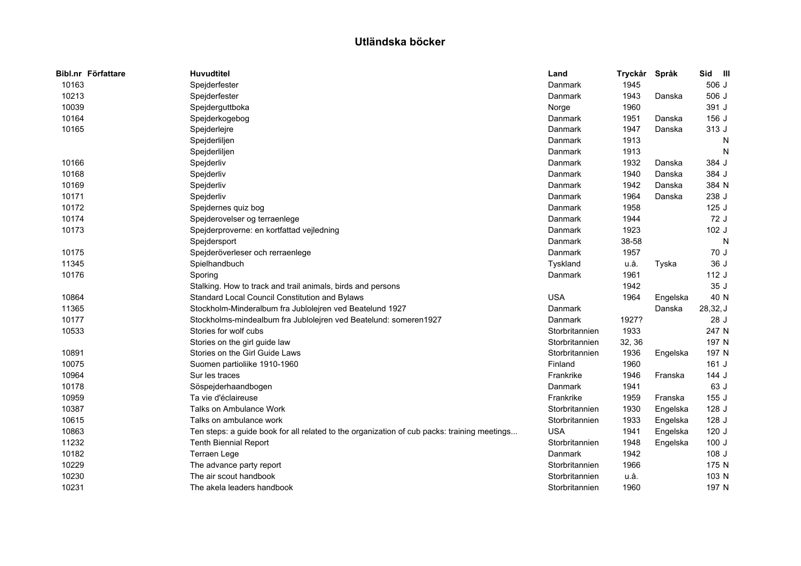| Bibl.nr Författare | <b>Huvudtitel</b>                                                                           | Land           | Tryckår | Språk    | Sid      | $\blacksquare$ |
|--------------------|---------------------------------------------------------------------------------------------|----------------|---------|----------|----------|----------------|
| 10163              | Spejderfester                                                                               | Danmark        | 1945    |          | 506 J    |                |
| 10213              | Spejderfester                                                                               | Danmark        | 1943    | Danska   | 506 J    |                |
| 10039              | Spejderguttboka                                                                             | Norge          | 1960    |          | 391 J    |                |
| 10164              | Spejderkogebog                                                                              | Danmark        | 1951    | Danska   | 156 J    |                |
| 10165              | Spejderlejre                                                                                | Danmark        | 1947    | Danska   | 313 J    |                |
|                    | Spejderliljen                                                                               | Danmark        | 1913    |          |          | N              |
|                    | Spejderliljen                                                                               | Danmark        | 1913    |          |          | N              |
| 10166              | Spejderliv                                                                                  | Danmark        | 1932    | Danska   | 384 J    |                |
| 10168              | Spejderliv                                                                                  | Danmark        | 1940    | Danska   | 384 J    |                |
| 10169              | Spejderliv                                                                                  | Danmark        | 1942    | Danska   | 384 N    |                |
| 10171              | Spejderliv                                                                                  | Danmark        | 1964    | Danska   | 238 J    |                |
| 10172              | Spejdernes quiz bog                                                                         | Danmark        | 1958    |          | 125J     |                |
| 10174              | Spejderovelser og terraenlege                                                               | Danmark        | 1944    |          | 72 J     |                |
| 10173              | Spejderproverne: en kortfattad vejledning                                                   | Danmark        | 1923    |          | 102 J    |                |
|                    | Spejdersport                                                                                | Danmark        | 38-58   |          |          | $\mathsf{N}$   |
| 10175              | Spejderöverleser och rerraenlege                                                            | Danmark        | 1957    |          | 70 J     |                |
| 11345              | Spielhandbuch                                                                               | Tyskland       | u.å.    | Tyska    | 36 J     |                |
| 10176              | Sporing                                                                                     | Danmark        | 1961    |          | 112 J    |                |
|                    | Stalking. How to track and trail animals, birds and persons                                 |                | 1942    |          | 35 J     |                |
| 10864              | Standard Local Council Constitution and Bylaws                                              | <b>USA</b>     | 1964    | Engelska | 40 N     |                |
| 11365              | Stockholm-Minderalbum fra Jublolejren ved Beatelund 1927                                    | Danmark        |         | Danska   | 28,32, J |                |
| 10177              | Stockholms-mindealbum fra Jublolejren ved Beatelund: someren1927                            | Danmark        | 1927?   |          | 28 J     |                |
| 10533              | Stories for wolf cubs                                                                       | Storbritannien | 1933    |          | 247 N    |                |
|                    | Stories on the girl guide law                                                               | Storbritannien | 32, 36  |          | 197 N    |                |
| 10891              | Stories on the Girl Guide Laws                                                              | Storbritannien | 1936    | Engelska | 197 N    |                |
| 10075              | Suomen partioliike 1910-1960                                                                | Finland        | 1960    |          | $161$ J  |                |
| 10964              | Sur les traces                                                                              | Frankrike      | 1946    | Franska  | 144 J    |                |
| 10178              | Söspejderhaandbogen                                                                         | Danmark        | 1941    |          | 63 J     |                |
| 10959              | Ta vie d'éclaireuse                                                                         | Frankrike      | 1959    | Franska  | 155J     |                |
| 10387              | Talks on Ambulance Work                                                                     | Storbritannien | 1930    | Engelska | 128J     |                |
| 10615              | Talks on ambulance work                                                                     | Storbritannien | 1933    | Engelska | 128 J    |                |
| 10863              | Ten steps: a guide book for all related to the organization of cub packs: training meetings | <b>USA</b>     | 1941    | Engelska | 120 J    |                |
| 11232              | <b>Tenth Biennial Report</b>                                                                | Storbritannien | 1948    | Engelska | 100J     |                |
| 10182              | <b>Terraen Lege</b>                                                                         | Danmark        | 1942    |          | 108 J    |                |
| 10229              | The advance party report                                                                    | Storbritannien | 1966    |          | 175 N    |                |
| 10230              | The air scout handbook                                                                      | Storbritannien | u.å.    |          | 103 N    |                |
| 10231              | The akela leaders handbook                                                                  | Storbritannien | 1960    |          | 197 N    |                |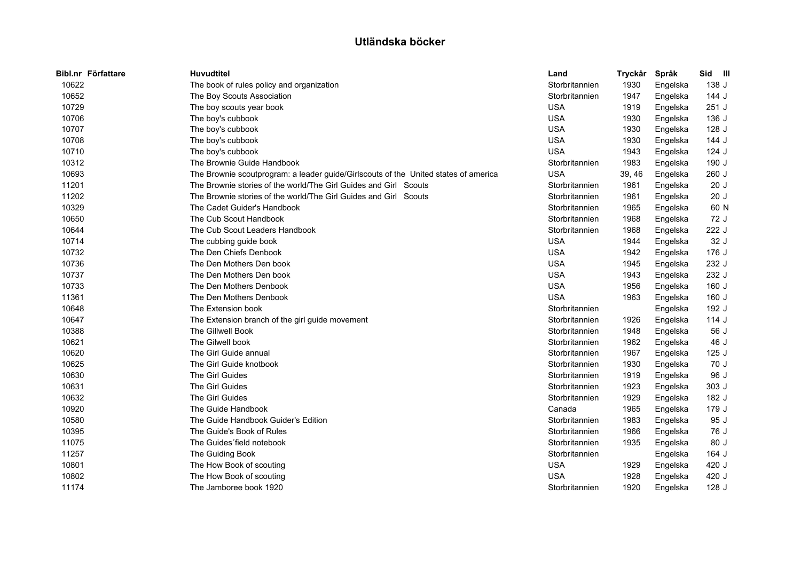| Bibl.nr Författare | <b>Huvudtitel</b>                                                                   | Land           | Tryckår | Språk    | Sid III |
|--------------------|-------------------------------------------------------------------------------------|----------------|---------|----------|---------|
| 10622              | The book of rules policy and organization                                           | Storbritannien | 1930    | Engelska | 138 J   |
| 10652              | The Boy Scouts Association                                                          | Storbritannien | 1947    | Engelska | 144 J   |
| 10729              | The boy scouts year book                                                            | <b>USA</b>     | 1919    | Engelska | 251 J   |
| 10706              | The boy's cubbook                                                                   | <b>USA</b>     | 1930    | Engelska | 136 J   |
| 10707              | The boy's cubbook                                                                   | <b>USA</b>     | 1930    | Engelska | 128 J   |
| 10708              | The boy's cubbook                                                                   | <b>USA</b>     | 1930    | Engelska | 144 J   |
| 10710              | The boy's cubbook                                                                   | <b>USA</b>     | 1943    | Engelska | 124 J   |
| 10312              | The Brownie Guide Handbook                                                          | Storbritannien | 1983    | Engelska | 190 J   |
| 10693              | The Brownie scoutprogram: a leader guide/Girlscouts of the United states of america | <b>USA</b>     | 39, 46  | Engelska | 260 J   |
| 11201              | The Brownie stories of the world/The Girl Guides and Girl Scouts                    | Storbritannien | 1961    | Engelska | 20J     |
| 11202              | The Brownie stories of the world/The Girl Guides and Girl Scouts                    | Storbritannien | 1961    | Engelska | 20J     |
| 10329              | The Cadet Guider's Handbook                                                         | Storbritannien | 1965    | Engelska | 60 N    |
| 10650              | The Cub Scout Handbook                                                              | Storbritannien | 1968    | Engelska | 72 J    |
| 10644              | The Cub Scout Leaders Handbook                                                      | Storbritannien | 1968    | Engelska | 222 J   |
| 10714              | The cubbing guide book                                                              | <b>USA</b>     | 1944    | Engelska | 32 J    |
| 10732              | The Den Chiefs Denbook                                                              | <b>USA</b>     | 1942    | Engelska | 176 J   |
| 10736              | The Den Mothers Den book                                                            | <b>USA</b>     | 1945    | Engelska | 232 J   |
| 10737              | The Den Mothers Den book                                                            | <b>USA</b>     | 1943    | Engelska | 232 J   |
| 10733              | The Den Mothers Denbook                                                             | <b>USA</b>     | 1956    | Engelska | 160 J   |
| 11361              | The Den Mothers Denbook                                                             | <b>USA</b>     | 1963    | Engelska | 160 J   |
| 10648              | The Extension book                                                                  | Storbritannien |         | Engelska | 192 J   |
| 10647              | The Extension branch of the girl guide movement                                     | Storbritannien | 1926    | Engelska | 114 J   |
| 10388              | The Gillwell Book                                                                   | Storbritannien | 1948    | Engelska | 56 J    |
| 10621              | The Gilwell book                                                                    | Storbritannien | 1962    | Engelska | 46 J    |
| 10620              | The Girl Guide annual                                                               | Storbritannien | 1967    | Engelska | 125J    |
| 10625              | The Girl Guide knotbook                                                             | Storbritannien | 1930    | Engelska | 70 J    |
| 10630              | The Girl Guides                                                                     | Storbritannien | 1919    | Engelska | 96 J    |
| 10631              | The Girl Guides                                                                     | Storbritannien | 1923    | Engelska | 303 J   |
| 10632              | The Girl Guides                                                                     | Storbritannien | 1929    | Engelska | 182 J   |
| 10920              | The Guide Handbook                                                                  | Canada         | 1965    | Engelska | 179 J   |
| 10580              | The Guide Handbook Guider's Edition                                                 | Storbritannien | 1983    | Engelska | 95 J    |
| 10395              | The Guide's Book of Rules                                                           | Storbritannien | 1966    | Engelska | 76 J    |
| 11075              | The Guides' field notebook                                                          | Storbritannien | 1935    | Engelska | 80 J    |
| 11257              | The Guiding Book                                                                    | Storbritannien |         | Engelska | 164 J   |
| 10801              | The How Book of scouting                                                            | <b>USA</b>     | 1929    | Engelska | 420 J   |
| 10802              | The How Book of scouting                                                            | <b>USA</b>     | 1928    | Engelska | 420 J   |
| 11174              | The Jamboree book 1920                                                              | Storbritannien | 1920    | Engelska | 128 J   |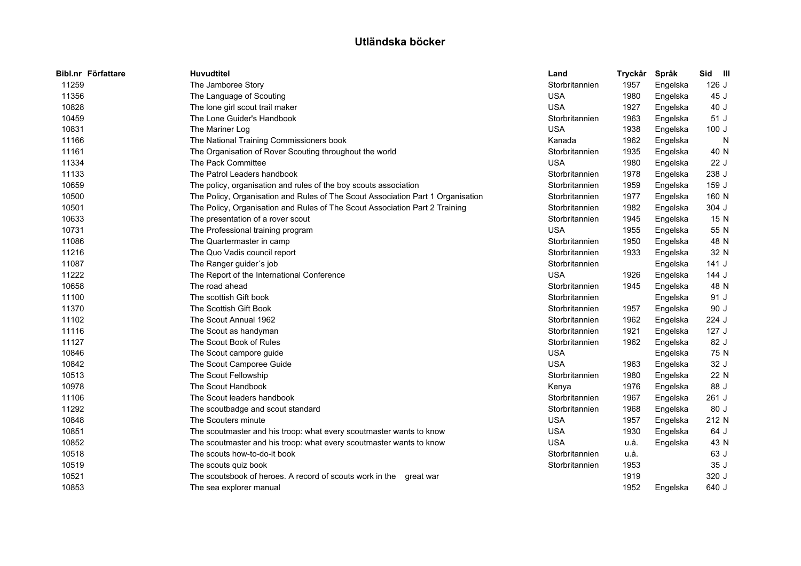| Bibl.nr Författare | <b>Huvudtitel</b>                                                               | Land           | Tryckår | Språk    | Sid III |
|--------------------|---------------------------------------------------------------------------------|----------------|---------|----------|---------|
| 11259              | The Jamboree Story                                                              | Storbritannien | 1957    | Engelska | 126J    |
| 11356              | The Language of Scouting                                                        | <b>USA</b>     | 1980    | Engelska | 45 J    |
| 10828              | The lone girl scout trail maker                                                 | <b>USA</b>     | 1927    | Engelska | 40 J    |
| 10459              | The Lone Guider's Handbook                                                      | Storbritannien | 1963    | Engelska | 51 J    |
| 10831              | The Mariner Log                                                                 | <b>USA</b>     | 1938    | Engelska | 100J    |
| 11166              | The National Training Commissioners book                                        | Kanada         | 1962    | Engelska | N       |
| 11161              | The Organisation of Rover Scouting throughout the world                         | Storbritannien | 1935    | Engelska | 40 N    |
| 11334              | The Pack Committee                                                              | <b>USA</b>     | 1980    | Engelska | 22 J    |
| 11133              | The Patrol Leaders handbook                                                     | Storbritannien | 1978    | Engelska | 238 J   |
| 10659              | The policy, organisation and rules of the boy scouts association                | Storbritannien | 1959    | Engelska | 159 J   |
| 10500              | The Policy, Organisation and Rules of The Scout Association Part 1 Organisation | Storbritannien | 1977    | Engelska | 160 N   |
| 10501              | The Policy, Organisation and Rules of The Scout Association Part 2 Training     | Storbritannien | 1982    | Engelska | 304 J   |
| 10633              | The presentation of a rover scout                                               | Storbritannien | 1945    | Engelska | 15 N    |
| 10731              | The Professional training program                                               | <b>USA</b>     | 1955    | Engelska | 55 N    |
| 11086              | The Quartermaster in camp                                                       | Storbritannien | 1950    | Engelska | 48 N    |
| 11216              | The Quo Vadis council report                                                    | Storbritannien | 1933    | Engelska | 32 N    |
| 11087              | The Ranger guider's job                                                         | Storbritannien |         | Engelska | 141J    |
| 11222              | The Report of the International Conference                                      | <b>USA</b>     | 1926    | Engelska | 144 J   |
| 10658              | The road ahead                                                                  | Storbritannien | 1945    | Engelska | 48 N    |
| 11100              | The scottish Gift book                                                          | Storbritannien |         | Engelska | 91 J    |
| 11370              | The Scottish Gift Book                                                          | Storbritannien | 1957    | Engelska | 90 J    |
| 11102              | The Scout Annual 1962                                                           | Storbritannien | 1962    | Engelska | 224 J   |
| 11116              | The Scout as handyman                                                           | Storbritannien | 1921    | Engelska | 127J    |
| 11127              | The Scout Book of Rules                                                         | Storbritannien | 1962    | Engelska | 82 J    |
| 10846              | The Scout campore guide                                                         | <b>USA</b>     |         | Engelska | 75 N    |
| 10842              | The Scout Camporee Guide                                                        | <b>USA</b>     | 1963    | Engelska | 32 J    |
| 10513              | The Scout Fellowship                                                            | Storbritannien | 1980    | Engelska | 22 N    |
| 10978              | The Scout Handbook                                                              | Kenya          | 1976    | Engelska | 88 J    |
| 11106              | The Scout leaders handbook                                                      | Storbritannien | 1967    | Engelska | 261 J   |
| 11292              | The scoutbadge and scout standard                                               | Storbritannien | 1968    | Engelska | 80 J    |
| 10848              | The Scouters minute                                                             | <b>USA</b>     | 1957    | Engelska | 212 N   |
| 10851              | The scoutmaster and his troop: what every scoutmaster wants to know             | <b>USA</b>     | 1930    | Engelska | 64 J    |
| 10852              | The scoutmaster and his troop: what every scoutmaster wants to know             | <b>USA</b>     | u.å.    | Engelska | 43 N    |
| 10518              | The scouts how-to-do-it book                                                    | Storbritannien | u.å.    |          | 63 J    |
| 10519              | The scouts quiz book                                                            | Storbritannien | 1953    |          | 35 J    |
| 10521              | The scoutsbook of heroes. A record of scouts work in the<br>qreat war           |                | 1919    |          | 320 J   |
| 10853              | The sea explorer manual                                                         |                | 1952    | Engelska | 640 J   |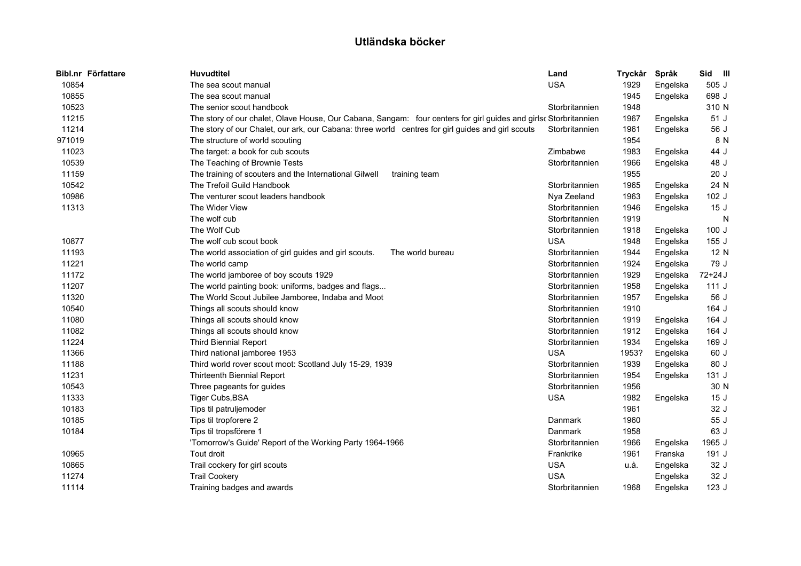| Bibl.nr Författare | <b>Huvudtitel</b>                                                                                                | Land           | Tryckår | Språk    | Sid III |
|--------------------|------------------------------------------------------------------------------------------------------------------|----------------|---------|----------|---------|
| 10854              | The sea scout manual                                                                                             | <b>USA</b>     | 1929    | Engelska | 505 J   |
| 10855              | The sea scout manual                                                                                             |                | 1945    | Engelska | 698 J   |
| 10523              | The senior scout handbook                                                                                        | Storbritannien | 1948    |          | 310 N   |
| 11215              | The story of our chalet, Olave House, Our Cabana, Sangam: four centers for girl guides and girlsc Storbritannien |                | 1967    | Engelska | 51J     |
| 11214              | The story of our Chalet, our ark, our Cabana: three world centres for girl guides and girl scouts                | Storbritannien | 1961    | Engelska | 56 J    |
| 971019             | The structure of world scouting                                                                                  |                | 1954    |          | 8 N     |
| 11023              | The target: a book for cub scouts                                                                                | Zimbabwe       | 1983    | Engelska | 44 J    |
| 10539              | The Teaching of Brownie Tests                                                                                    | Storbritannien | 1966    | Engelska | 48 J    |
| 11159              | The training of scouters and the International Gilwell<br>training team                                          |                | 1955    |          | 20J     |
| 10542              | The Trefoil Guild Handbook                                                                                       | Storbritannien | 1965    | Engelska | 24 N    |
| 10986              | The venturer scout leaders handbook                                                                              | Nya Zeeland    | 1963    | Engelska | 102 J   |
| 11313              | The Wider View                                                                                                   | Storbritannien | 1946    | Engelska | 15J     |
|                    | The wolf cub                                                                                                     | Storbritannien | 1919    |          | N       |
|                    | The Wolf Cub                                                                                                     | Storbritannien | 1918    | Engelska | 100J    |
| 10877              | The wolf cub scout book                                                                                          | <b>USA</b>     | 1948    | Engelska | 155J    |
| 11193              | The world association of girl guides and girl scouts.<br>The world bureau                                        | Storbritannien | 1944    | Engelska | 12 N    |
| 11221              | The world camp                                                                                                   | Storbritannien | 1924    | Engelska | 79 J    |
| 11172              | The world jamboree of boy scouts 1929                                                                            | Storbritannien | 1929    | Engelska | 72+24 J |
| 11207              | The world painting book: uniforms, badges and flags                                                              | Storbritannien | 1958    | Engelska | 111J    |
| 11320              | The World Scout Jubilee Jamboree, Indaba and Moot                                                                | Storbritannien | 1957    | Engelska | 56 J    |
| 10540              | Things all scouts should know                                                                                    | Storbritannien | 1910    |          | 164 J   |
| 11080              | Things all scouts should know                                                                                    | Storbritannien | 1919    | Engelska | 164 J   |
| 11082              | Things all scouts should know                                                                                    | Storbritannien | 1912    | Engelska | 164 J   |
| 11224              | <b>Third Biennial Report</b>                                                                                     | Storbritannien | 1934    | Engelska | 169 J   |
| 11366              | Third national jamboree 1953                                                                                     | <b>USA</b>     | 1953?   | Engelska | 60 J    |
| 11188              | Third world rover scout moot: Scotland July 15-29, 1939                                                          | Storbritannien | 1939    | Engelska | 80 J    |
| 11231              | Thirteenth Biennial Report                                                                                       | Storbritannien | 1954    | Engelska | 131J    |
| 10543              | Three pageants for guides                                                                                        | Storbritannien | 1956    |          | 30 N    |
| 11333              | Tiger Cubs, BSA                                                                                                  | <b>USA</b>     | 1982    | Engelska | 15J     |
| 10183              | Tips til patruljemoder                                                                                           |                | 1961    |          | 32 J    |
| 10185              | Tips til tropforere 2                                                                                            | Danmark        | 1960    |          | 55 J    |
| 10184              | Tips til tropsförere 1                                                                                           | Danmark        | 1958    |          | 63 J    |
|                    | 'Tomorrow's Guide' Report of the Working Party 1964-1966                                                         | Storbritannien | 1966    | Engelska | 1965 J  |
| 10965              | Tout droit                                                                                                       | Frankrike      | 1961    | Franska  | 191 J   |
| 10865              | Trail cockery for girl scouts                                                                                    | <b>USA</b>     | u.å.    | Engelska | 32 J    |
| 11274              | <b>Trail Cookery</b>                                                                                             | <b>USA</b>     |         | Engelska | 32 J    |
| 11114              | Training badges and awards                                                                                       | Storbritannien | 1968    | Engelska | 123J    |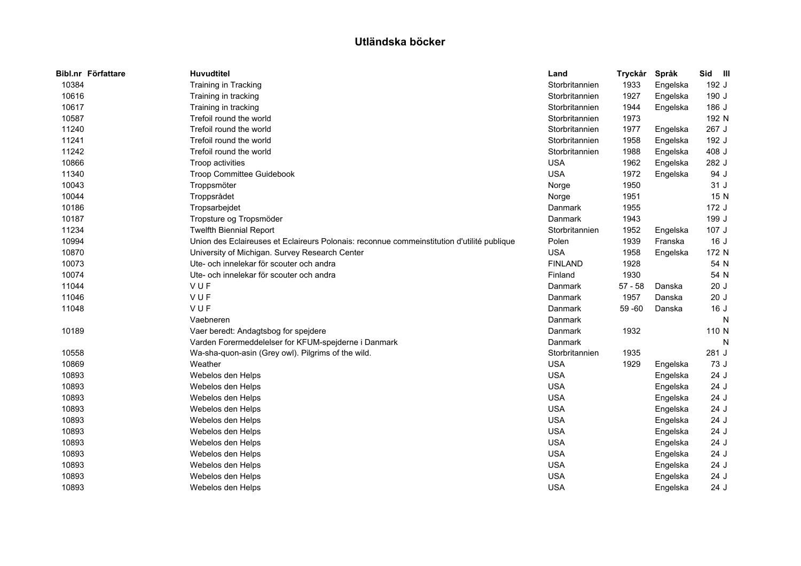| Bibl.nr Författare | <b>Huvudtitel</b>                                                                          | Land           | Tryckår   | Språk    | Sid III |
|--------------------|--------------------------------------------------------------------------------------------|----------------|-----------|----------|---------|
| 10384              | Training in Tracking                                                                       | Storbritannien | 1933      | Engelska | 192 J   |
| 10616              | Training in tracking                                                                       | Storbritannien | 1927      | Engelska | 190 J   |
| 10617              | Training in tracking                                                                       | Storbritannien | 1944      | Engelska | 186 J   |
| 10587              | Trefoil round the world                                                                    | Storbritannien | 1973      |          | 192 N   |
| 11240              | Trefoil round the world                                                                    | Storbritannien | 1977      | Engelska | 267 J   |
| 11241              | Trefoil round the world                                                                    | Storbritannien | 1958      | Engelska | 192 J   |
| 11242              | Trefoil round the world                                                                    | Storbritannien | 1988      | Engelska | 408 J   |
| 10866              | Troop activities                                                                           | <b>USA</b>     | 1962      | Engelska | 282 J   |
| 11340              | Troop Committee Guidebook                                                                  | <b>USA</b>     | 1972      | Engelska | 94 J    |
| 10043              | Troppsmöter                                                                                | Norge          | 1950      |          | 31J     |
| 10044              | Troppsrådet                                                                                | Norge          | 1951      |          | 15 N    |
| 10186              | Tropsarbejdet                                                                              | Danmark        | 1955      |          | 172 J   |
| 10187              | Tropsture og Tropsmöder                                                                    | Danmark        | 1943      |          | 199 J   |
| 11234              | <b>Twelfth Biennial Report</b>                                                             | Storbritannien | 1952      | Engelska | 107 J   |
| 10994              | Union des Eclaireuses et Eclaireurs Polonais: reconnue commeinstitution d'utilité publique | Polen          | 1939      | Franska  | 16J     |
| 10870              | University of Michigan. Survey Research Center                                             | <b>USA</b>     | 1958      | Engelska | 172 N   |
| 10073              | Ute- och innelekar för scouter och andra                                                   | <b>FINLAND</b> | 1928      |          | 54 N    |
| 10074              | Ute- och innelekar för scouter och andra                                                   | Finland        | 1930      |          | 54 N    |
| 11044              | VUF                                                                                        | Danmark        | $57 - 58$ | Danska   | 20J     |
| 11046              | VUF                                                                                        | Danmark        | 1957      | Danska   | 20J     |
| 11048              | VUF                                                                                        | Danmark        | $59 - 60$ | Danska   | 16J     |
|                    | Vaebneren                                                                                  | Danmark        |           |          | N       |
| 10189              | Vaer beredt: Andagtsbog for spejdere                                                       | Danmark        | 1932      |          | 110 N   |
|                    | Varden Forermeddelelser for KFUM-spejderne i Danmark                                       | Danmark        |           |          | N       |
| 10558              | Wa-sha-quon-asin (Grey owl). Pilgrims of the wild.                                         | Storbritannien | 1935      |          | 281 J   |
| 10869              | Weather                                                                                    | <b>USA</b>     | 1929      | Engelska | 73 J    |
| 10893              | Webelos den Helps                                                                          | <b>USA</b>     |           | Engelska | 24 J    |
| 10893              | Webelos den Helps                                                                          | <b>USA</b>     |           | Engelska | 24 J    |
| 10893              | Webelos den Helps                                                                          | <b>USA</b>     |           | Engelska | 24 J    |
| 10893              | Webelos den Helps                                                                          | <b>USA</b>     |           | Engelska | 24 J    |
| 10893              | Webelos den Helps                                                                          | <b>USA</b>     |           | Engelska | 24 J    |
| 10893              | Webelos den Helps                                                                          | <b>USA</b>     |           | Engelska | 24J     |
| 10893              | Webelos den Helps                                                                          | <b>USA</b>     |           | Engelska | 24J     |
| 10893              | Webelos den Helps                                                                          | <b>USA</b>     |           | Engelska | 24 J    |
| 10893              | Webelos den Helps                                                                          | <b>USA</b>     |           | Engelska | 24 J    |
| 10893              | Webelos den Helps                                                                          | <b>USA</b>     |           | Engelska | 24 J    |
| 10893              | Webelos den Helps                                                                          | <b>USA</b>     |           | Engelska | 24J     |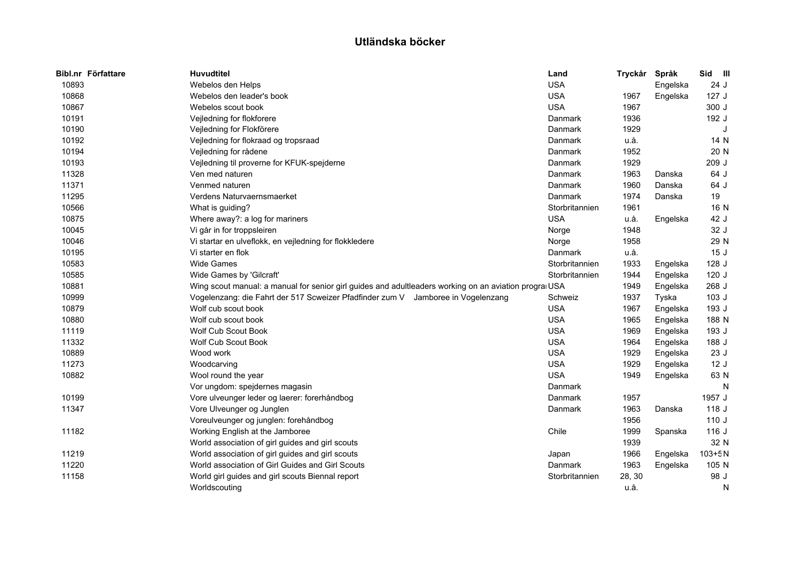| Bibl.nr Författare | <b>Huvudtitel</b>                                                                |                                                                                                        | Land           | Tryckår | Språk    | Sid III    |   |
|--------------------|----------------------------------------------------------------------------------|--------------------------------------------------------------------------------------------------------|----------------|---------|----------|------------|---|
| 10893              | Webelos den Helps                                                                |                                                                                                        | <b>USA</b>     |         | Engelska | 24 J       |   |
| 10868              | Webelos den leader's book                                                        |                                                                                                        | <b>USA</b>     | 1967    | Engelska | 127J       |   |
| 10867              | Webelos scout book                                                               |                                                                                                        | <b>USA</b>     | 1967    |          | 300 J      |   |
| 10191              | Vejledning for flokforere                                                        |                                                                                                        | Danmark        | 1936    |          | 192 J      |   |
| 10190              | Vejledning for Flokförere                                                        |                                                                                                        | Danmark        | 1929    |          |            | J |
| 10192              | Vejledning for flokraad og tropsraad                                             |                                                                                                        | Danmark        | u.å.    |          | 14 N       |   |
| 10194              | Vejledning for rådene                                                            |                                                                                                        | Danmark        | 1952    |          | 20 N       |   |
| 10193              | Vejledning til proverne for KFUK-spejderne                                       |                                                                                                        | Danmark        | 1929    |          | 209 J      |   |
| 11328              | Ven med naturen                                                                  |                                                                                                        | Danmark        | 1963    | Danska   | 64 J       |   |
| 11371              | Venmed naturen                                                                   |                                                                                                        | Danmark        | 1960    | Danska   | 64 J       |   |
| 11295              | Verdens Naturvaernsmaerket                                                       |                                                                                                        | Danmark        | 1974    | Danska   | 19         |   |
| 10566              | What is guiding?                                                                 |                                                                                                        | Storbritannien | 1961    |          | 16 N       |   |
| 10875              | Where away?: a log for mariners                                                  |                                                                                                        | <b>USA</b>     | u.å.    | Engelska | 42 J       |   |
| 10045              | Vi går in for troppsleiren                                                       |                                                                                                        | Norge          | 1948    |          | 32 J       |   |
| 10046              | Vi startar en ulveflokk, en vejledning for flokkledere                           |                                                                                                        | Norge          | 1958    |          | 29 N       |   |
| 10195              | Vi starter en flok                                                               |                                                                                                        | Danmark        | u.å.    |          | 15J        |   |
| 10583              | <b>Wide Games</b>                                                                |                                                                                                        | Storbritannien | 1933    | Engelska | 128 J      |   |
| 10585              | Wide Games by 'Gilcraft'                                                         |                                                                                                        | Storbritannien | 1944    | Engelska | 120J       |   |
| 10881              |                                                                                  | Wing scout manual: a manual for senior girl guides and adultleaders working on an aviation progral USA |                | 1949    | Engelska | 268 J      |   |
| 10999              | Vogelenzang: die Fahrt der 517 Scweizer Pfadfinder zum V Jamboree in Vogelenzang |                                                                                                        | Schweiz        | 1937    | Tyska    | 103J       |   |
| 10879              | Wolf cub scout book                                                              |                                                                                                        | <b>USA</b>     | 1967    | Engelska | 193 J      |   |
| 10880              | Wolf cub scout book                                                              |                                                                                                        | <b>USA</b>     | 1965    | Engelska | 188 N      |   |
| 11119              | <b>Wolf Cub Scout Book</b>                                                       |                                                                                                        | <b>USA</b>     | 1969    | Engelska | 193 J      |   |
| 11332              | Wolf Cub Scout Book                                                              |                                                                                                        | <b>USA</b>     | 1964    | Engelska | 188 J      |   |
| 10889              | Wood work                                                                        |                                                                                                        | <b>USA</b>     | 1929    | Engelska | 23 J       |   |
| 11273              | Woodcarving                                                                      |                                                                                                        | <b>USA</b>     | 1929    | Engelska | 12J        |   |
| 10882              | Wool round the year                                                              |                                                                                                        | <b>USA</b>     | 1949    | Engelska | 63 N       |   |
|                    | Vor ungdom: spejdernes magasin                                                   |                                                                                                        | Danmark        |         |          |            | N |
| 10199              | Vore ulveunger leder og laerer: forerhåndbog                                     |                                                                                                        | Danmark        | 1957    |          | 1957 J     |   |
| 11347              | Vore Ulveunger og Junglen                                                        |                                                                                                        | Danmark        | 1963    | Danska   | 118 J      |   |
|                    | Voreulveunger og junglen: forehåndbog                                            |                                                                                                        |                | 1956    |          | 110J       |   |
| 11182              | Working English at the Jamboree                                                  |                                                                                                        | Chile          | 1999    | Spanska  | 116J       |   |
|                    | World association of girl guides and girl scouts                                 |                                                                                                        |                | 1939    |          | 32 N       |   |
| 11219              | World association of girl guides and girl scouts                                 |                                                                                                        | Japan          | 1966    | Engelska | $103 + 5N$ |   |
| 11220              | World association of Girl Guides and Girl Scouts                                 |                                                                                                        | Danmark        | 1963    | Engelska | 105 N      |   |
| 11158              | World girl guides and girl scouts Biennal report                                 |                                                                                                        | Storbritannien | 28, 30  |          | 98 J       |   |
|                    | Worldscouting                                                                    |                                                                                                        |                | u.å.    |          |            | N |